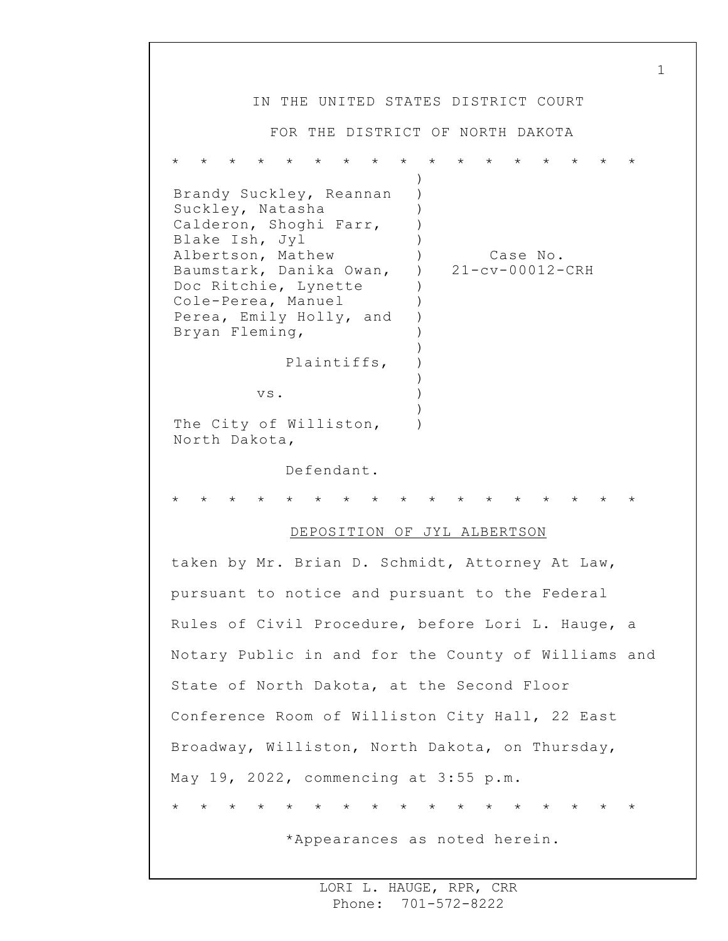IN THE UNITED STATES DISTRICT COURT FOR THE DISTRICT OF NORTH DAKOTA \* \* \* \* \* \* \* \* \* \* \* \* \* \* \* \* \* Brandy Suckley, Reannan Suckley, Natasha Calderon, Shoghi Farr, Blake Ish, Jyl Albertson, Mathew Baumstark, Danika Owan, Doc Ritchie, Lynette Cole-Perea, Manuel Perea, Emily Holly, and Bryan Fleming, Plaintiffs, vs. The City of Williston, North Dakota, Defendant. ) ) ) ) )  $)$  $\lambda$ ) ) ) ) ) ) ) ) ) ) Case No. 21-cv-00012-CRH \* \* \* \* \* \* \* \* \* \* \* \* \* \* \* \* \* DEPOSITION OF JYL ALBERTSON taken by Mr. Brian D. Schmidt, Attorney At Law, pursuant to notice and pursuant to the Federal Rules of Civil Procedure, before Lori L. Hauge, a Notary Public in and for the County of Williams and State of North Dakota, at the Second Floor Conference Room of Williston City Hall, 22 East Broadway, Williston, North Dakota, on Thursday, May 19, 2022, commencing at 3:55 p.m. \* \* \* \* \* \* \* \* \* \* \* \* \* \* \* \* \* \*Appearances as noted herein.

1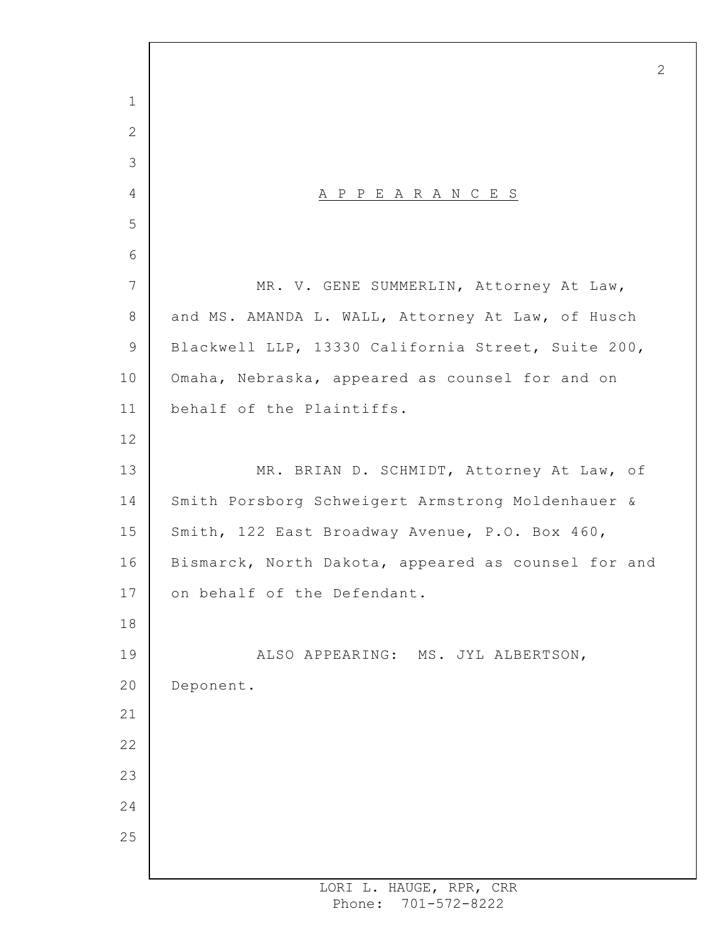A P P E A R A N C E S MR. V. GENE SUMMERLIN, Attorney At Law, and MS. AMANDA L. WALL, Attorney At Law, of Husch Blackwell LLP, 13330 California Street, Suite 200, Omaha, Nebraska, appeared as counsel for and on behalf of the Plaintiffs. MR. BRIAN D. SCHMIDT, Attorney At Law, of Smith Porsborg Schweigert Armstrong Moldenhauer & Smith, 122 East Broadway Avenue, P.O. Box 460, Bismarck, North Dakota, appeared as counsel for and on behalf of the Defendant. ALSO APPEARING: MS. JYL ALBERTSON, Deponent.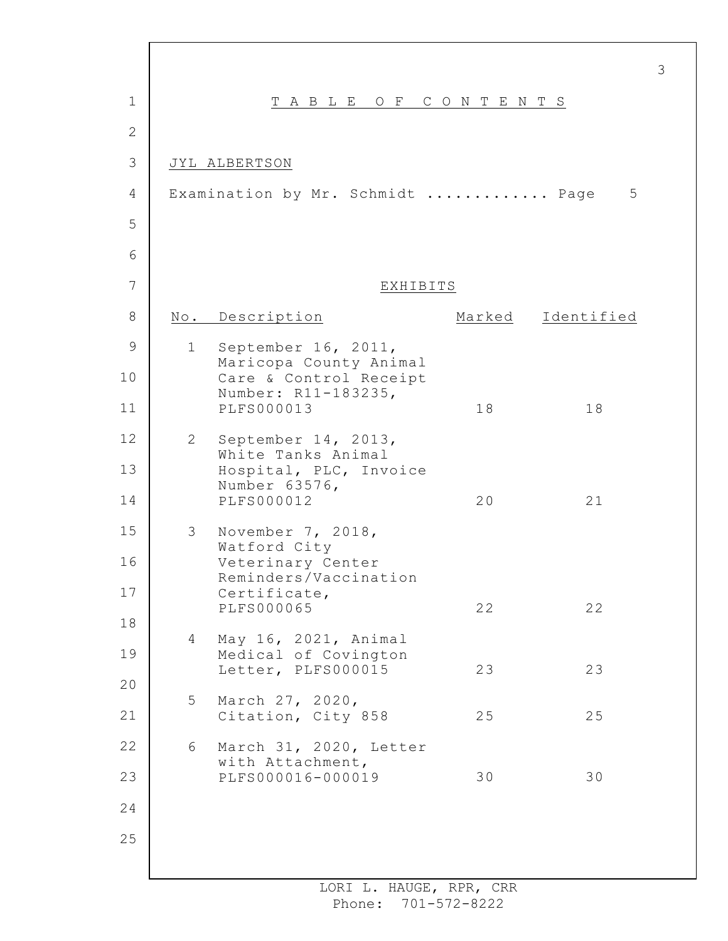| 1            |                | TABLE OF CONTENTS                             |    |                   |
|--------------|----------------|-----------------------------------------------|----|-------------------|
| $\mathbf{2}$ |                |                                               |    |                   |
| 3            |                | JYL ALBERTSON                                 |    |                   |
| 4            |                | Examination by Mr. Schmidt  Page              |    | 5                 |
| 5            |                |                                               |    |                   |
| 6            |                |                                               |    |                   |
| 7            |                | EXHIBITS                                      |    |                   |
| 8            |                | No. Description                               |    | Marked Identified |
| 9            | 1              | September 16, 2011,<br>Maricopa County Animal |    |                   |
| 10           |                | Care & Control Receipt<br>Number: R11-183235, |    |                   |
| 11           |                | <b>PLFS000013</b>                             | 18 | 18                |
| 12           | $\overline{2}$ | September 14, 2013,<br>White Tanks Animal     |    |                   |
| 13           |                | Hospital, PLC, Invoice<br>Number 63576,       |    |                   |
| 14           |                | <b>PLFS000012</b>                             | 20 | 21                |
| 15           | 3              | November 7, 2018,<br>Watford City             |    |                   |
| 16           |                | Veterinary Center<br>Reminders/Vaccination    |    |                   |
| 17           |                | Certificate,<br><b>PLFS000065</b>             | 22 | 22                |
| 18           | $\overline{4}$ | May 16, 2021, Animal                          |    |                   |
| 19           |                | Medical of Covington<br>Letter, PLFS000015    | 23 | 23                |
| 20           | 5              | March 27, 2020,                               |    |                   |
| 21           |                | Citation, City 858                            | 25 | 25                |
| 22           | 6              | March 31, 2020, Letter<br>with Attachment,    |    |                   |
| 23           |                | PLFS000016-000019                             | 30 | 30                |
| 24           |                |                                               |    |                   |
| 25           |                |                                               |    |                   |

 $\Gamma$ 

3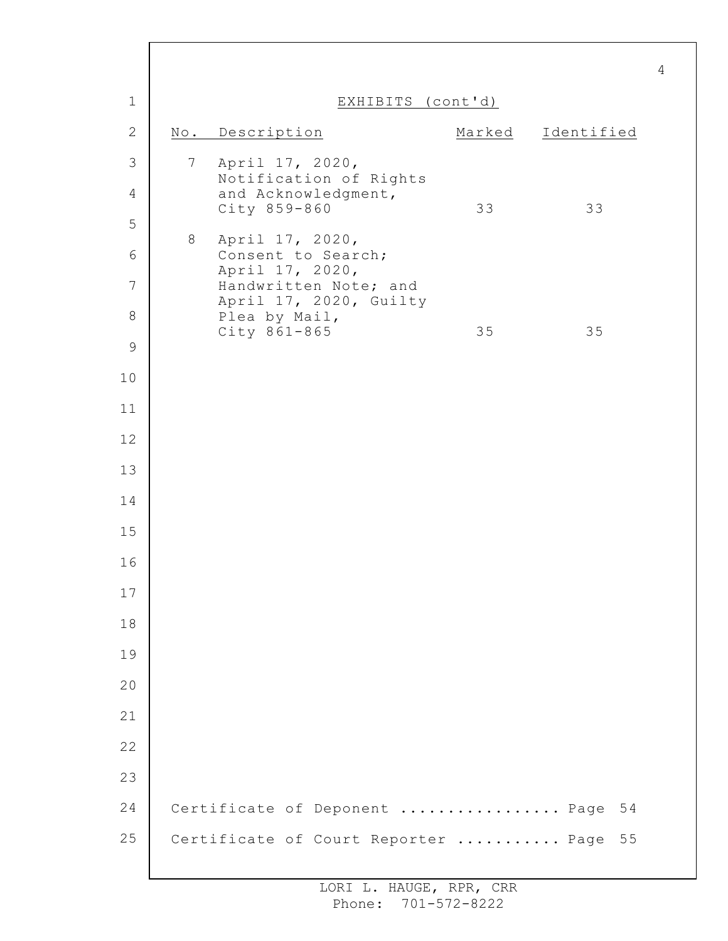| $\mathbf 1$    | EXHIBITS (cont'd) |                                                 |        |            |  |  |
|----------------|-------------------|-------------------------------------------------|--------|------------|--|--|
| $\mathbf{2}$   |                   | No. Description                                 | Marked | Identified |  |  |
| $\mathfrak{Z}$ | $7\overline{ }$   | April 17, 2020,<br>Notification of Rights       |        |            |  |  |
| $\overline{4}$ |                   | and Acknowledgment,<br>City 859-860             | 33     | 33         |  |  |
| 5              | 8                 | April 17, 2020,                                 |        |            |  |  |
| 6              |                   | Consent to Search;<br>April 17, 2020,           |        |            |  |  |
| 7              |                   | Handwritten Note; and<br>April 17, 2020, Guilty |        |            |  |  |
| 8              |                   | Plea by Mail,<br>$City 861 - 865$               | 35     | 35         |  |  |
| $\mathcal{G}$  |                   |                                                 |        |            |  |  |
| 10             |                   |                                                 |        |            |  |  |
| 11             |                   |                                                 |        |            |  |  |
| 12             |                   |                                                 |        |            |  |  |
| 13             |                   |                                                 |        |            |  |  |
| 14             |                   |                                                 |        |            |  |  |
| 15             |                   |                                                 |        |            |  |  |
| 16             |                   |                                                 |        |            |  |  |
| 17             |                   |                                                 |        |            |  |  |
| 18             |                   |                                                 |        |            |  |  |
| 19             |                   |                                                 |        |            |  |  |
| 20             |                   |                                                 |        |            |  |  |
| 21             |                   |                                                 |        |            |  |  |
| 22             |                   |                                                 |        |            |  |  |
| 23             |                   |                                                 |        |            |  |  |
| 24             |                   | Certificate of Deponent  Page                   |        | 54         |  |  |
| 25             |                   | Certificate of Court Reporter  Page             |        | 55         |  |  |

 $\Gamma$ 

I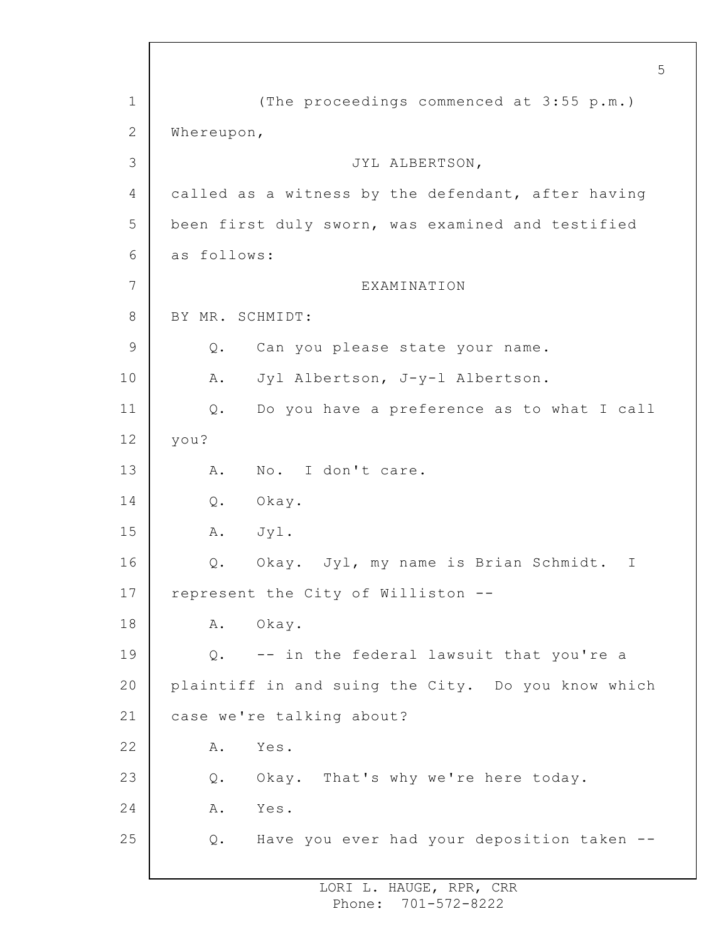1 2 3 4 5 6 7 8 9 10 11 12 13 14 15 16 17 18 19 20 21 22 23 24 25 5 (The proceedings commenced at 3:55 p.m.) Whereupon, JYL ALBERTSON, called as a witness by the defendant, after having been first duly sworn, was examined and testified as follows: EXAMINATION BY MR. SCHMIDT: Q. Can you please state your name. A. Jyl Albertson, J-y-l Albertson. Q. Do you have a preference as to what I call you? A. No. I don't care. Q. Okay. A. Jyl. Q. Okay. Jyl, my name is Brian Schmidt. I represent the City of Williston -- A. Okay. Q. -- in the federal lawsuit that you're a plaintiff in and suing the City. Do you know which case we're talking about? A. Yes. Q. Okay. That's why we're here today. A. Yes. Q. Have you ever had your deposition taken --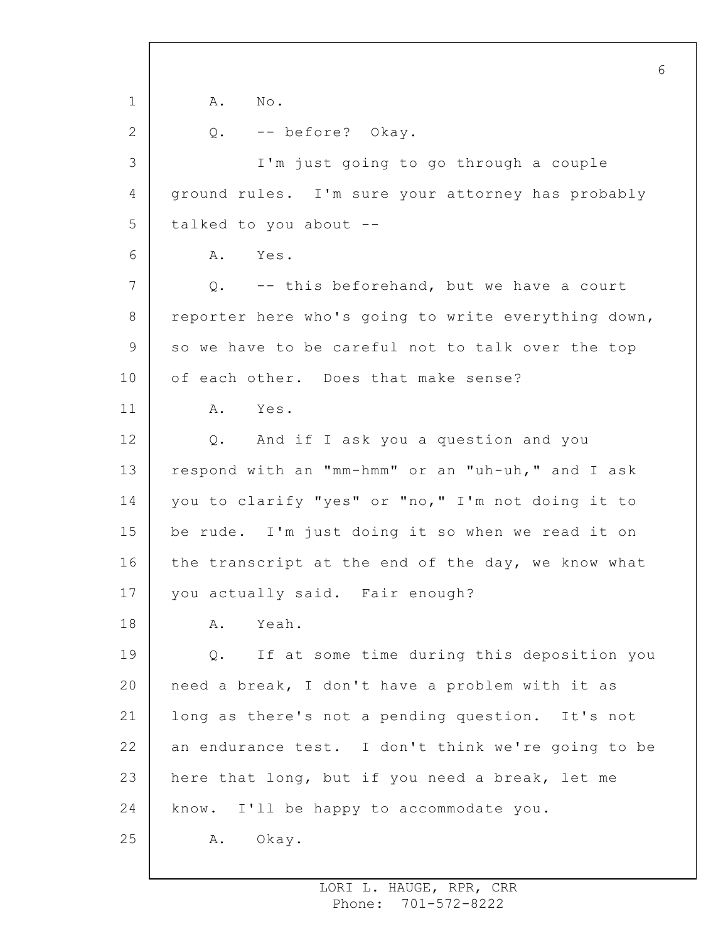1 2 3 4 5 6 7 8 9 10 11 12 13 14 15 16 17 18 19 20 21 22 23 24 25 6 A. No. Q. -- before? Okay. I'm just going to go through a couple ground rules. I'm sure your attorney has probably talked to you about -- A. Yes. Q. -- this beforehand, but we have a court reporter here who's going to write everything down, so we have to be careful not to talk over the top of each other. Does that make sense? A. Yes. Q. And if I ask you a question and you respond with an "mm-hmm" or an "uh-uh," and I ask you to clarify "yes" or "no," I'm not doing it to be rude. I'm just doing it so when we read it on the transcript at the end of the day, we know what you actually said. Fair enough? A. Yeah. Q. If at some time during this deposition you need a break, I don't have a problem with it as long as there's not a pending question. It's not an endurance test. I don't think we're going to be here that long, but if you need a break, let me know. I'll be happy to accommodate you. A. Okay.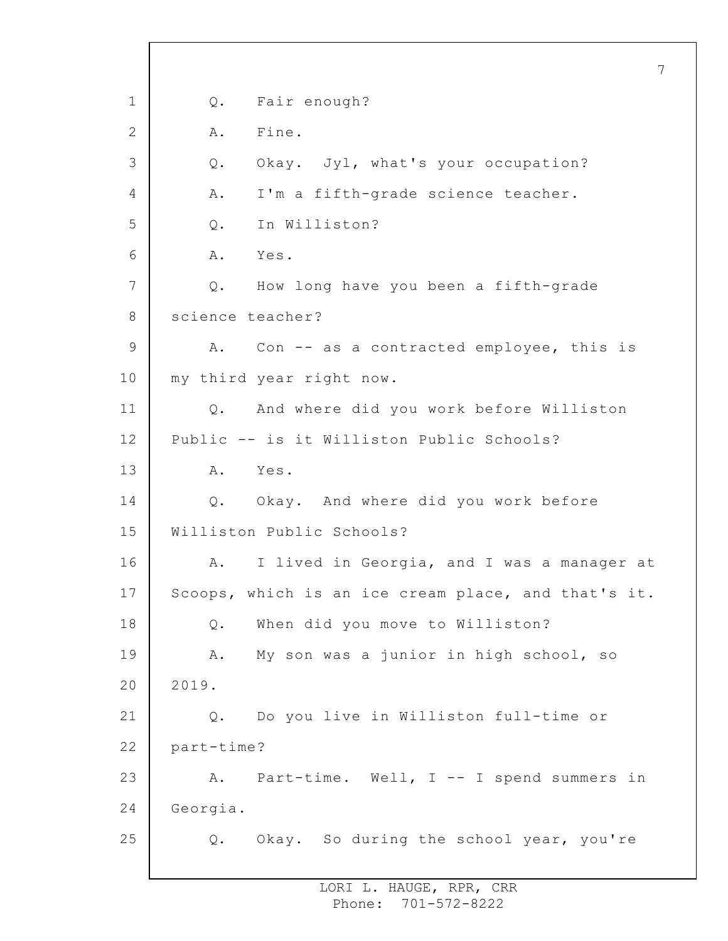1 2 3 4 5 6 7 8 9 10 11 12 13 14 15 16 17 18 19 20 21 22 23 24 25 7 Q. Fair enough? A. Fine. Q. Okay. Jyl, what's your occupation? A. I'm a fifth-grade science teacher. Q. In Williston? A. Yes. Q. How long have you been a fifth-grade science teacher? A. Con -- as a contracted employee, this is my third year right now. Q. And where did you work before Williston Public -- is it Williston Public Schools? A. Yes. Q. Okay. And where did you work before Williston Public Schools? A. I lived in Georgia, and I was a manager at Scoops, which is an ice cream place, and that's it. Q. When did you move to Williston? A. My son was a junior in high school, so 2019. Q. Do you live in Williston full-time or part-time? A. Part-time. Well, I -- I spend summers in Georgia. Q. Okay. So during the school year, you're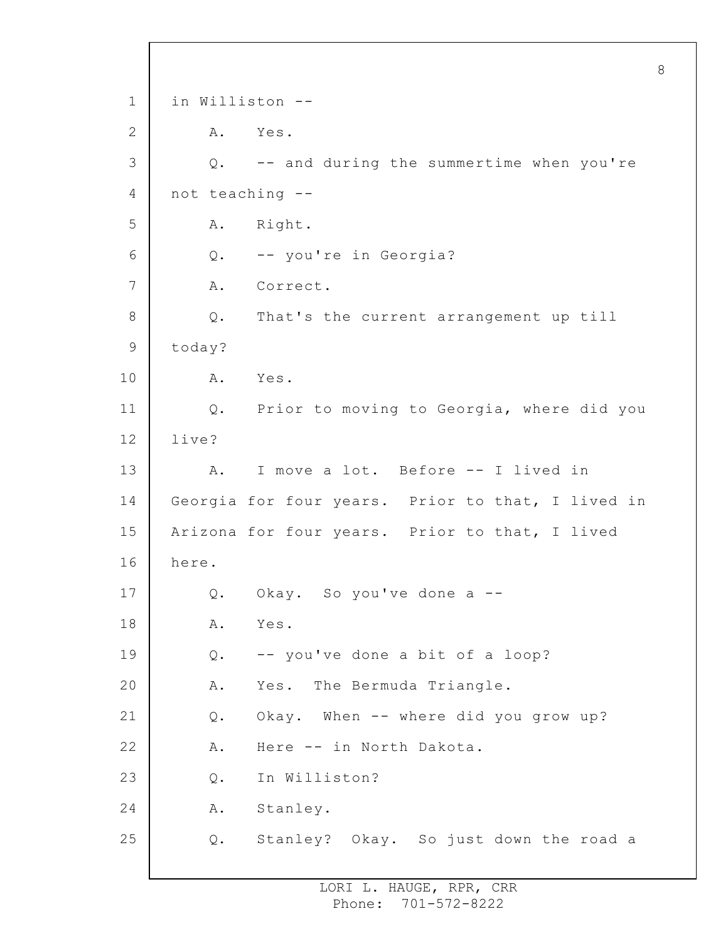1 2 3 4 5 6 7 8 9 10 11 12 13 14 15 16 17 18 19 20 21 22 23 24 25 in Williston -- A. Yes. Q. -- and during the summertime when you're not teaching -- A. Right. Q. -- you're in Georgia? A. Correct. Q. That's the current arrangement up till today? A. Yes. Q. Prior to moving to Georgia, where did you live? A. I move a lot. Before -- I lived in Georgia for four years. Prior to that, I lived in Arizona for four years. Prior to that, I lived here. Q. Okay. So you've done a -- A. Yes. Q. -- you've done a bit of a loop? A. Yes. The Bermuda Triangle. Q. Okay. When -- where did you grow up? A. Here -- in North Dakota. Q. In Williston? A. Stanley. Q. Stanley? Okay. So just down the road a

8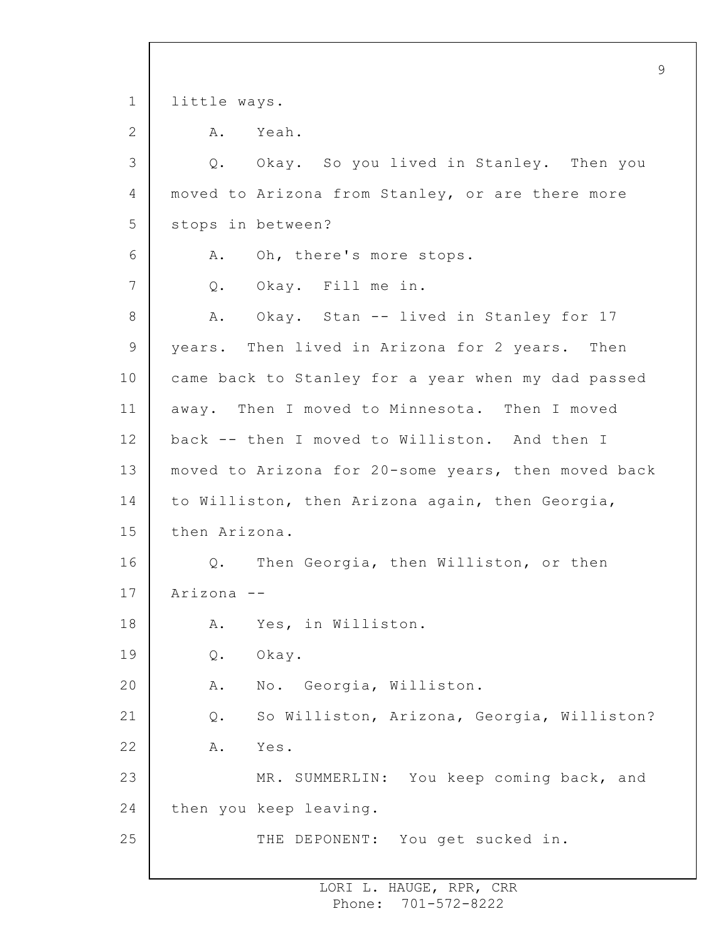|             | 9                                                   |
|-------------|-----------------------------------------------------|
| $\mathbf 1$ | little ways.                                        |
| 2           | A.<br>Yeah.                                         |
| 3           | Q. Okay. So you lived in Stanley. Then you          |
| 4           | moved to Arizona from Stanley, or are there more    |
| 5           | stops in between?                                   |
| 6           | Oh, there's more stops.<br>A.                       |
| 7           | Okay. Fill me in.<br>Q.                             |
| 8           | Okay. Stan -- lived in Stanley for 17<br>A.         |
| 9           | years. Then lived in Arizona for 2 years. Then      |
| 10          | came back to Stanley for a year when my dad passed  |
| 11          | away. Then I moved to Minnesota. Then I moved       |
| 12          | back -- then I moved to Williston. And then I       |
| 13          | moved to Arizona for 20-some years, then moved back |
| 14          | to Williston, then Arizona again, then Georgia,     |
| 15          | then Arizona.                                       |
| 16          | Q. Then Georgia, then Williston, or then            |
| 17          | Arizona --                                          |
| 18          | Yes, in Williston.<br>Α.                            |
| 19          | Okay.<br>Q.                                         |
| 20          | No. Georgia, Williston.<br>Α.                       |
| 21          | So Williston, Arizona, Georgia, Williston?<br>$Q$ . |
| 22          | Yes.<br>Α.                                          |
| 23          | MR. SUMMERLIN: You keep coming back, and            |
| 24          | then you keep leaving.                              |
| 25          | THE DEPONENT: You get sucked in.                    |
|             |                                                     |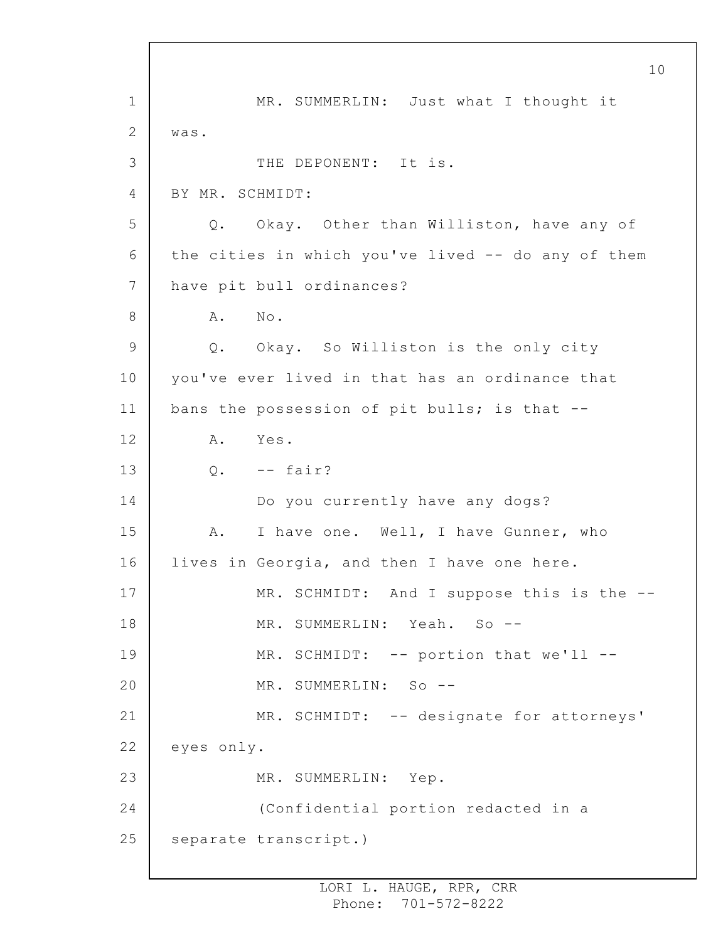1 2 3 4 5 6 7 8 9 10 11 12 13 14 15 16 17 18 19 20 21 22 23 24 25 10 MR. SUMMERLIN: Just what I thought it was. THE DEPONENT: It is. BY MR. SCHMIDT: Q. Okay. Other than Williston, have any of the cities in which you've lived -- do any of them have pit bull ordinances? A. No. Q. Okay. So Williston is the only city you've ever lived in that has an ordinance that bans the possession of pit bulls; is that -- A. Yes.  $0. - -$  fair? Do you currently have any dogs? A. I have one. Well, I have Gunner, who lives in Georgia, and then I have one here. MR. SCHMIDT: And I suppose this is the --MR. SUMMERLIN: Yeah. So --MR. SCHMIDT: -- portion that we'll --MR. SUMMERLIN: So --MR. SCHMIDT: -- designate for attorneys' eyes only. MR. SUMMERLIN: Yep. (Confidential portion redacted in a separate transcript.)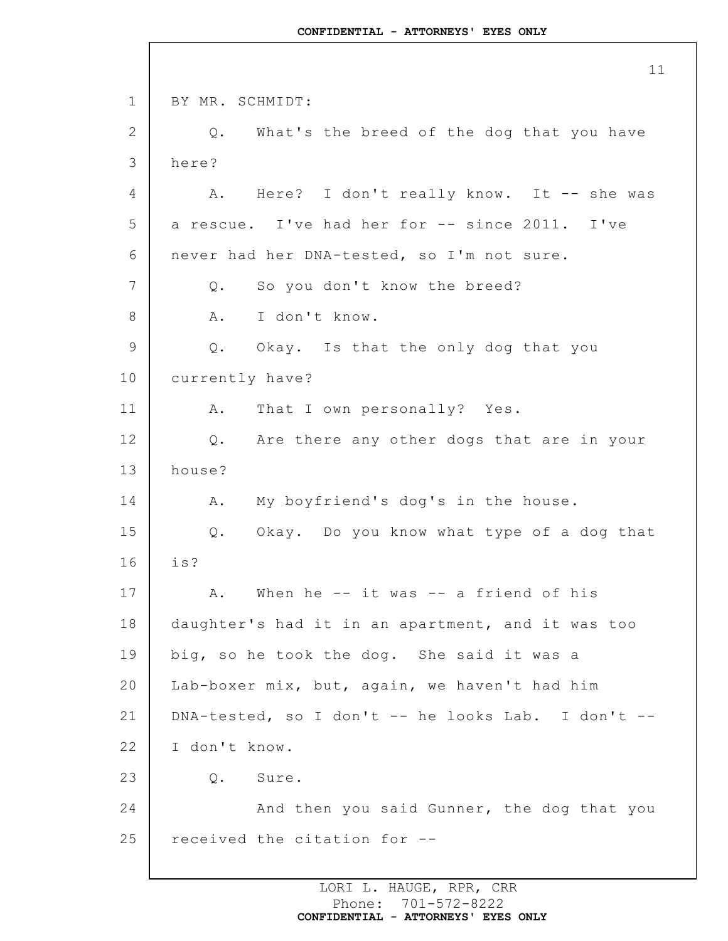1 2 3 4 5 6 7 8 9 10 11 12 13 14 15 16 17 18 19 20 21 22 23 24 25 BY MR. SCHMIDT: Q. What's the breed of the dog that you have here? A. Here? I don't really know. It -- she was a rescue. I've had her for -- since 2011. I've never had her DNA-tested, so I'm not sure. Q. So you don't know the breed? A. I don't know. Q. Okay. Is that the only dog that you currently have? A. That I own personally? Yes. Q. Are there any other dogs that are in your house? A. My boyfriend's dog's in the house. Q. Okay. Do you know what type of a dog that is? A. When he -- it was -- a friend of his daughter's had it in an apartment, and it was too big, so he took the dog. She said it was a Lab-boxer mix, but, again, we haven't had him DNA-tested, so I don't -- he looks Lab. I don't -- I don't know. Q. Sure. And then you said Gunner, the dog that you received the citation for --

> LORI L. HAUGE, RPR, CRR Phone: 701-572-8222 **CONFIDENTIAL - ATTORNEYS' EYES ONLY**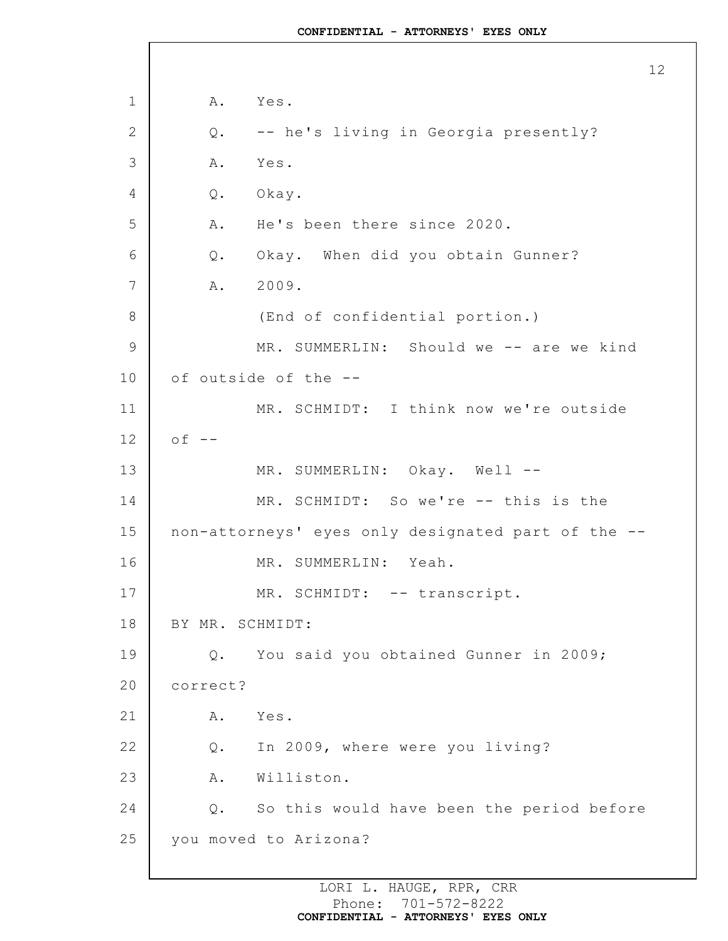1 2 3 4 5 6 7 8 9 10 11 12 13 14 15 16 17 18 19 20 21 22 23 24 25 A. Yes. Q. -- he's living in Georgia presently? A. Yes. Q. Okay. A. He's been there since 2020. Q. Okay. When did you obtain Gunner? A. 2009. (End of confidential portion.) MR. SUMMERLIN: Should we -- are we kind of outside of the -- MR. SCHMIDT: I think now we're outside  $of --$ MR. SUMMERLIN: Okay. Well --MR. SCHMIDT: So we're -- this is the non-attorneys' eyes only designated part of the -- MR. SUMMERLIN: Yeah. MR. SCHMIDT: -- transcript. BY MR. SCHMIDT: Q. You said you obtained Gunner in 2009; correct? A. Yes. Q. In 2009, where were you living? A. Williston. Q. So this would have been the period before you moved to Arizona?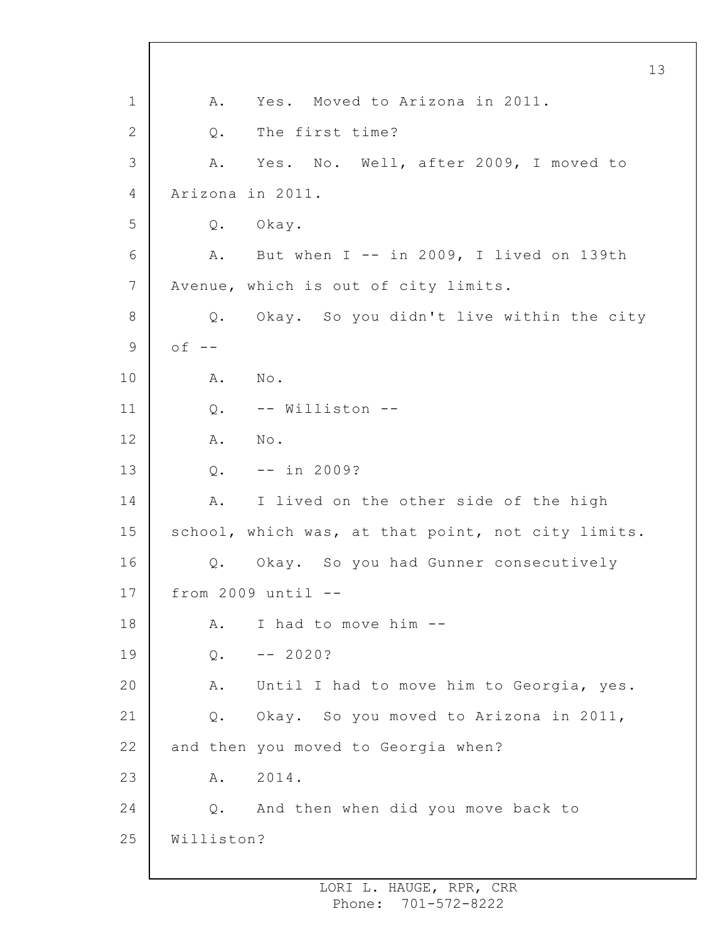1 2 3 4 5 6 7 8 9 10 11 12 13 14 15 16 17 18 19 20 21 22 23 24 25 A. Yes. Moved to Arizona in 2011. Q. The first time? A. Yes. No. Well, after 2009, I moved to Arizona in 2011. Q. Okay. A. But when I -- in 2009, I lived on 139th Avenue, which is out of city limits. Q. Okay. So you didn't live within the city  $of --$ A. No. Q. -- Williston -- A. No.  $0. - - in 2009?$ A. I lived on the other side of the high school, which was, at that point, not city limits. Q. Okay. So you had Gunner consecutively from  $2009$  until  $--$ A. I had to move him --  $Q_{\bullet}$  -- 2020? A. Until I had to move him to Georgia, yes. Q. Okay. So you moved to Arizona in 2011, and then you moved to Georgia when? A. 2014. Q. And then when did you move back to Williston?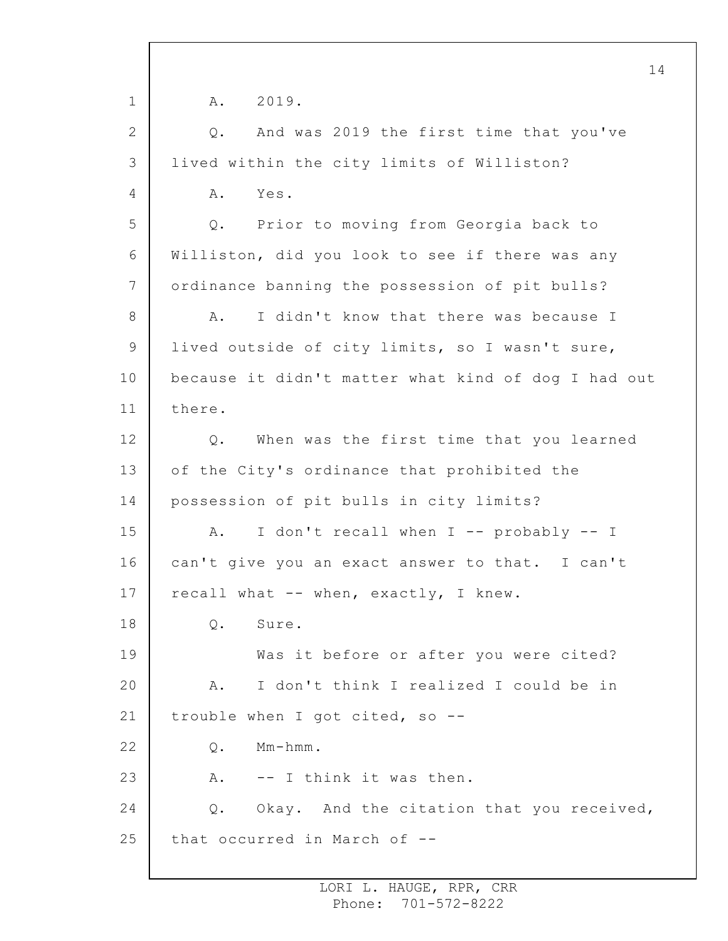1 2 3 4 5 6 7 8 9 10 11 12 13 14 15 16 17 18 19 20 21 22 23 24 25 14 A. 2019. Q. And was 2019 the first time that you've lived within the city limits of Williston? A. Yes. Q. Prior to moving from Georgia back to Williston, did you look to see if there was any ordinance banning the possession of pit bulls? A. I didn't know that there was because I lived outside of city limits, so I wasn't sure, because it didn't matter what kind of dog I had out there. Q. When was the first time that you learned of the City's ordinance that prohibited the possession of pit bulls in city limits? A. I don't recall when I -- probably -- I can't give you an exact answer to that. I can't recall what -- when, exactly, I knew. Q. Sure. Was it before or after you were cited? A. I don't think I realized I could be in trouble when I got cited, so -- Q. Mm-hmm. A. -- I think it was then. Q. Okay. And the citation that you received, that occurred in March of --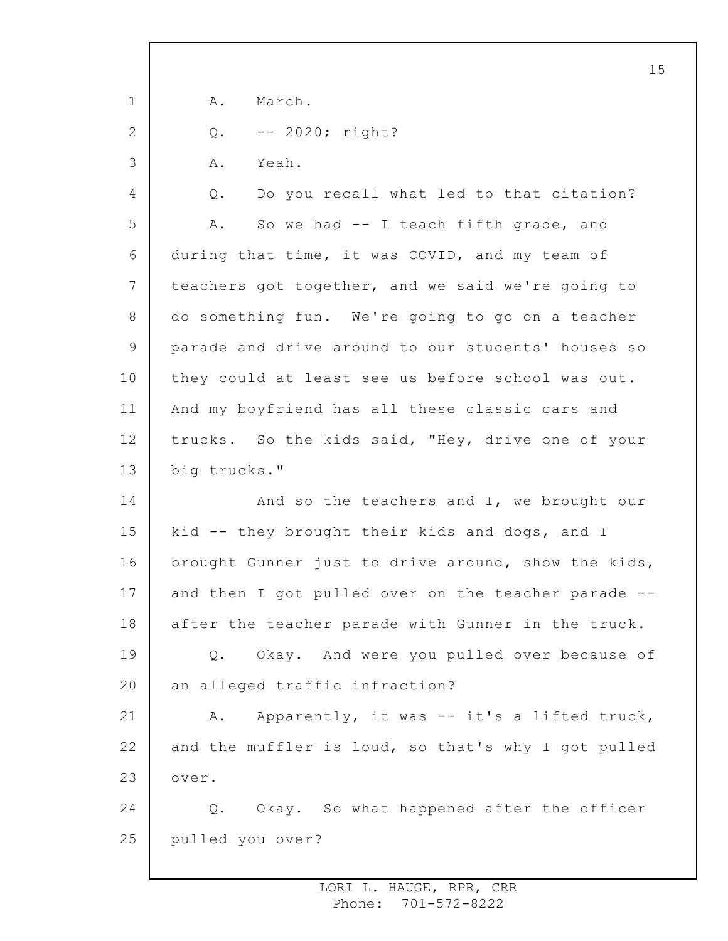|                 | 15                                                  |
|-----------------|-----------------------------------------------------|
| $\mathbf 1$     | March.<br>Α.                                        |
| 2               | $-- 2020;$ right?<br>$Q$ .                          |
| 3               | Yeah.<br>Α.                                         |
| 4               | Do you recall what led to that citation?<br>$Q$ .   |
| 5               | So we had -- I teach fifth grade, and<br>Α.         |
| 6               | during that time, it was COVID, and my team of      |
| 7               | teachers got together, and we said we're going to   |
| 8               | do something fun. We're going to go on a teacher    |
| 9               | parade and drive around to our students' houses so  |
| 10 <sub>o</sub> | they could at least see us before school was out.   |
| 11              | And my boyfriend has all these classic cars and     |
| 12              | trucks. So the kids said, "Hey, drive one of your   |
| 13              | big trucks."                                        |
| 14              | And so the teachers and I, we brought our           |
| 15              | kid -- they brought their kids and dogs, and I      |
| 16              | brought Gunner just to drive around, show the kids, |
| 17              | and then I got pulled over on the teacher parade -- |
| 18              | after the teacher parade with Gunner in the truck.  |
| 19              | Okay. And were you pulled over because of<br>$Q$ .  |
| 20              | an alleged traffic infraction?                      |
| 21              | Apparently, it was -- it's a lifted truck,<br>A.    |
| 22              | and the muffler is loud, so that's why I got pulled |
| 23              | over.                                               |
| 24              | Q. Okay. So what happened after the officer         |
| 25              | pulled you over?                                    |

 $\mathsf{I}$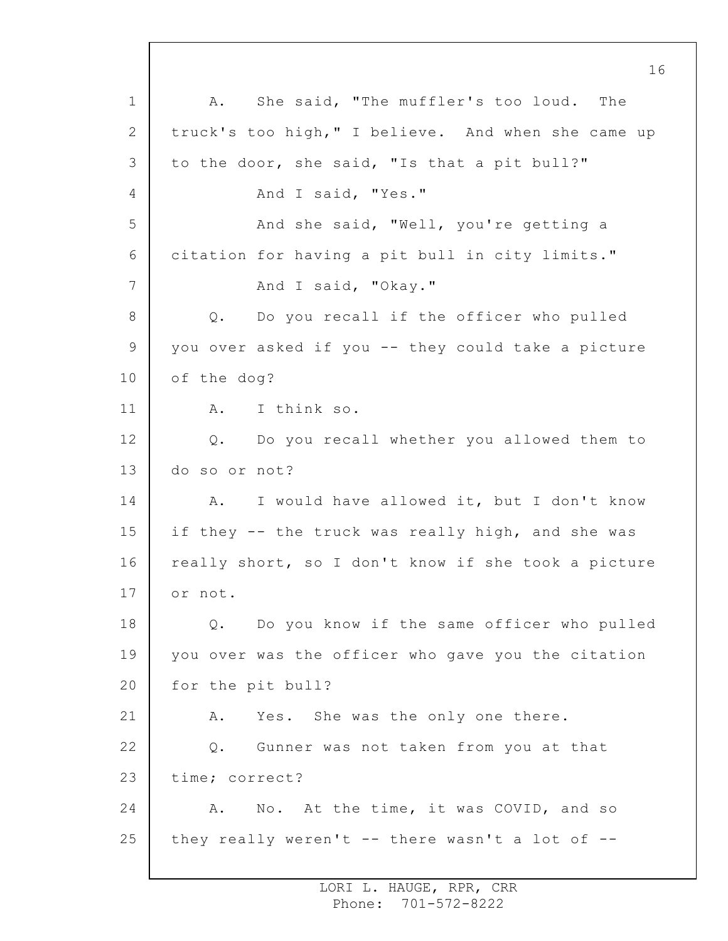1 2 3 4 5 6 7 8 9 10 11 12 13 14 15 16 17 18 19 20 21 22 23 24 25 16 A. She said, "The muffler's too loud. The truck's too high," I believe. And when she came up to the door, she said, "Is that a pit bull?" And I said, "Yes." And she said, "Well, you're getting a citation for having a pit bull in city limits." And I said, "Okay." Q. Do you recall if the officer who pulled you over asked if you -- they could take a picture of the dog? A. I think so. Q. Do you recall whether you allowed them to do so or not? A. I would have allowed it, but I don't know if they -- the truck was really high, and she was really short, so I don't know if she took a picture or not. Q. Do you know if the same officer who pulled you over was the officer who gave you the citation for the pit bull? A. Yes. She was the only one there. Q. Gunner was not taken from you at that time; correct? A. No. At the time, it was COVID, and so they really weren't  $-$ - there wasn't a lot of  $-$ -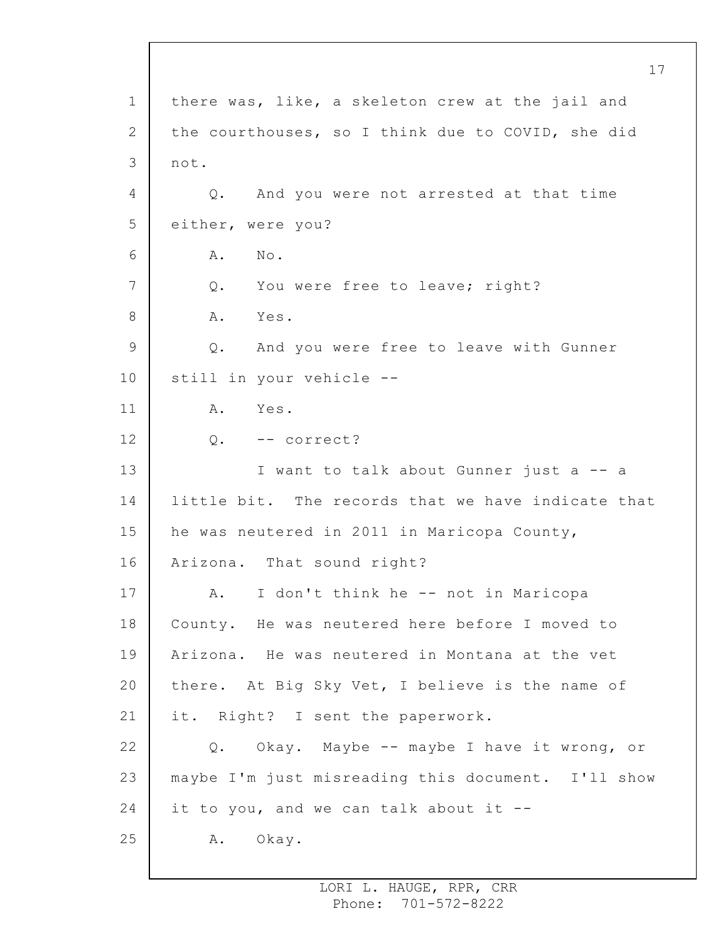1 2 3 4 5 6 7 8 9 10 11 12 13 14 15 16 17 18 19 20 21 22 23 24 25 there was, like, a skeleton crew at the jail and the courthouses, so I think due to COVID, she did not. Q. And you were not arrested at that time either, were you? A. No. Q. You were free to leave; right? A. Yes. Q. And you were free to leave with Gunner still in your vehicle -- A. Yes. Q. -- correct? I want to talk about Gunner just a -- a little bit. The records that we have indicate that he was neutered in 2011 in Maricopa County, Arizona. That sound right? A. I don't think he -- not in Maricopa County. He was neutered here before I moved to Arizona. He was neutered in Montana at the vet there. At Big Sky Vet, I believe is the name of it. Right? I sent the paperwork. Q. Okay. Maybe -- maybe I have it wrong, or maybe I'm just misreading this document. I'll show it to you, and we can talk about it -- A. Okay.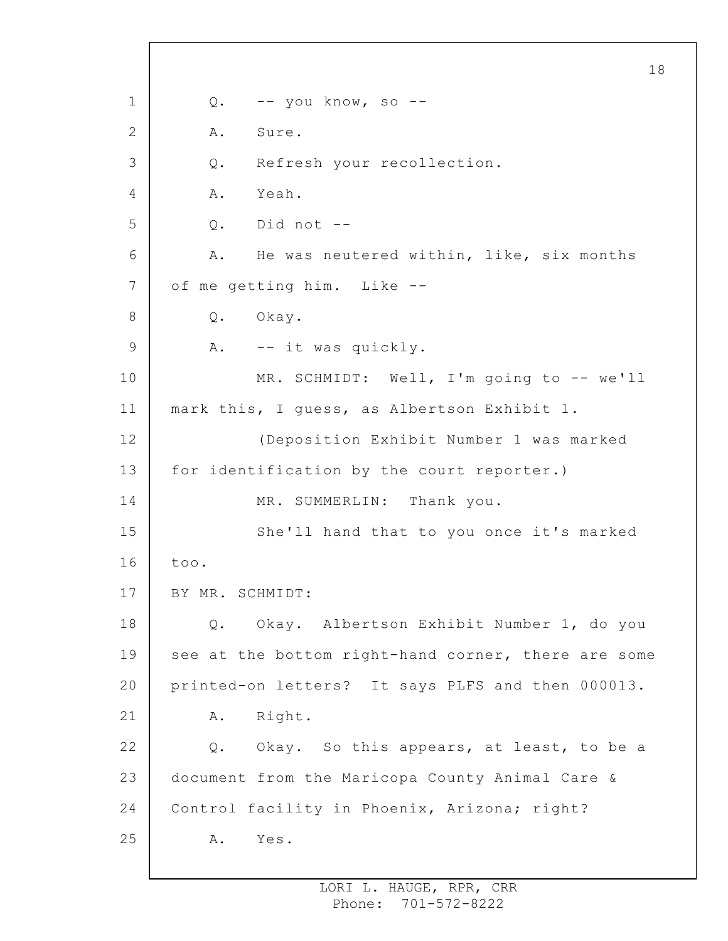1 2 3 4 5 6 7 8 9 10 11 12 13 14 15 16 17 18 19 20 21 22 23 24 25 18 Q. -- you know, so -- A. Sure. Q. Refresh your recollection. A. Yeah. Q. Did not -- A. He was neutered within, like, six months of me getting him. Like -- Q. Okay. A. -- it was quickly. MR. SCHMIDT: Well, I'm going to -- we'll mark this, I guess, as Albertson Exhibit 1. (Deposition Exhibit Number 1 was marked for identification by the court reporter.) MR. SUMMERLIN: Thank you. She'll hand that to you once it's marked too. BY MR. SCHMIDT: Q. Okay. Albertson Exhibit Number 1, do you see at the bottom right-hand corner, there are some printed-on letters? It says PLFS and then 000013. A. Right. Q. Okay. So this appears, at least, to be a document from the Maricopa County Animal Care & Control facility in Phoenix, Arizona; right? A. Yes.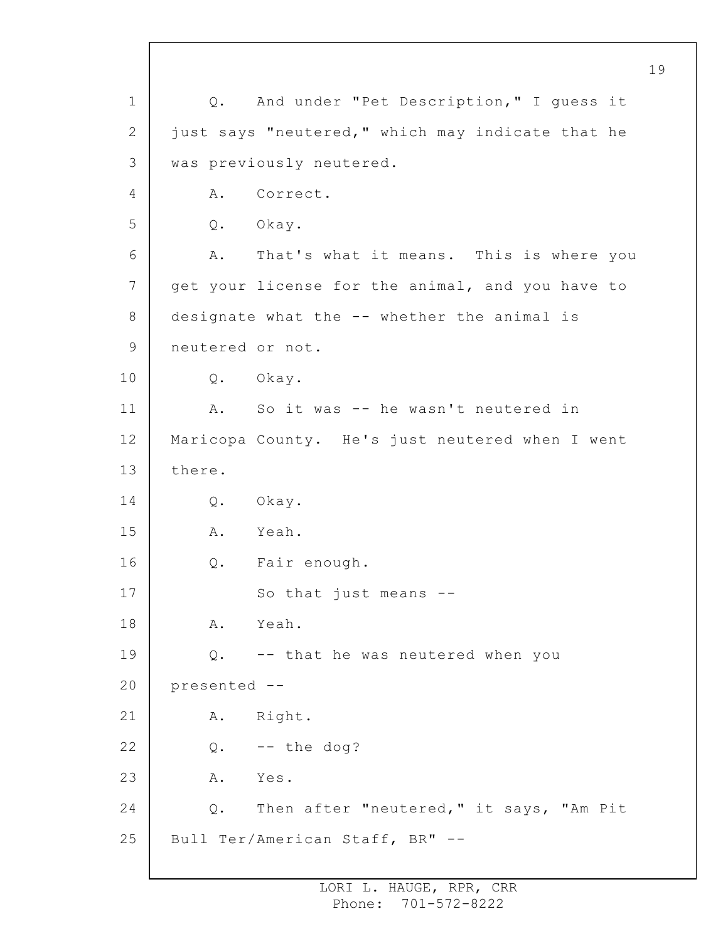1 2 3 4 5 6 7 8 9 10 11 12 13 14 15 16 17 18 19 20 21 22 23 24 25 Q. And under "Pet Description," I guess it just says "neutered," which may indicate that he was previously neutered. A. Correct. Q. Okay. A. That's what it means. This is where you get your license for the animal, and you have to designate what the -- whether the animal is neutered or not. Q. Okay. A. So it was -- he wasn't neutered in Maricopa County. He's just neutered when I went there. Q. Okay. A. Yeah. Q. Fair enough. So that just means -- A. Yeah. Q. -- that he was neutered when you presented -- A. Right.  $Q.$  -- the dog? A. Yes. Q. Then after "neutered," it says, "Am Pit Bull Ter/American Staff, BR" --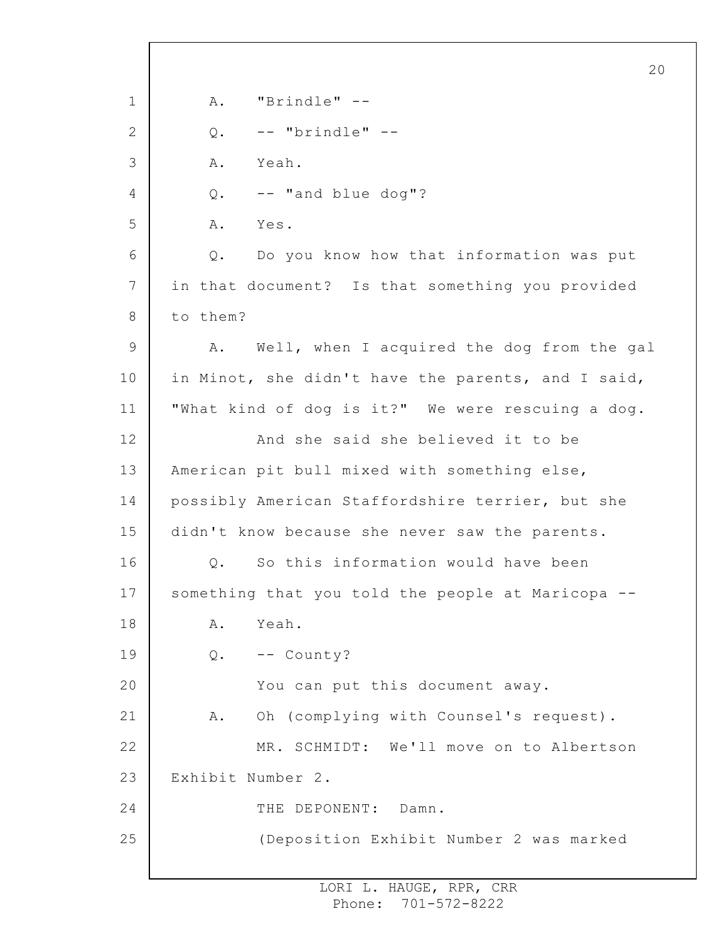1 2 3 4 5 6 7 8 9 10 11 12 13 14 15 16 17 18 19 20 21 22 23 24 25 20 A. "Brindle" --  $Q.$  -- "brindle" --A. Yeah. Q. -- "and blue dog"? A. Yes. Q. Do you know how that information was put in that document? Is that something you provided to them? A. Well, when I acquired the dog from the gal in Minot, she didn't have the parents, and I said, "What kind of dog is it?" We were rescuing a dog. And she said she believed it to be American pit bull mixed with something else, possibly American Staffordshire terrier, but she didn't know because she never saw the parents. Q. So this information would have been something that you told the people at Maricopa -- A. Yeah. Q. -- County? You can put this document away. A. Oh (complying with Counsel's request). MR. SCHMIDT: We'll move on to Albertson Exhibit Number 2. THE DEPONENT: Damn. (Deposition Exhibit Number 2 was marked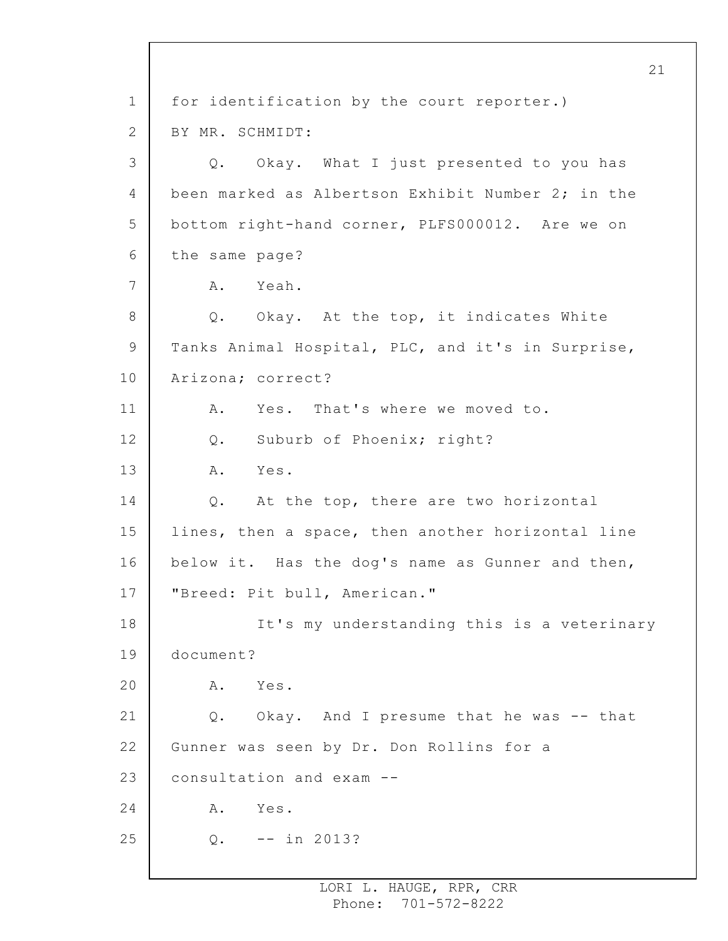1 2 3 4 5 6 7 8 9 10 11 12 13 14 15 16 17 18 19 20 21 22 23 24 25 21 for identification by the court reporter.) BY MR. SCHMIDT: Q. Okay. What I just presented to you has been marked as Albertson Exhibit Number 2; in the bottom right-hand corner, PLFS000012. Are we on the same page? A. Yeah. Q. Okay. At the top, it indicates White Tanks Animal Hospital, PLC, and it's in Surprise, Arizona; correct? A. Yes. That's where we moved to. Q. Suburb of Phoenix; right? A. Yes. Q. At the top, there are two horizontal lines, then a space, then another horizontal line below it. Has the dog's name as Gunner and then, "Breed: Pit bull, American." It's my understanding this is a veterinary document? A. Yes. Q. Okay. And I presume that he was -- that Gunner was seen by Dr. Don Rollins for a consultation and exam -- A. Yes. Q. -- in 2013?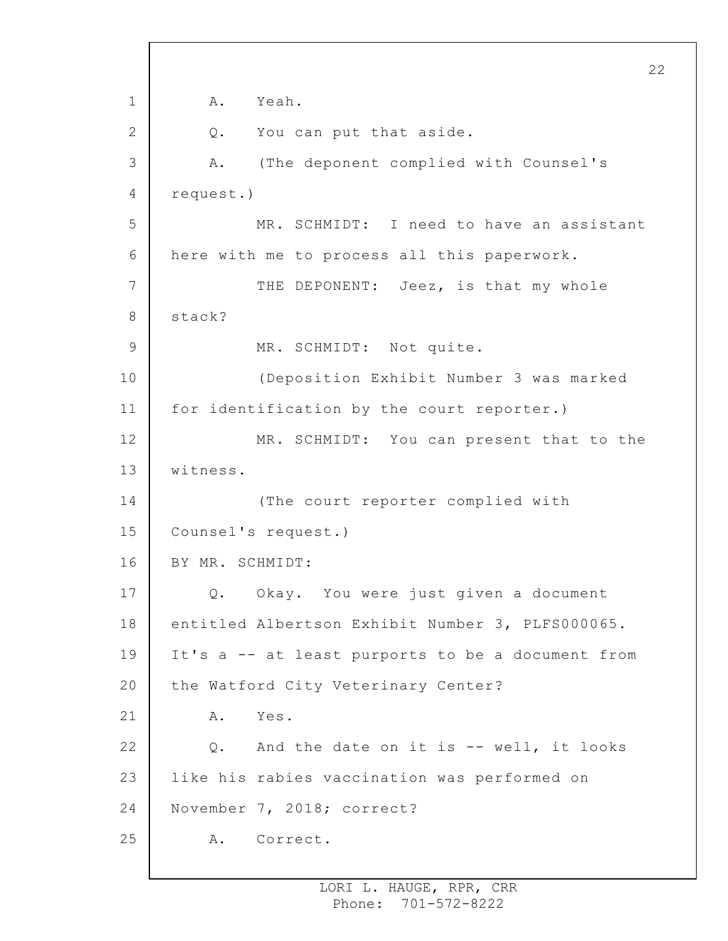1 2 3 4 5 6 7 8 9 10 11 12 13 14 15 16 17 18 19 20 21 22 23 24 25 22 A. Yeah. Q. You can put that aside. A. (The deponent complied with Counsel's request.) MR. SCHMIDT: I need to have an assistant here with me to process all this paperwork. THE DEPONENT: Jeez, is that my whole stack? MR. SCHMIDT: Not quite. (Deposition Exhibit Number 3 was marked for identification by the court reporter.) MR. SCHMIDT: You can present that to the witness. (The court reporter complied with Counsel's request.) BY MR. SCHMIDT: Q. Okay. You were just given a document entitled Albertson Exhibit Number 3, PLFS000065. It's a -- at least purports to be a document from the Watford City Veterinary Center? A. Yes. Q. And the date on it is -- well, it looks like his rabies vaccination was performed on November 7, 2018; correct? A. Correct.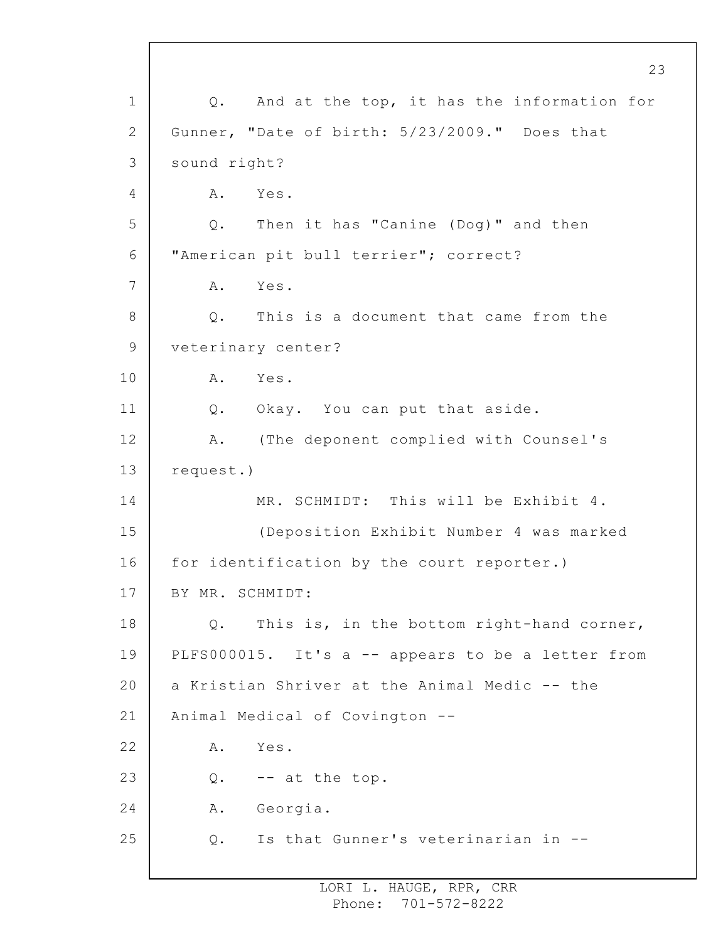1 2 3 4 5 6 7 8 9 10 11 12 13 14 15 16 17 18 19 20 21 22 23 24 25 Q. And at the top, it has the information for Gunner, "Date of birth: 5/23/2009." Does that sound right? A. Yes. Q. Then it has "Canine (Dog)" and then "American pit bull terrier"; correct? A. Yes. Q. This is a document that came from the veterinary center? A. Yes. Q. Okay. You can put that aside. A. (The deponent complied with Counsel's request.) MR. SCHMIDT: This will be Exhibit 4. (Deposition Exhibit Number 4 was marked for identification by the court reporter.) BY MR. SCHMIDT: Q. This is, in the bottom right-hand corner, PLFS000015. It's a -- appears to be a letter from a Kristian Shriver at the Animal Medic -- the Animal Medical of Covington -- A. Yes.  $Q.$  -- at the top. A. Georgia. Q. Is that Gunner's veterinarian in --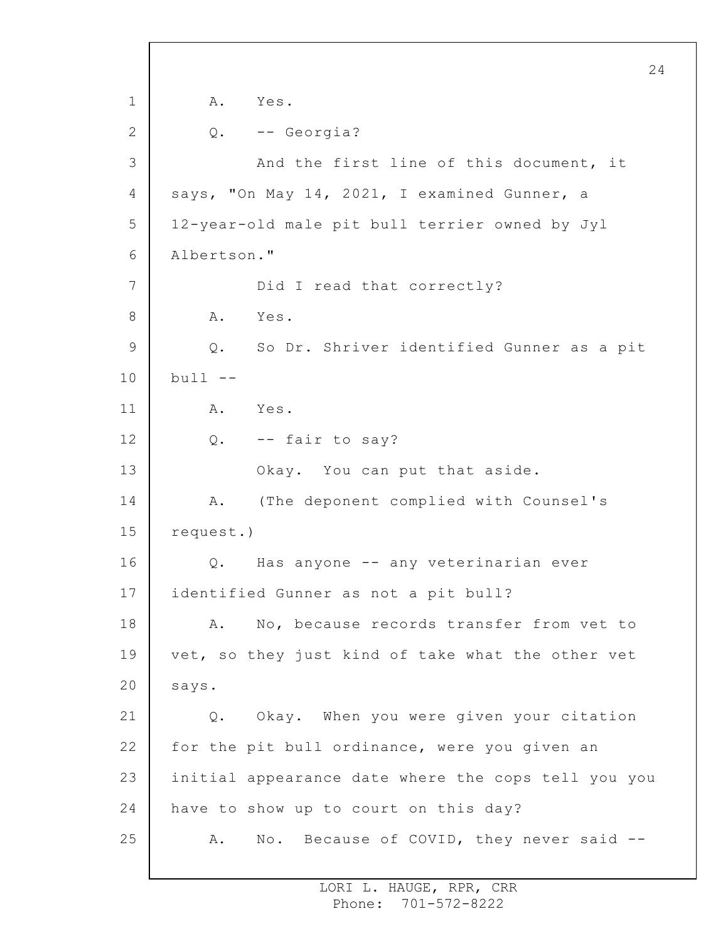1 2 3 4 5 6 7 8 9 10 11 12 13 14 15 16 17 18 19 20 21 22 23 24 25 24 A. Yes. Q. -- Georgia? And the first line of this document, it says, "On May 14, 2021, I examined Gunner, a 12-year-old male pit bull terrier owned by Jyl Albertson." Did I read that correctly? A. Yes. Q. So Dr. Shriver identified Gunner as a pit  $bull$   $--$ A. Yes. Q. -- fair to say? Okay. You can put that aside. A. (The deponent complied with Counsel's request.) Q. Has anyone -- any veterinarian ever identified Gunner as not a pit bull? A. No, because records transfer from vet to vet, so they just kind of take what the other vet says. Q. Okay. When you were given your citation for the pit bull ordinance, were you given an initial appearance date where the cops tell you you have to show up to court on this day? A. No. Because of COVID, they never said --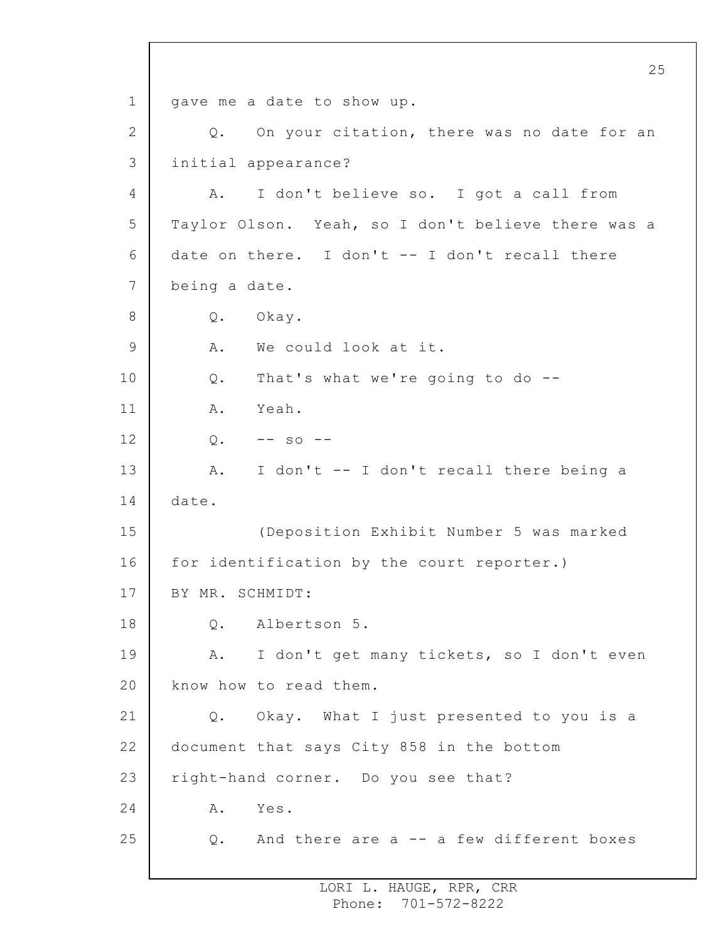1 2 3 4 5 6 7 8 9 10 11 12 13 14 15 16 17 18 19 20 21 22 23 24 25 25 gave me a date to show up. Q. On your citation, there was no date for an initial appearance? A. I don't believe so. I got a call from Taylor Olson. Yeah, so I don't believe there was a date on there. I don't  $-$ - I don't recall there being a date. Q. Okay. A. We could look at it. Q. That's what we're going to do -- A. Yeah.  $Q. \t - -$  so  $-$ A. I don't -- I don't recall there being a date. (Deposition Exhibit Number 5 was marked for identification by the court reporter.) BY MR. SCHMIDT: Q. Albertson 5. A. I don't get many tickets, so I don't even know how to read them. Q. Okay. What I just presented to you is a document that says City 858 in the bottom right-hand corner. Do you see that? A. Yes. Q. And there are a -- a few different boxes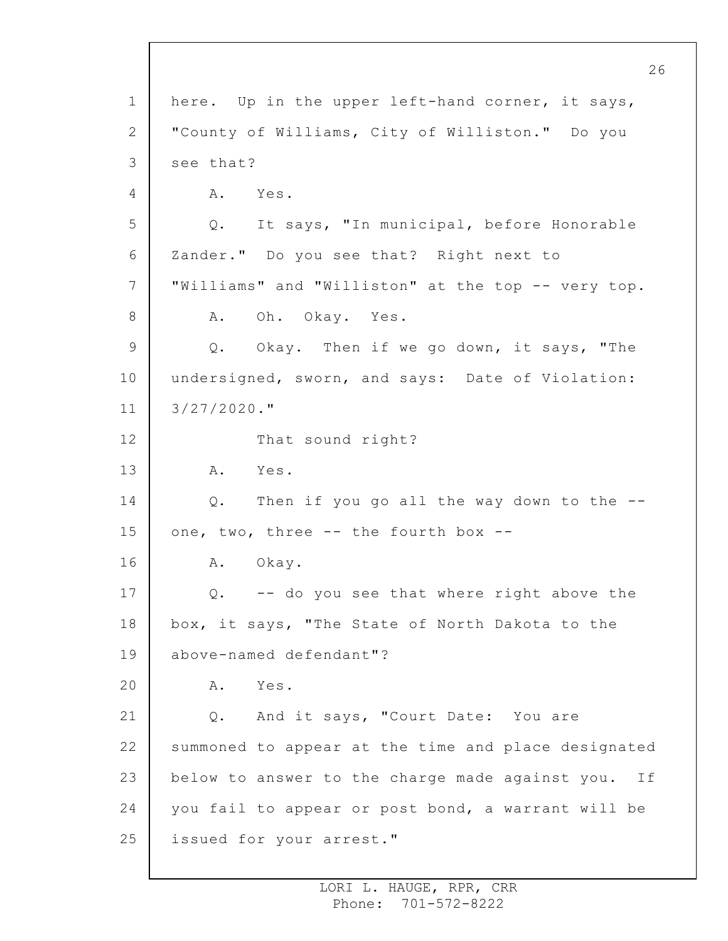1 2 3 4 5 6 7 8 9 10 11 12 13 14 15 16 17 18 19 20 21 22 23 24 25 here. Up in the upper left-hand corner, it says, "County of Williams, City of Williston." Do you see that? A. Yes. Q. It says, "In municipal, before Honorable Zander." Do you see that? Right next to "Williams" and "Williston" at the top -- very top. A. Oh. Okay. Yes. Q. Okay. Then if we go down, it says, "The undersigned, sworn, and says: Date of Violation: 3/27/2020." That sound right? A. Yes. Q. Then if you go all the way down to the - one, two, three -- the fourth box -- A. Okay. Q. -- do you see that where right above the box, it says, "The State of North Dakota to the above-named defendant"? A. Yes. Q. And it says, "Court Date: You are summoned to appear at the time and place designated below to answer to the charge made against you. If you fail to appear or post bond, a warrant will be issued for your arrest."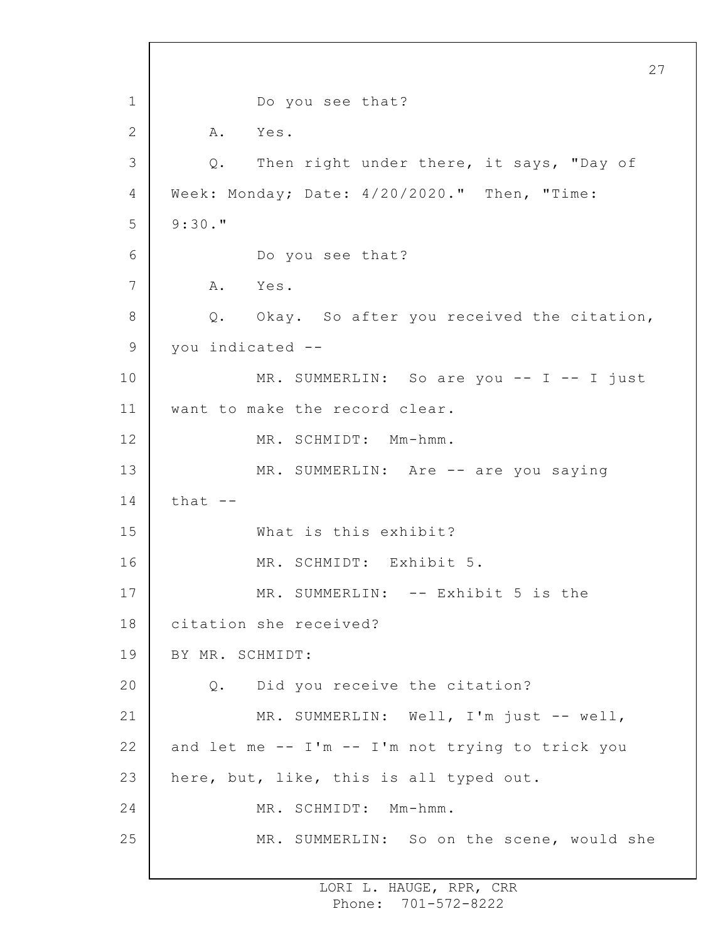1 2 3 4 5 6 7 8 9 10 11 12 13 14 15 16 17 18 19 20 21 22 23 24 25 27 Do you see that? A. Yes. Q. Then right under there, it says, "Day of Week: Monday; Date: 4/20/2020." Then, "Time: 9:30." Do you see that? A. Yes. Q. Okay. So after you received the citation, you indicated -- MR. SUMMERLIN: So are you -- I -- I just want to make the record clear. MR. SCHMIDT: Mm-hmm. MR. SUMMERLIN: Are -- are you saying that  $--$ What is this exhibit? MR. SCHMIDT: Exhibit 5. MR. SUMMERLIN: -- Exhibit 5 is the citation she received? BY MR. SCHMIDT: Q. Did you receive the citation? MR. SUMMERLIN: Well, I'm just -- well, and let me -- I'm -- I'm not trying to trick you here, but, like, this is all typed out. MR. SCHMIDT: Mm-hmm. MR. SUMMERLIN: So on the scene, would she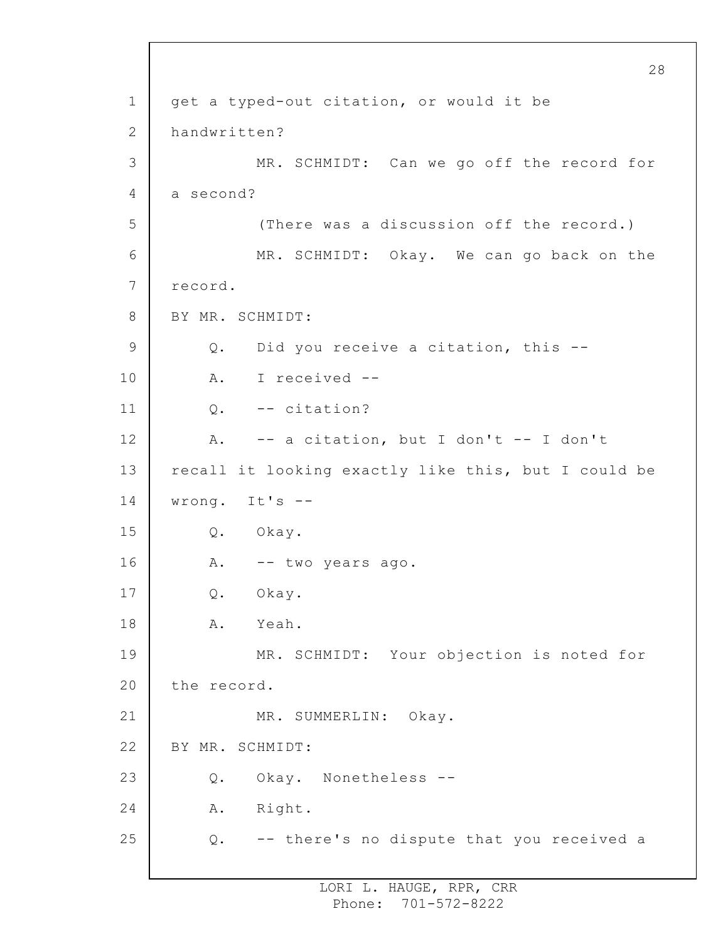1 2 3 4 5 6 7 8 9 10 11 12 13 14 15 16 17 18 19 20 21 22 23 24 25 28 get a typed-out citation, or would it be handwritten? MR. SCHMIDT: Can we go off the record for a second? (There was a discussion off the record.) MR. SCHMIDT: Okay. We can go back on the record. BY MR. SCHMIDT: Q. Did you receive a citation, this -- A. I received -- Q. -- citation? A. -- a citation, but I don't -- I don't recall it looking exactly like this, but I could be wrong. It's -- Q. Okay. A. -- two years ago. Q. Okay. A. Yeah. MR. SCHMIDT: Your objection is noted for the record. MR. SUMMERLIN: Okay. BY MR. SCHMIDT: Q. Okay. Nonetheless -- A. Right. Q. -- there's no dispute that you received a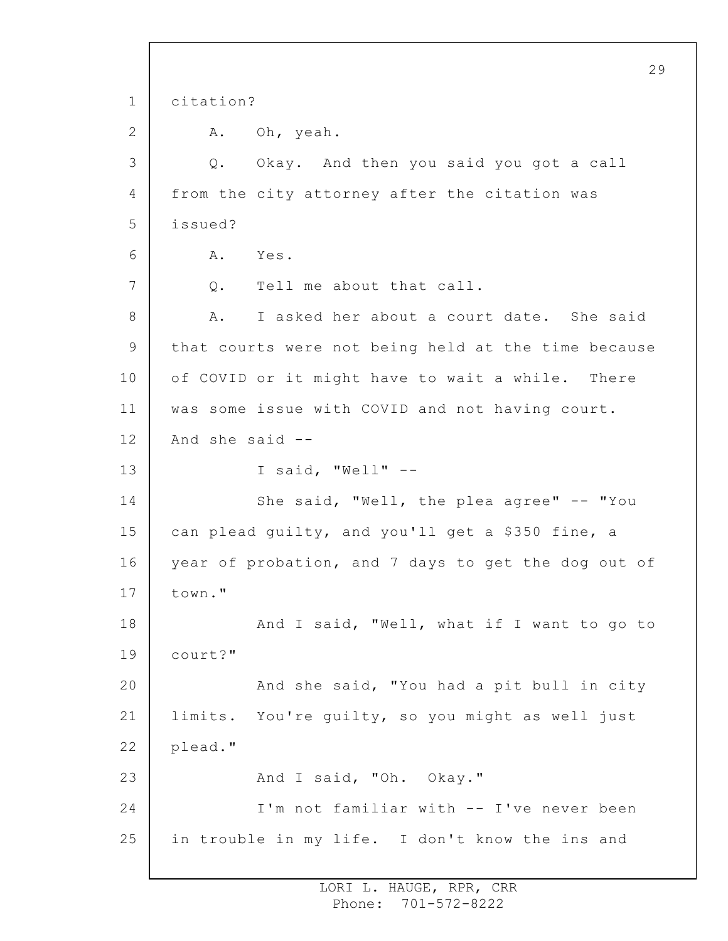1 2 3 4 5 6 7 8 9 10 11 12 13 14 15 16 17 18 19 20 21 22 23 24 25 29 citation? A. Oh, yeah. Q. Okay. And then you said you got a call from the city attorney after the citation was issued? A. Yes. Q. Tell me about that call. A. I asked her about a court date. She said that courts were not being held at the time because of COVID or it might have to wait a while. There was some issue with COVID and not having court. And she said -- I said, "Well" -- She said, "Well, the plea agree" -- "You can plead guilty, and you'll get a \$350 fine, a year of probation, and 7 days to get the dog out of town." And I said, "Well, what if I want to go to court?" And she said, "You had a pit bull in city limits. You're guilty, so you might as well just plead." And I said, "Oh. Okay." I'm not familiar with -- I've never been in trouble in my life. I don't know the ins and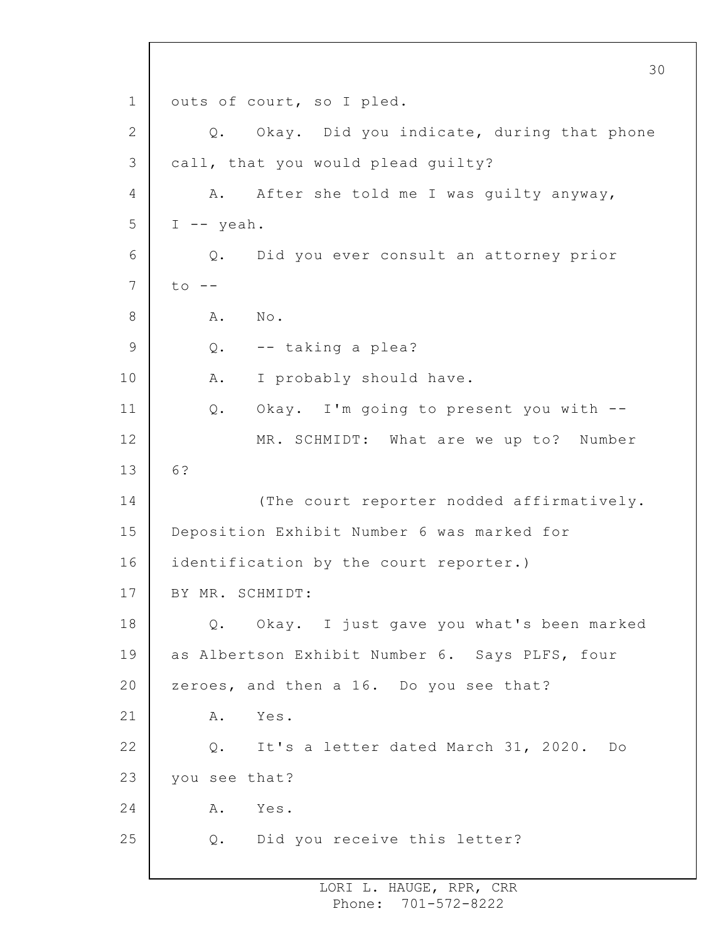1 2 3 4 5 6 7 8 9 10 11 12 13 14 15 16 17 18 19 20 21 22 23 24 25 30 outs of court, so I pled. Q. Okay. Did you indicate, during that phone call, that you would plead guilty? A. After she told me I was guilty anyway, I -- yeah. Q. Did you ever consult an attorney prior  $to$   $--$ A. No. Q. -- taking a plea? A. I probably should have. Q. Okay. I'm going to present you with -- MR. SCHMIDT: What are we up to? Number 6? (The court reporter nodded affirmatively. Deposition Exhibit Number 6 was marked for identification by the court reporter.) BY MR. SCHMIDT: Q. Okay. I just gave you what's been marked as Albertson Exhibit Number 6. Says PLFS, four zeroes, and then a 16. Do you see that? A. Yes. Q. It's a letter dated March 31, 2020. Do you see that? A. Yes. Q. Did you receive this letter?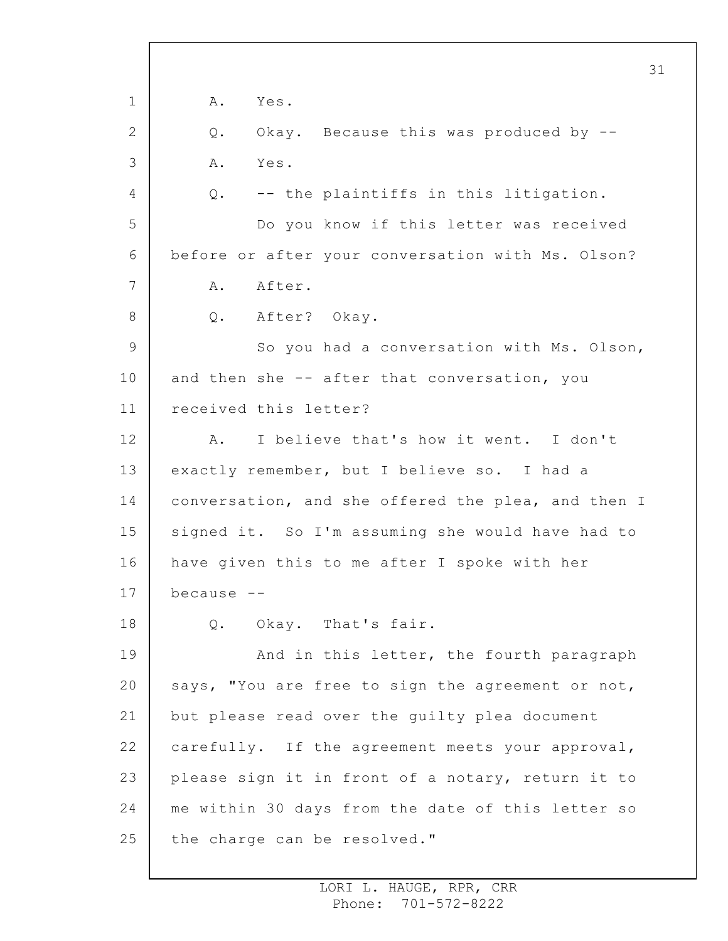1 2 3 4 5 6 7 8 9 10 11 12 13 14 15 16 17 18 19 20 21 22 23 24 25 31 A. Yes. Q. Okay. Because this was produced by -- A. Yes. Q. -- the plaintiffs in this litigation. Do you know if this letter was received before or after your conversation with Ms. Olson? A. After. Q. After? Okay. So you had a conversation with Ms. Olson, and then she -- after that conversation, you received this letter? A. I believe that's how it went. I don't exactly remember, but I believe so. I had a conversation, and she offered the plea, and then I signed it. So I'm assuming she would have had to have given this to me after I spoke with her because -- Q. Okay. That's fair. And in this letter, the fourth paragraph says, "You are free to sign the agreement or not, but please read over the guilty plea document carefully. If the agreement meets your approval, please sign it in front of a notary, return it to me within 30 days from the date of this letter so the charge can be resolved."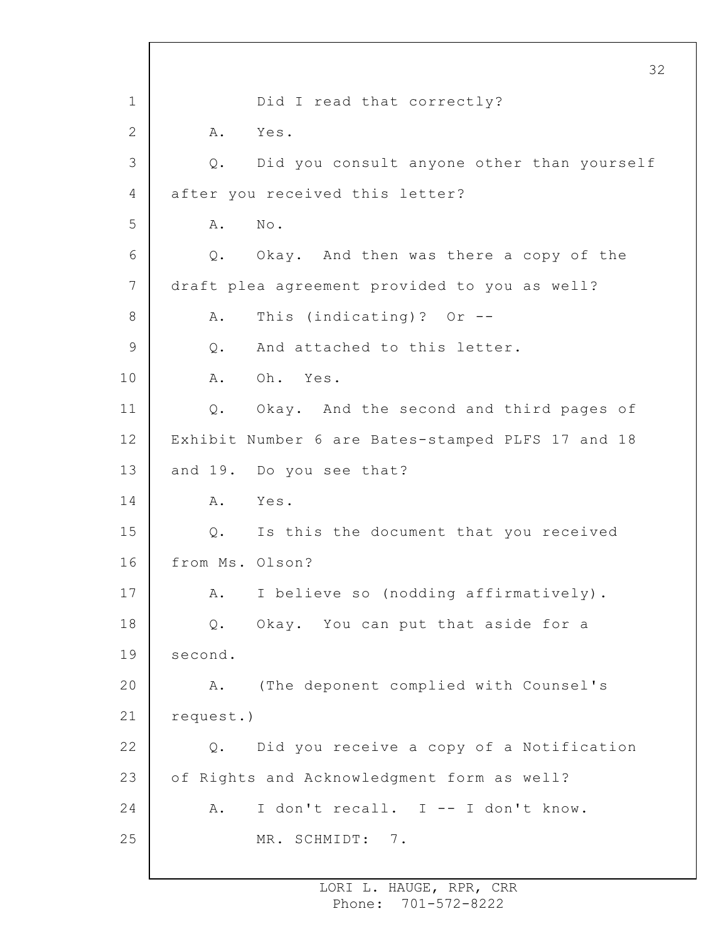1 2 3 4 5 6 7 8 9 10 11 12 13 14 15 16 17 18 19 20 21 22 23 24 25 32 Did I read that correctly? A. Yes. Q. Did you consult anyone other than yourself after you received this letter? A. No. Q. Okay. And then was there a copy of the draft plea agreement provided to you as well? A. This (indicating)? Or -- Q. And attached to this letter. A. Oh. Yes. Q. Okay. And the second and third pages of Exhibit Number 6 are Bates-stamped PLFS 17 and 18 and 19. Do you see that? A. Yes. Q. Is this the document that you received from Ms. Olson? A. I believe so (nodding affirmatively). Q. Okay. You can put that aside for a second. A. (The deponent complied with Counsel's request.) Q. Did you receive a copy of a Notification of Rights and Acknowledgment form as well? A. I don't recall. I -- I don't know. MR. SCHMIDT: 7.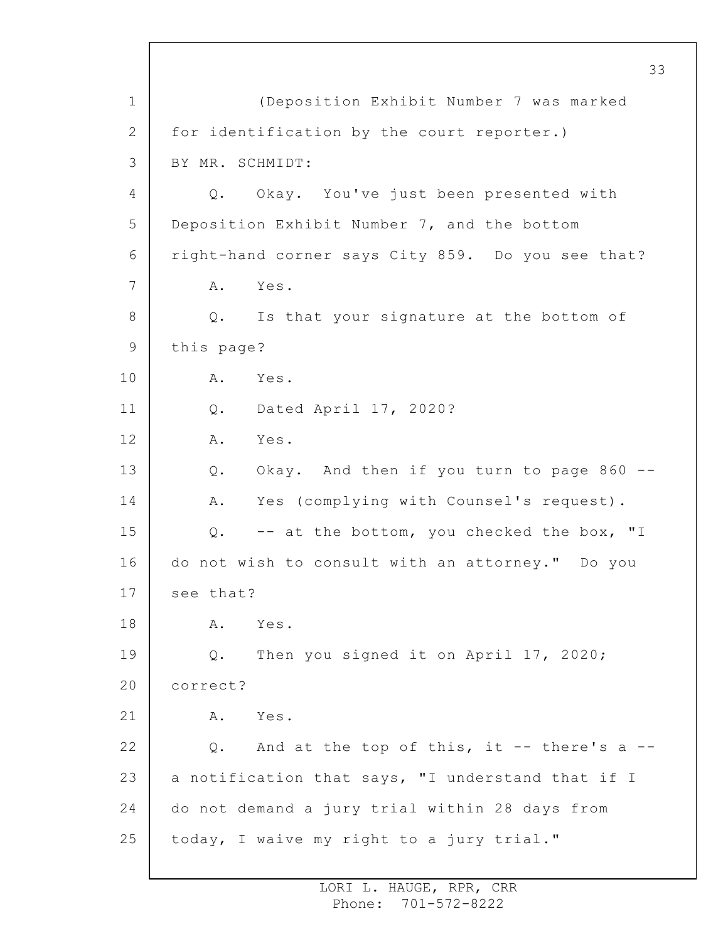1 2 3 4 5 6 7 8 9 10 11 12 13 14 15 16 17 18 19 20 21 22 23 24 25 33 (Deposition Exhibit Number 7 was marked for identification by the court reporter.) BY MR. SCHMIDT: Q. Okay. You've just been presented with Deposition Exhibit Number 7, and the bottom right-hand corner says City 859. Do you see that? A. Yes. Q. Is that your signature at the bottom of this page? A. Yes. Q. Dated April 17, 2020? A. Yes. Q. Okay. And then if you turn to page 860 -- A. Yes (complying with Counsel's request). Q. -- at the bottom, you checked the box, "I do not wish to consult with an attorney." Do you see that? A. Yes. Q. Then you signed it on April 17, 2020; correct? A. Yes. Q. And at the top of this, it -- there's a - a notification that says, "I understand that if I do not demand a jury trial within 28 days from today, I waive my right to a jury trial."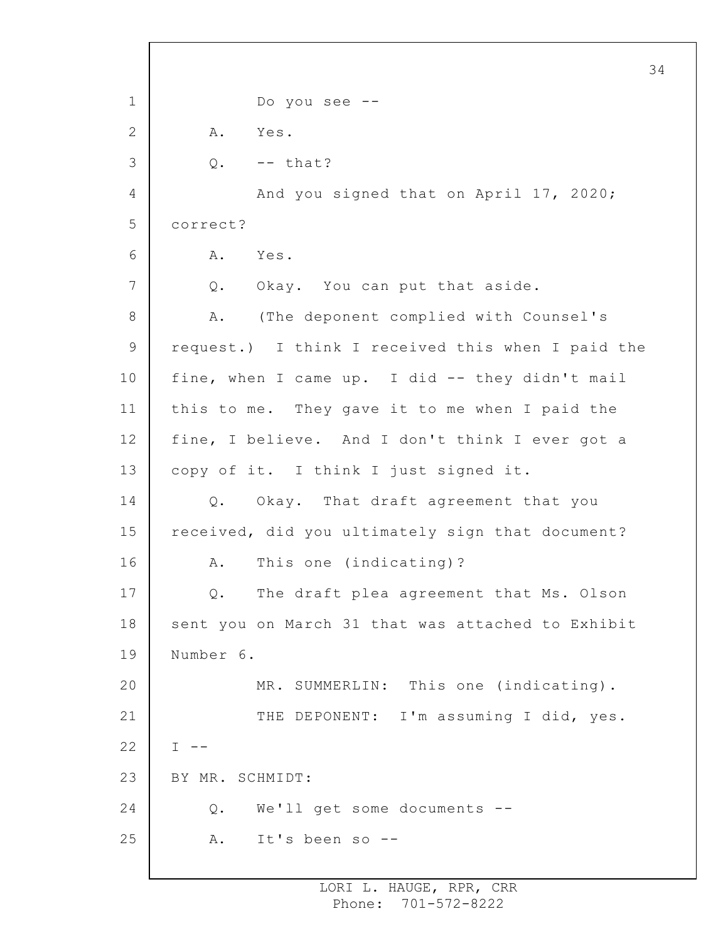1 2 3 4 5 6 7 8 9 10 11 12 13 14 15 16 17 18 19 20 21 22 23 24 25 Do you see -- A. Yes.  $Q.$  -- that? And you signed that on April 17, 2020; correct? A. Yes. Q. Okay. You can put that aside. A. (The deponent complied with Counsel's request.) I think I received this when I paid the fine, when I came up. I did -- they didn't mail this to me. They gave it to me when I paid the fine, I believe. And I don't think I ever got a copy of it. I think I just signed it. Q. Okay. That draft agreement that you received, did you ultimately sign that document? A. This one (indicating)? Q. The draft plea agreement that Ms. Olson sent you on March 31 that was attached to Exhibit Number 6. MR. SUMMERLIN: This one (indicating). THE DEPONENT: I'm assuming I did, yes.  $I - -$ BY MR. SCHMIDT: Q. We'll get some documents -- A. It's been so --

34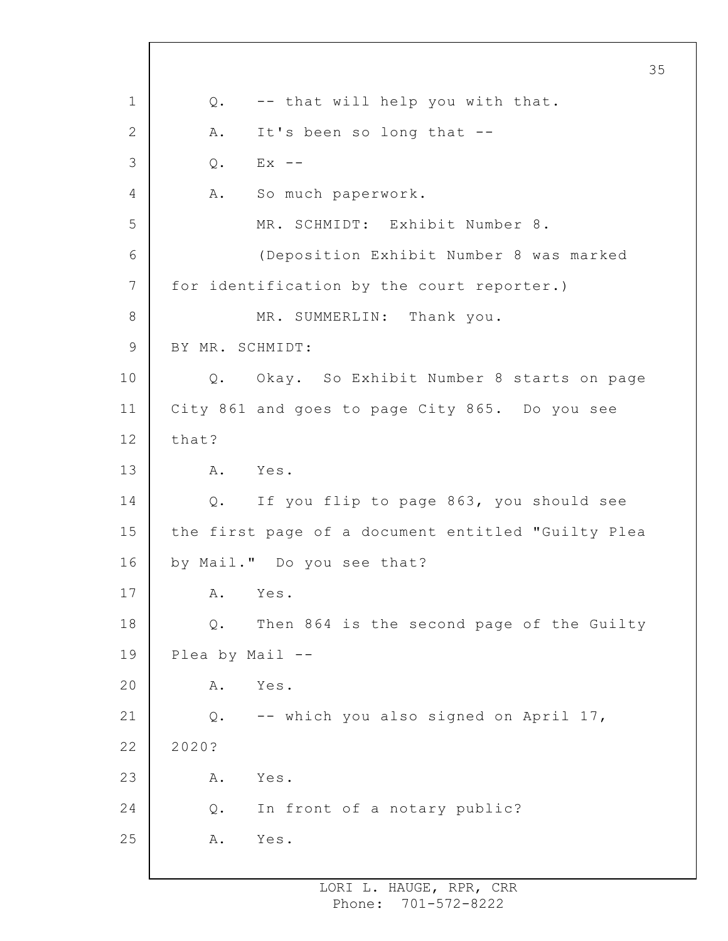1 2 3 4 5 6 7 8 9 10 11 12 13 14 15 16 17 18 19 20 21 22 23 24 25 Q. -- that will help you with that. A. It's been so long that --  $Q.$  Ex  $-$ A. So much paperwork. MR. SCHMIDT: Exhibit Number 8. (Deposition Exhibit Number 8 was marked for identification by the court reporter.) MR. SUMMERLIN: Thank you. BY MR. SCHMIDT: Q. Okay. So Exhibit Number 8 starts on page City 861 and goes to page City 865. Do you see that? A. Yes. Q. If you flip to page 863, you should see the first page of a document entitled "Guilty Plea by Mail." Do you see that? A. Yes. Q. Then 864 is the second page of the Guilty Plea by Mail -- A. Yes. Q. -- which you also signed on April 17, 2020? A. Yes. Q. In front of a notary public? A. Yes.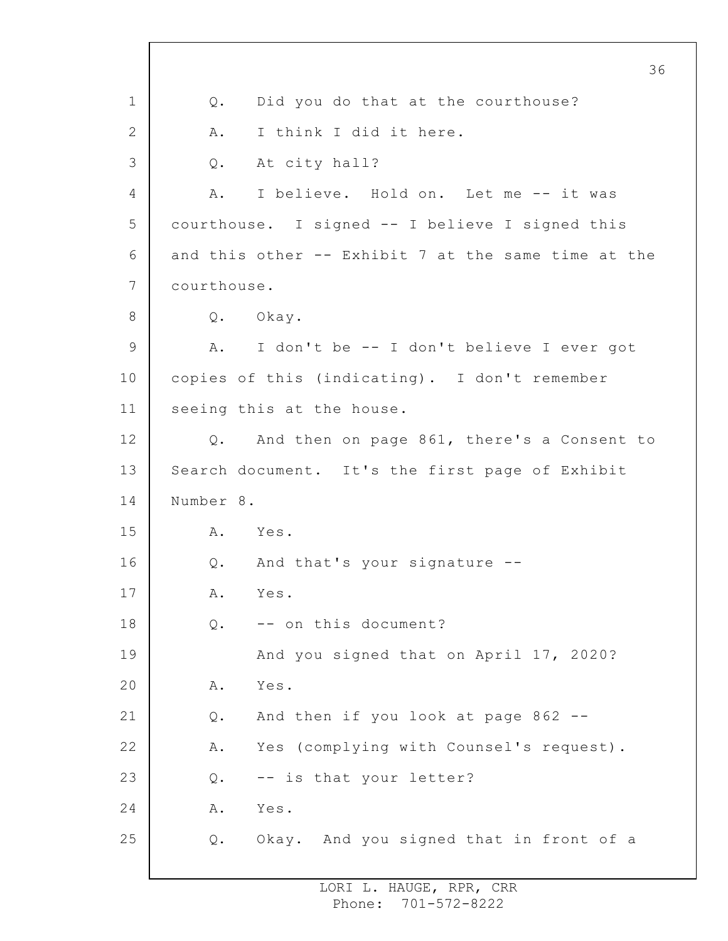1 2 3 4 5 6 7 8 9 10 11 12 13 14 15 16 17 18 19 20 21 22 23 24 25 36 Q. Did you do that at the courthouse? A. I think I did it here. Q. At city hall? A. I believe. Hold on. Let me -- it was courthouse. I signed -- I believe I signed this and this other -- Exhibit 7 at the same time at the courthouse. Q. Okay. A. I don't be -- I don't believe I ever got copies of this (indicating). I don't remember seeing this at the house. Q. And then on page 861, there's a Consent to Search document. It's the first page of Exhibit Number 8. A. Yes. Q. And that's your signature -- A. Yes. Q. -- on this document? And you signed that on April 17, 2020? A. Yes. Q. And then if you look at page 862 -- A. Yes (complying with Counsel's request). Q. -- is that your letter? A. Yes. Q. Okay. And you signed that in front of a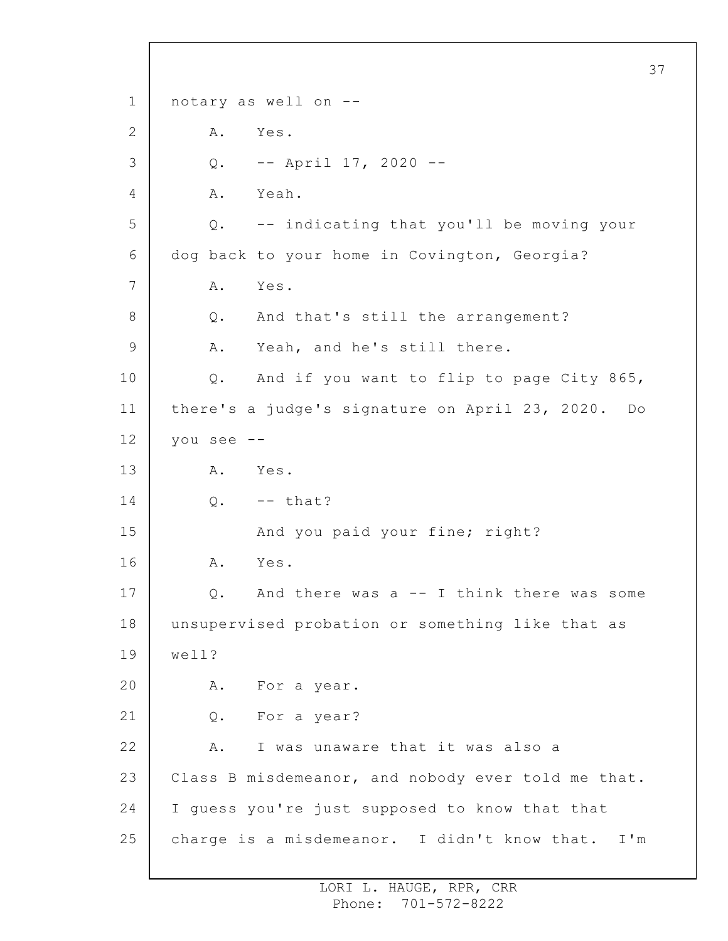1 2 3 4 5 6 7 8 9 10 11 12 13 14 15 16 17 18 19 20 21 22 23 24 25 37 notary as well on -- A. Yes. Q. -- April 17, 2020 -- A. Yeah. Q. -- indicating that you'll be moving your dog back to your home in Covington, Georgia? A. Yes. Q. And that's still the arrangement? A. Yeah, and he's still there. Q. And if you want to flip to page City 865, there's a judge's signature on April 23, 2020. Do you see -- A. Yes.  $Q.$  -- that? And you paid your fine; right? A. Yes. Q. And there was a -- I think there was some unsupervised probation or something like that as well? A. For a year. Q. For a year? A. I was unaware that it was also a Class B misdemeanor, and nobody ever told me that. I guess you're just supposed to know that that charge is a misdemeanor. I didn't know that. I'm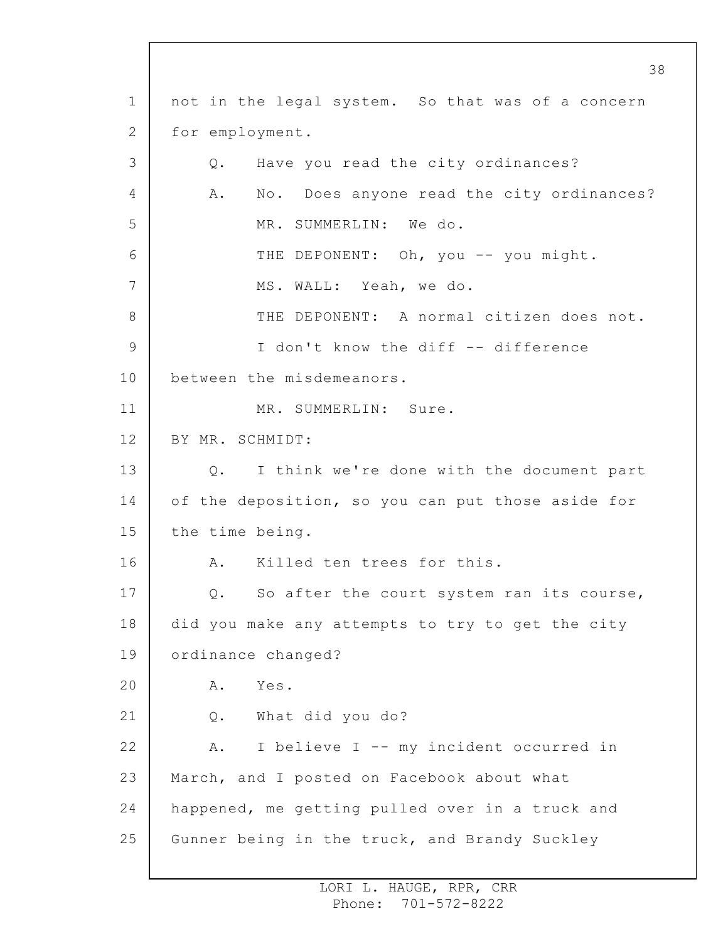1 2 3 4 5 6 7 8 9 10 11 12 13 14 15 16 17 18 19 20 21 22 23 24 25 not in the legal system. So that was of a concern for employment. Q. Have you read the city ordinances? A. No. Does anyone read the city ordinances? MR. SUMMERLIN: We do. THE DEPONENT: Oh, you -- you might. MS. WALL: Yeah, we do. THE DEPONENT: A normal citizen does not. I don't know the diff -- difference between the misdemeanors. MR. SUMMERLIN: Sure. BY MR. SCHMIDT: Q. I think we're done with the document part of the deposition, so you can put those aside for the time being. A. Killed ten trees for this. Q. So after the court system ran its course, did you make any attempts to try to get the city ordinance changed? A. Yes. Q. What did you do? A. I believe I -- my incident occurred in March, and I posted on Facebook about what happened, me getting pulled over in a truck and Gunner being in the truck, and Brandy Suckley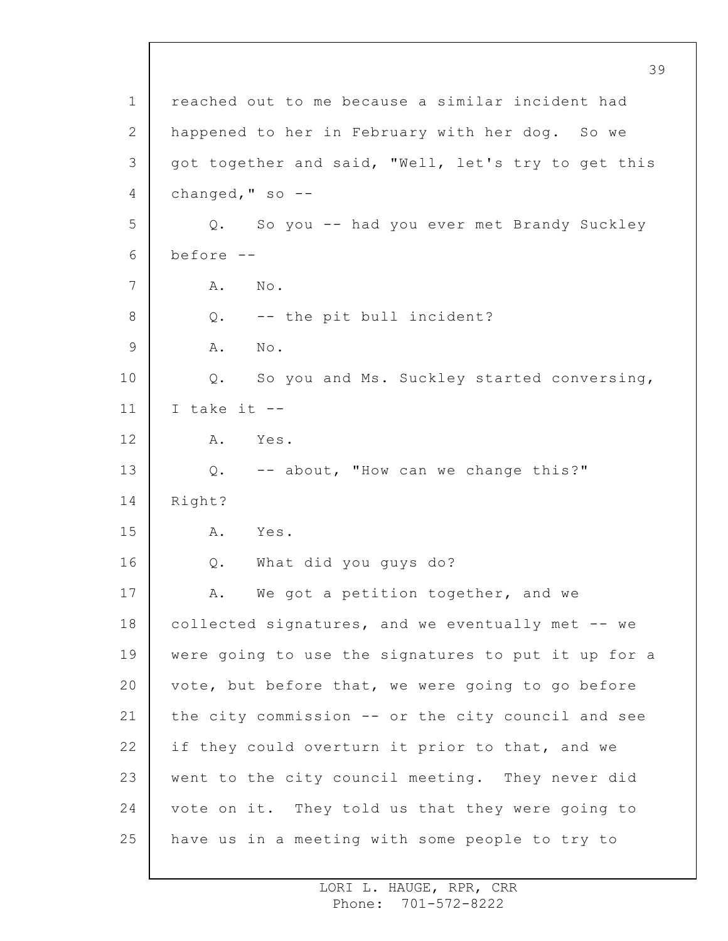1 2 3 4 5 6 7 8 9 10 11 12 13 14 15 16 17 18 19 20 21 22 23 24 25 39 reached out to me because a similar incident had happened to her in February with her dog. So we got together and said, "Well, let's try to get this changed, " $so$  --Q. So you -- had you ever met Brandy Suckley before -- A. No. Q. -- the pit bull incident? A. No. Q. So you and Ms. Suckley started conversing, I take it  $-$ A. Yes. Q. -- about, "How can we change this?" Right? A. Yes. Q. What did you guys do? A. We got a petition together, and we collected signatures, and we eventually met -- we were going to use the signatures to put it up for a vote, but before that, we were going to go before the city commission -- or the city council and see if they could overturn it prior to that, and we went to the city council meeting. They never did vote on it. They told us that they were going to have us in a meeting with some people to try to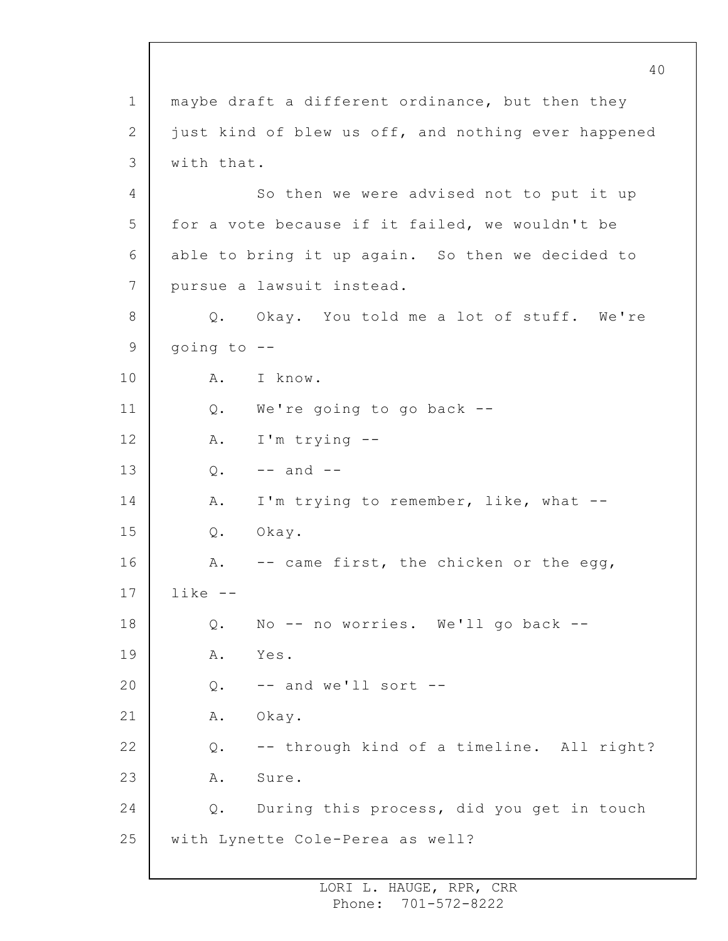1 2 3 4 5 6 7 8 9 10 11 12 13 14 15 16 17 18 19 20 21 22 23 24 25 maybe draft a different ordinance, but then they just kind of blew us off, and nothing ever happened with that. So then we were advised not to put it up for a vote because if it failed, we wouldn't be able to bring it up again. So then we decided to pursue a lawsuit instead. Q. Okay. You told me a lot of stuff. We're going to -- A. I know. Q. We're going to go back -- A. I'm trying --  $0. - -$  and  $-$ A. I'm trying to remember, like, what -- Q. Okay. A. -- came first, the chicken or the egg, like -- Q. No -- no worries. We'll go back -- A. Yes.  $Q.$  -- and we'll sort --A. Okay. Q. -- through kind of a timeline. All right? A. Sure. Q. During this process, did you get in touch with Lynette Cole-Perea as well?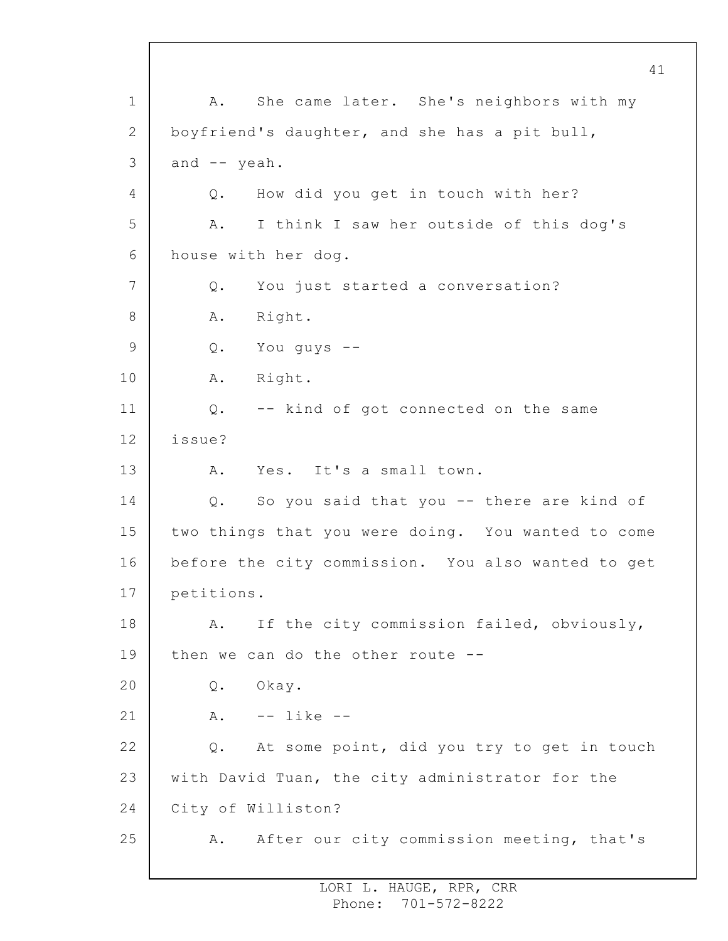1 2 3 4 5 6 7 8 9 10 11 12 13 14 15 16 17 18 19 20 21 22 23 24 25 A. She came later. She's neighbors with my boyfriend's daughter, and she has a pit bull, and -- yeah. Q. How did you get in touch with her? A. I think I saw her outside of this dog's house with her dog. Q. You just started a conversation? A. Right. Q. You guys -- A. Right. Q. -- kind of got connected on the same issue? A. Yes. It's a small town. Q. So you said that you -- there are kind of two things that you were doing. You wanted to come before the city commission. You also wanted to get petitions. A. If the city commission failed, obviously, then we can do the other route -- Q. Okay. A. -- like -- Q. At some point, did you try to get in touch with David Tuan, the city administrator for the City of Williston? A. After our city commission meeting, that's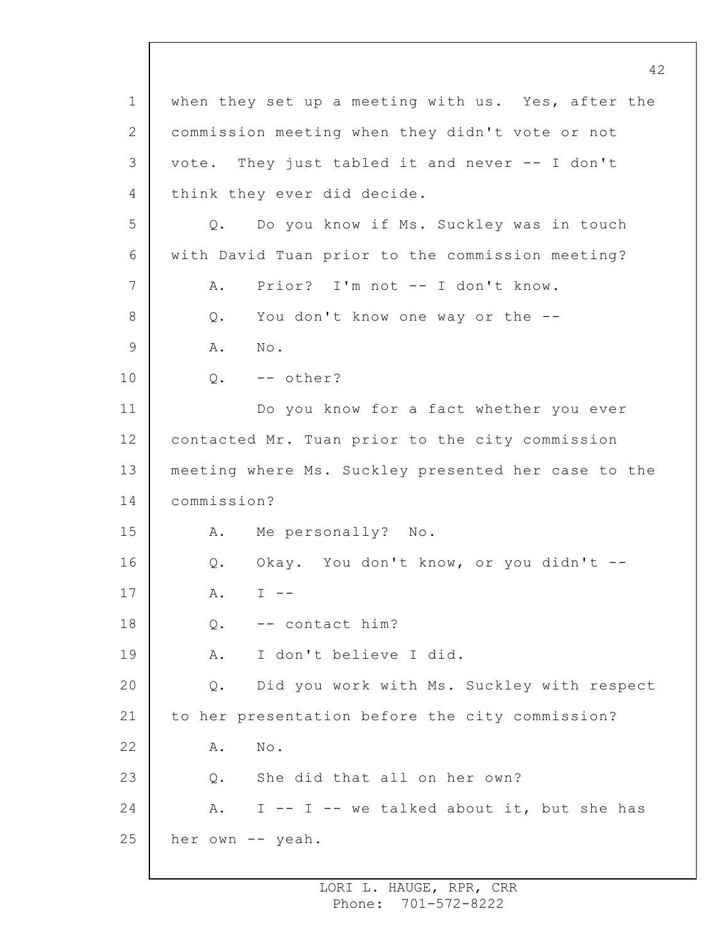1 2 3 4 5 6 7 8 9 10 11 12 13 14 15 16 17 18 19 20 21 22 23 24 25 42 when they set up a meeting with us. Yes, after the commission meeting when they didn't vote or not vote. They just tabled it and never -- I don't think they ever did decide. Q. Do you know if Ms. Suckley was in touch with David Tuan prior to the commission meeting? A. Prior? I'm not -- I don't know. Q. You don't know one way or the -- A. No. Q. -- other? Do you know for a fact whether you ever contacted Mr. Tuan prior to the city commission meeting where Ms. Suckley presented her case to the commission? A. Me personally? No. Q. Okay. You don't know, or you didn't --  $A.$  I  $-$ Q. -- contact him? A. I don't believe I did. Q. Did you work with Ms. Suckley with respect to her presentation before the city commission? A. No. Q. She did that all on her own? A. I -- I -- we talked about it, but she has her own -- yeah.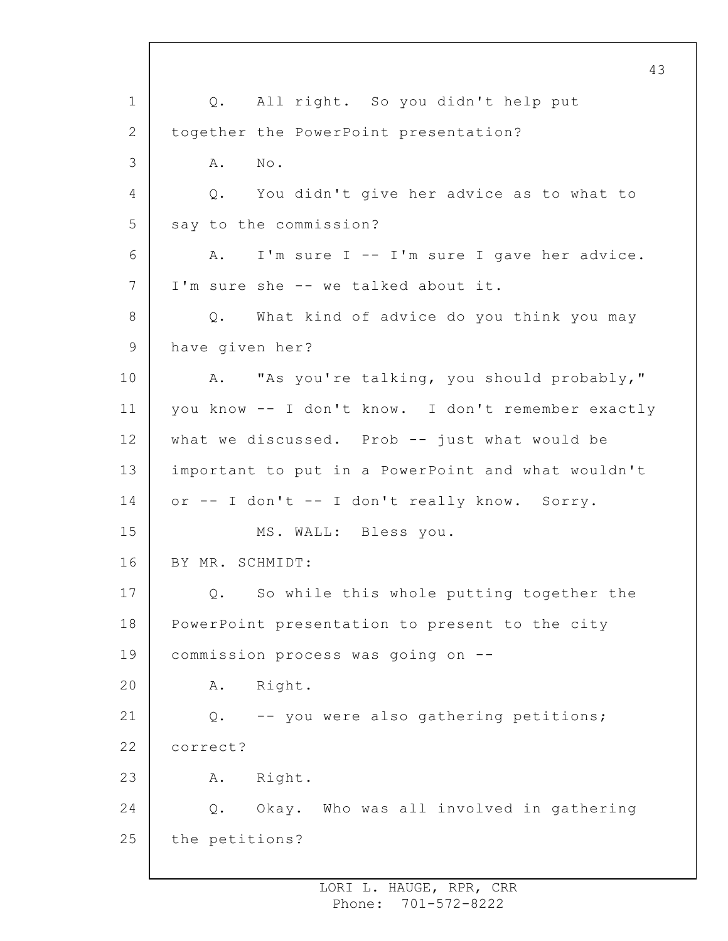1 2 3 4 5 6 7 8 9 10 11 12 13 14 15 16 17 18 19 20 21 22 23 24 25 43 Q. All right. So you didn't help put together the PowerPoint presentation? A. No. Q. You didn't give her advice as to what to say to the commission? A. I'm sure I -- I'm sure I gave her advice. I'm sure she -- we talked about it. Q. What kind of advice do you think you may have given her? A. "As you're talking, you should probably," you know -- I don't know. I don't remember exactly what we discussed. Prob  $--$  just what would be important to put in a PowerPoint and what wouldn't or -- I don't -- I don't really know. Sorry. MS. WALL: Bless you. BY MR. SCHMIDT: Q. So while this whole putting together the PowerPoint presentation to present to the city commission process was going on -- A. Right. Q. -- you were also gathering petitions; correct? A. Right. Q. Okay. Who was all involved in gathering the petitions?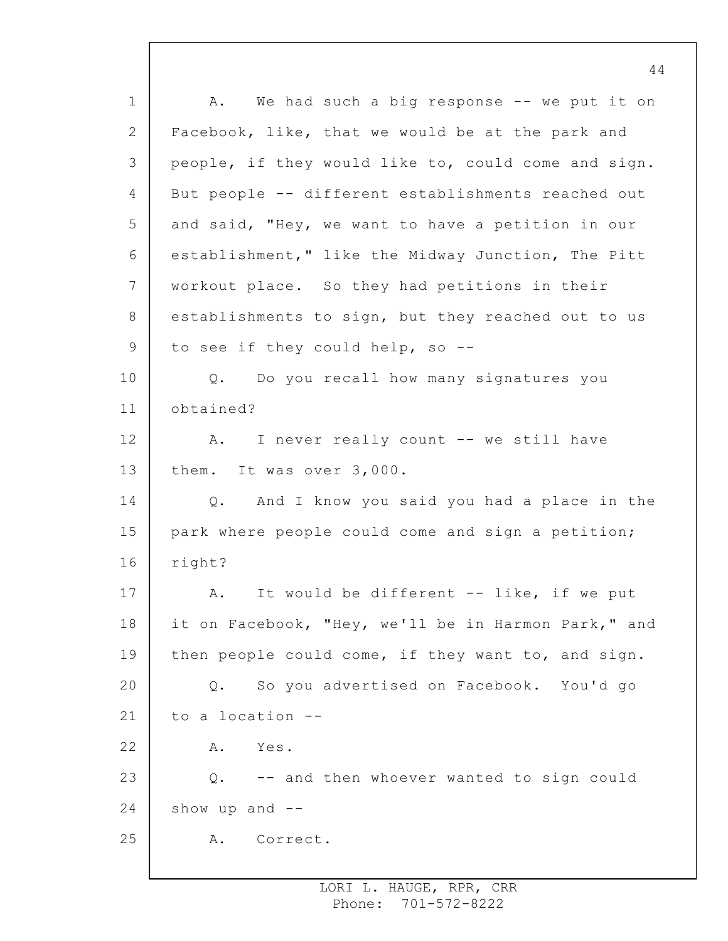1 2 3 4 5 6 7 8 9 10 11 12 13 14 15 16 17 18 19 20 21 22 23 24 25 44 A. We had such a big response -- we put it on Facebook, like, that we would be at the park and people, if they would like to, could come and sign. But people -- different establishments reached out and said, "Hey, we want to have a petition in our establishment," like the Midway Junction, The Pitt workout place. So they had petitions in their establishments to sign, but they reached out to us to see if they could help, so -- Q. Do you recall how many signatures you obtained? A. I never really count -- we still have them. It was over 3,000. Q. And I know you said you had a place in the park where people could come and sign a petition; right? A. It would be different -- like, if we put it on Facebook, "Hey, we'll be in Harmon Park," and then people could come, if they want to, and sign. Q. So you advertised on Facebook. You'd go to a location -- A. Yes. Q. -- and then whoever wanted to sign could show up and  $-$ A. Correct.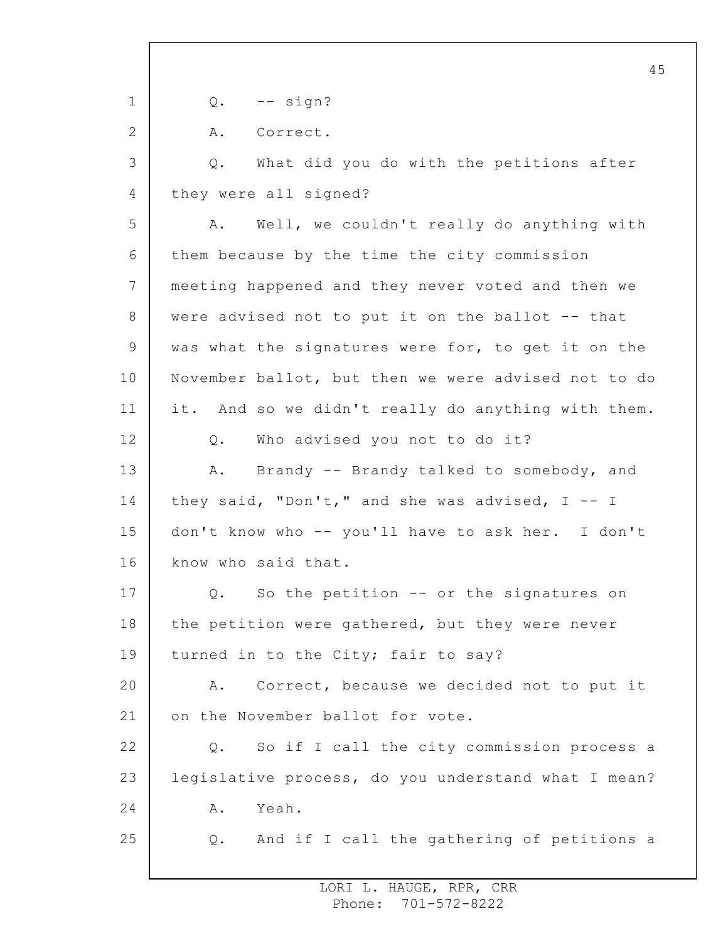1 2 3 4 5 6 7 8 9 10 11 12 13 14 15 16 17 18 19 20 21 22 23 24 25  $Q.$  -- sign? A. Correct. Q. What did you do with the petitions after they were all signed? A. Well, we couldn't really do anything with them because by the time the city commission meeting happened and they never voted and then we were advised not to put it on the ballot -- that was what the signatures were for, to get it on the November ballot, but then we were advised not to do it. And so we didn't really do anything with them. Q. Who advised you not to do it? A. Brandy -- Brandy talked to somebody, and they said, "Don't," and she was advised,  $I - - I$ don't know who -- you'll have to ask her. I don't know who said that. Q. So the petition -- or the signatures on the petition were gathered, but they were never turned in to the City; fair to say? A. Correct, because we decided not to put it on the November ballot for vote. Q. So if I call the city commission process a legislative process, do you understand what I mean? A. Yeah. Q. And if I call the gathering of petitions a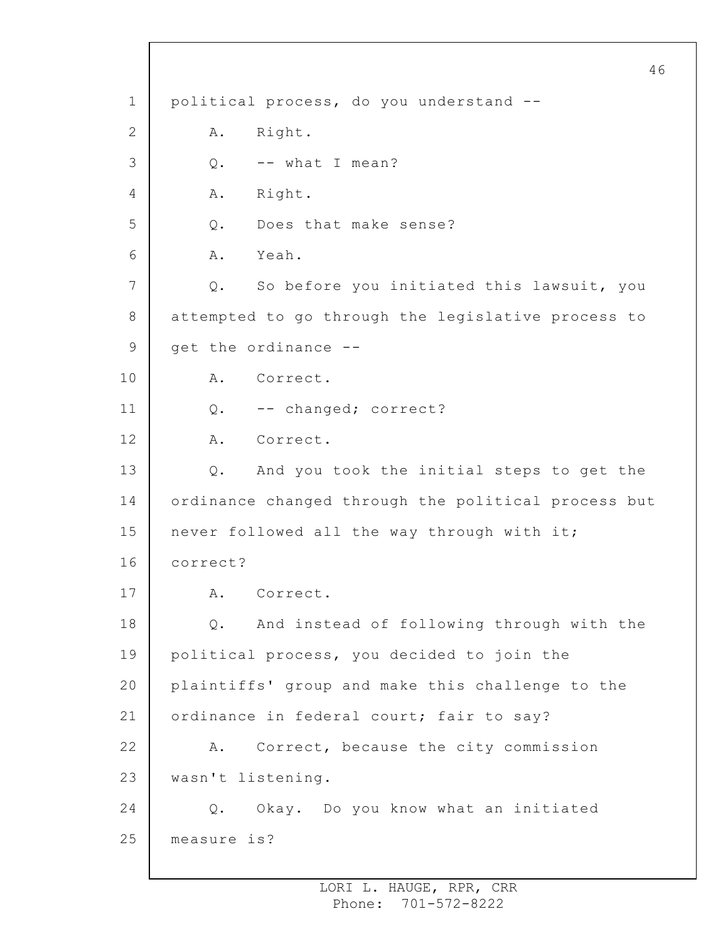1 2 3 4 5 6 7 8 9 10 11 12 13 14 15 16 17 18 19 20 21 22 23 24 25 political process, do you understand -- A. Right. Q. -- what I mean? A. Right. Q. Does that make sense? A. Yeah. Q. So before you initiated this lawsuit, you attempted to go through the legislative process to get the ordinance -- A. Correct. Q. -- changed; correct? A. Correct. Q. And you took the initial steps to get the ordinance changed through the political process but never followed all the way through with it; correct? A. Correct. Q. And instead of following through with the political process, you decided to join the plaintiffs' group and make this challenge to the ordinance in federal court; fair to say? A. Correct, because the city commission wasn't listening. Q. Okay. Do you know what an initiated measure is?

46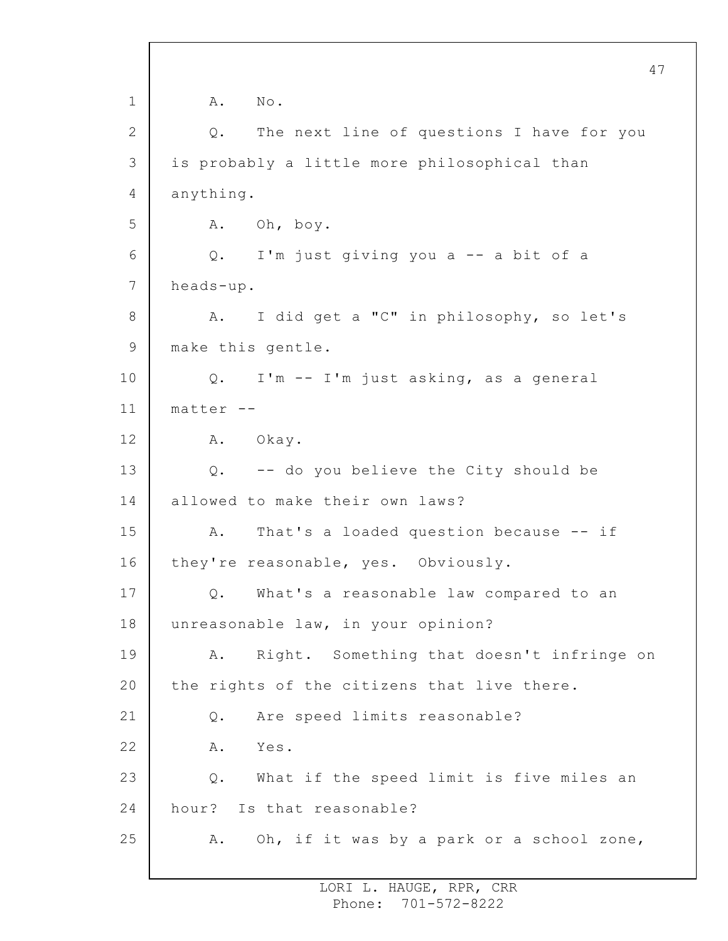1 2 3 4 5 6 7 8 9 10 11 12 13 14 15 16 17 18 19 20 21 22 23 24 25 47 A. No. Q. The next line of questions I have for you is probably a little more philosophical than anything. A. Oh, boy. Q. I'm just giving you a -- a bit of a heads-up. A. I did get a "C" in philosophy, so let's make this gentle. Q. I'm -- I'm just asking, as a general  $matrix - -$ A. Okay. Q. -- do you believe the City should be allowed to make their own laws? A. That's a loaded question because -- if they're reasonable, yes. Obviously. Q. What's a reasonable law compared to an unreasonable law, in your opinion? A. Right. Something that doesn't infringe on the rights of the citizens that live there. Q. Are speed limits reasonable? A. Yes. Q. What if the speed limit is five miles an hour? Is that reasonable? A. Oh, if it was by a park or a school zone,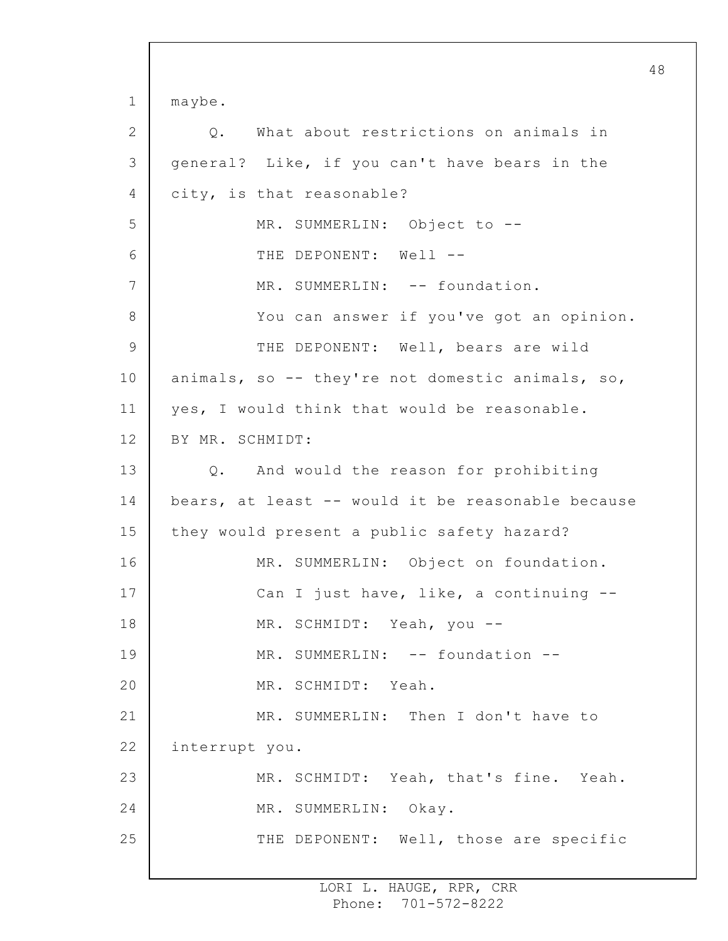1 2 3 4 5 6 7 8 9 10 11 12 13 14 15 16 17 18 19 20 21 22 23 24 25 maybe. Q. What about restrictions on animals in general? Like, if you can't have bears in the city, is that reasonable? MR. SUMMERLIN: Object to -- THE DEPONENT: Well --MR. SUMMERLIN: -- foundation. You can answer if you've got an opinion. THE DEPONENT: Well, bears are wild animals, so -- they're not domestic animals, so, yes, I would think that would be reasonable. BY MR. SCHMIDT: Q. And would the reason for prohibiting bears, at least -- would it be reasonable because they would present a public safety hazard? MR. SUMMERLIN: Object on foundation. Can I just have, like, a continuing -- MR. SCHMIDT: Yeah, you -- MR. SUMMERLIN: -- foundation --MR. SCHMIDT: Yeah. MR. SUMMERLIN: Then I don't have to interrupt you. MR. SCHMIDT: Yeah, that's fine. Yeah. MR. SUMMERLIN: Okay. THE DEPONENT: Well, those are specific

48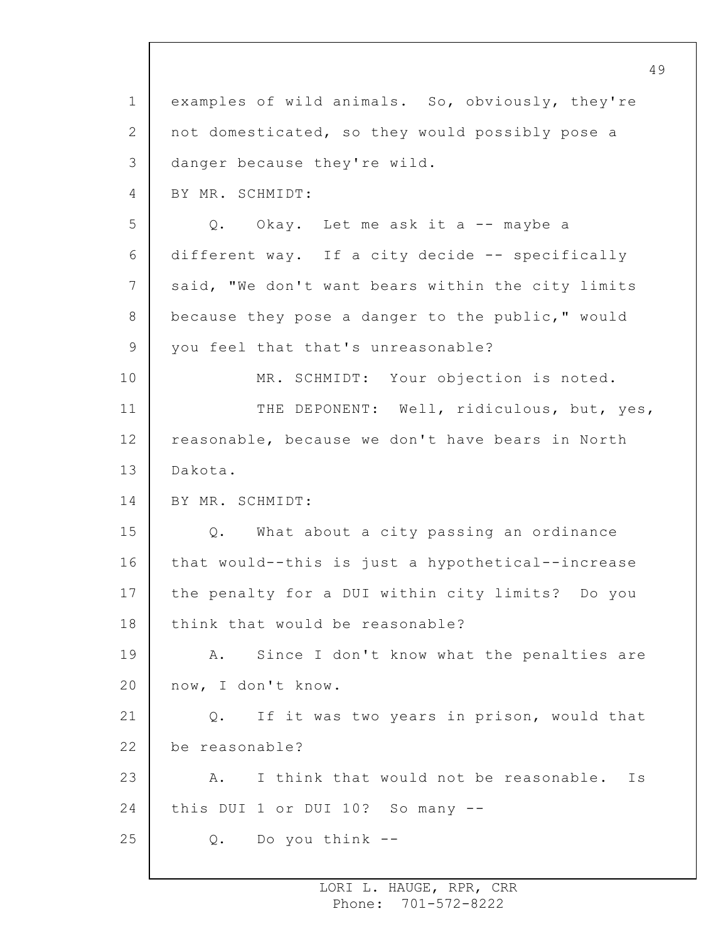1 2 3 4 5 6 7 8 9 10 11 12 13 14 15 16 17 18 19 20 21 22 23 24 25 examples of wild animals. So, obviously, they're not domesticated, so they would possibly pose a danger because they're wild. BY MR. SCHMIDT: Q. Okay. Let me ask it a -- maybe a different way. If a city decide -- specifically said, "We don't want bears within the city limits because they pose a danger to the public," would you feel that that's unreasonable? MR. SCHMIDT: Your objection is noted. THE DEPONENT: Well, ridiculous, but, yes, reasonable, because we don't have bears in North Dakota. BY MR. SCHMIDT: Q. What about a city passing an ordinance that would--this is just a hypothetical--increase the penalty for a DUI within city limits? Do you think that would be reasonable? A. Since I don't know what the penalties are now, I don't know. Q. If it was two years in prison, would that be reasonable? A. I think that would not be reasonable. Is this DUI 1 or DUI 10? So many -- Q. Do you think --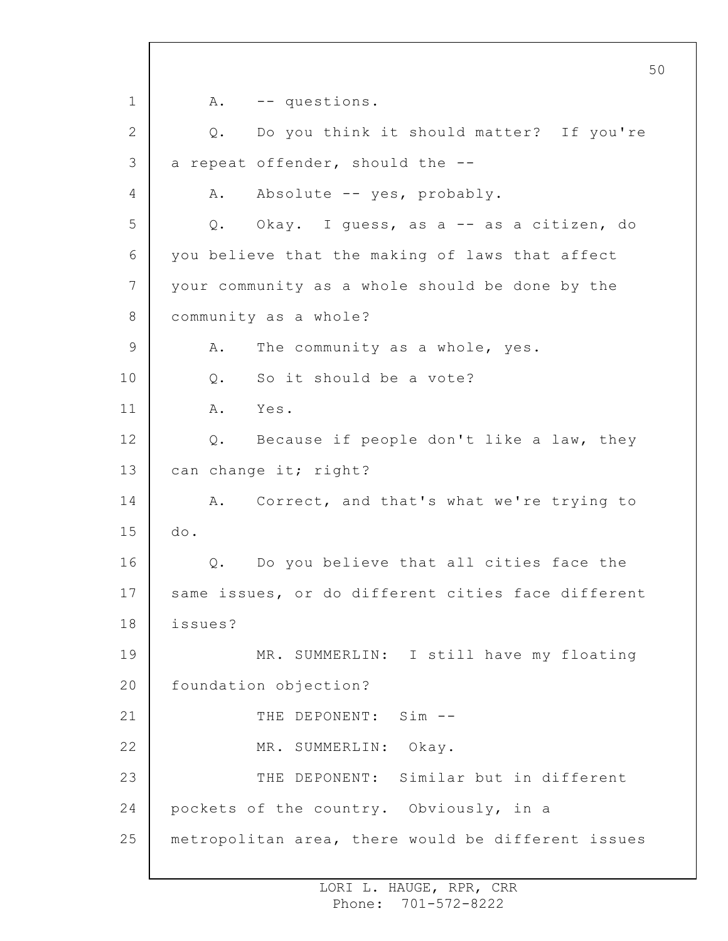1 2 3 4 5 6 7 8 9 10 11 12 13 14 15 16 17 18 19 20 21 22 23 24 25 A. -- questions. Q. Do you think it should matter? If you're a repeat offender, should the -- A. Absolute -- yes, probably. Q. Okay. I guess, as a -- as a citizen, do you believe that the making of laws that affect your community as a whole should be done by the community as a whole? A. The community as a whole, yes. Q. So it should be a vote? A. Yes. Q. Because if people don't like a law, they can change it; right? A. Correct, and that's what we're trying to do. Q. Do you believe that all cities face the same issues, or do different cities face different issues? MR. SUMMERLIN: I still have my floating foundation objection? THE DEPONENT: Sim --MR. SUMMERLIN: Okay. THE DEPONENT: Similar but in different pockets of the country. Obviously, in a metropolitan area, there would be different issues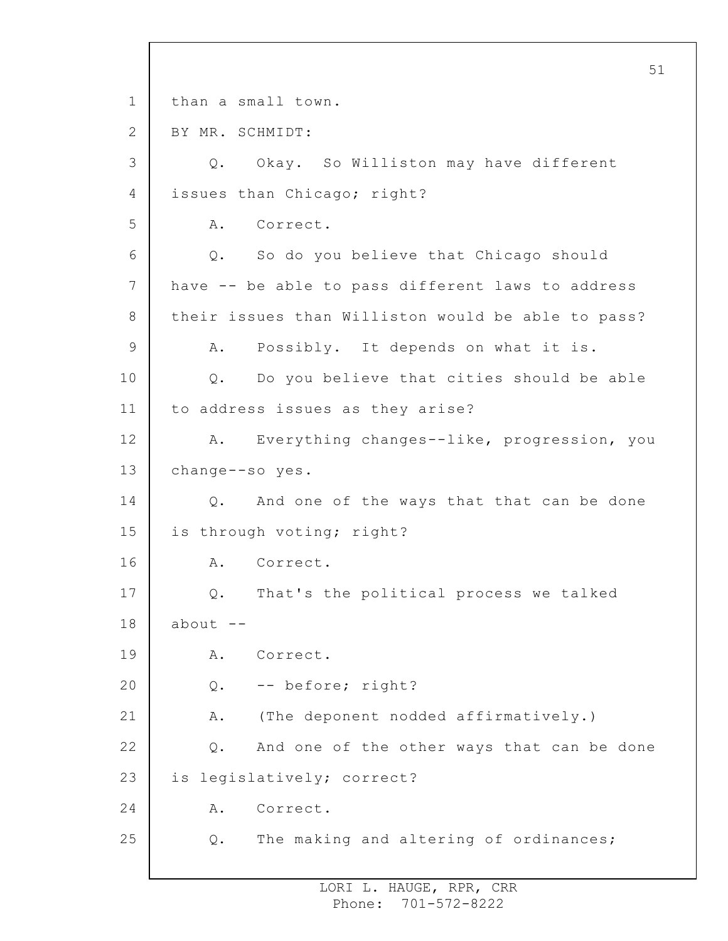1 2 3 4 5 6 7 8 9 10 11 12 13 14 15 16 17 18 19 20 21 22 23 24 25 51 than a small town. BY MR. SCHMIDT: Q. Okay. So Williston may have different issues than Chicago; right? A. Correct. Q. So do you believe that Chicago should have -- be able to pass different laws to address their issues than Williston would be able to pass? A. Possibly. It depends on what it is. Q. Do you believe that cities should be able to address issues as they arise? A. Everything changes--like, progression, you change--so yes. Q. And one of the ways that that can be done is through voting; right? A. Correct. Q. That's the political process we talked about  $--$ A. Correct. Q. -- before; right? A. (The deponent nodded affirmatively.) Q. And one of the other ways that can be done is legislatively; correct? A. Correct. Q. The making and altering of ordinances;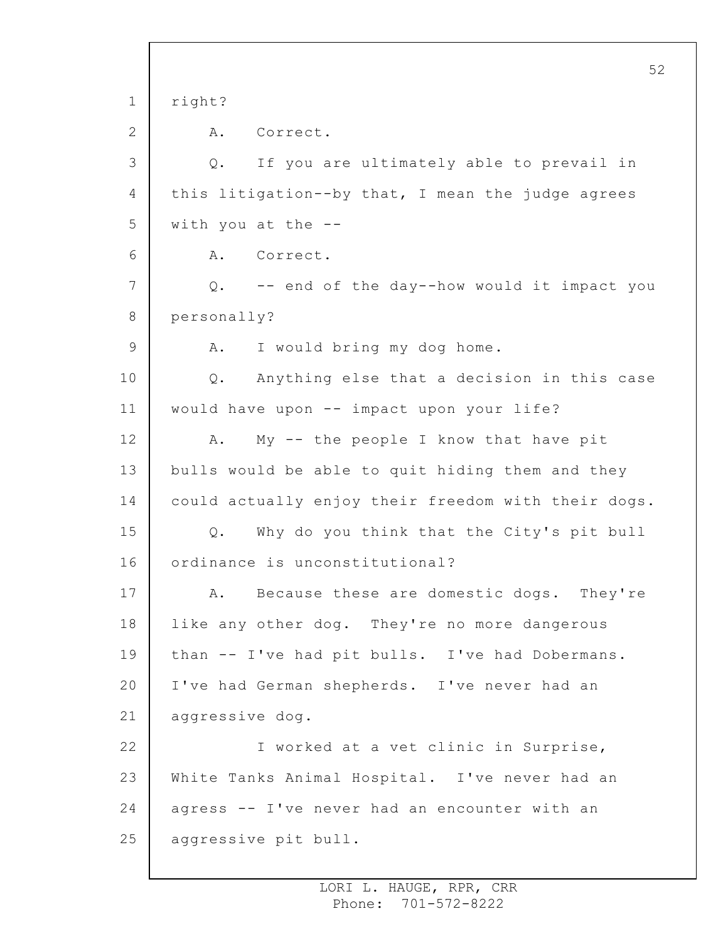1 2 3 4 5 6 7 8 9 10 11 12 13 14 15 16 17 18 19 20 21 22 23 24 25 52 right? A. Correct. Q. If you are ultimately able to prevail in this litigation--by that, I mean the judge agrees with you at the  $-$ -A. Correct. Q. -- end of the day--how would it impact you personally? A. I would bring my dog home. Q. Anything else that a decision in this case would have upon -- impact upon your life? A. My -- the people I know that have pit bulls would be able to quit hiding them and they could actually enjoy their freedom with their dogs. Q. Why do you think that the City's pit bull ordinance is unconstitutional? A. Because these are domestic dogs. They're like any other dog. They're no more dangerous than -- I've had pit bulls. I've had Dobermans. I've had German shepherds. I've never had an aggressive dog. I worked at a vet clinic in Surprise, White Tanks Animal Hospital. I've never had an agress -- I've never had an encounter with an aggressive pit bull.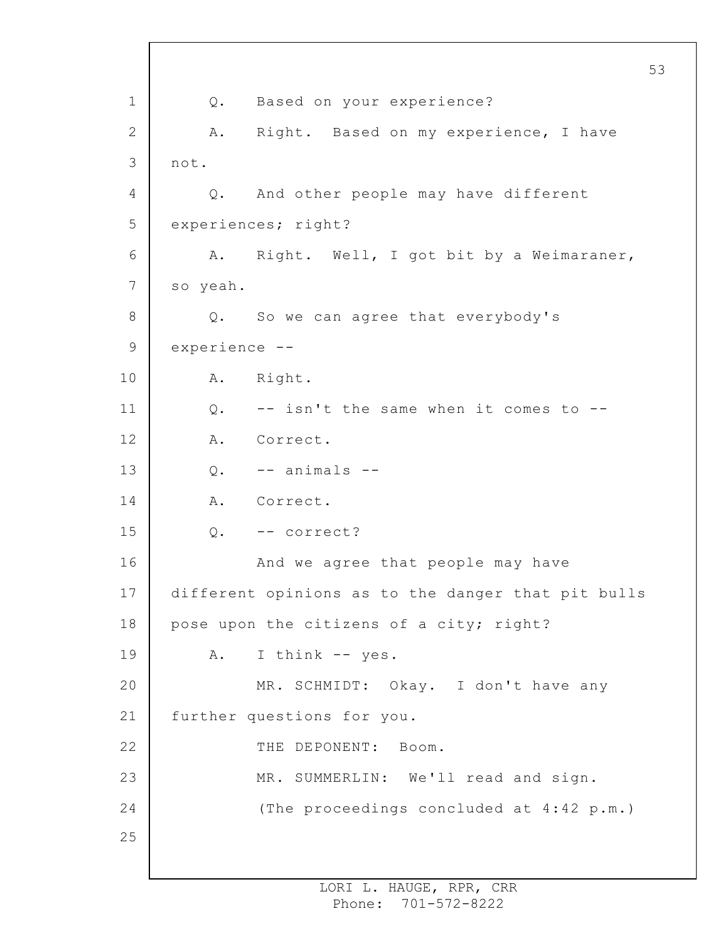1 2 3 4 5 6 7 8 9 10 11 12 13 14 15 16 17 18 19 20 21 22 23 24 25 53 Q. Based on your experience? A. Right. Based on my experience, I have not. Q. And other people may have different experiences; right? A. Right. Well, I got bit by a Weimaraner, so yeah. Q. So we can agree that everybody's experience -- A. Right.  $0.$  -- isn't the same when it comes to --A. Correct.  $0. - -$  animals  $-$ A. Correct. Q. -- correct? And we agree that people may have different opinions as to the danger that pit bulls pose upon the citizens of a city; right? A. I think -- yes. MR. SCHMIDT: Okay. I don't have any further questions for you. THE DEPONENT: Boom. MR. SUMMERLIN: We'll read and sign. (The proceedings concluded at 4:42 p.m.)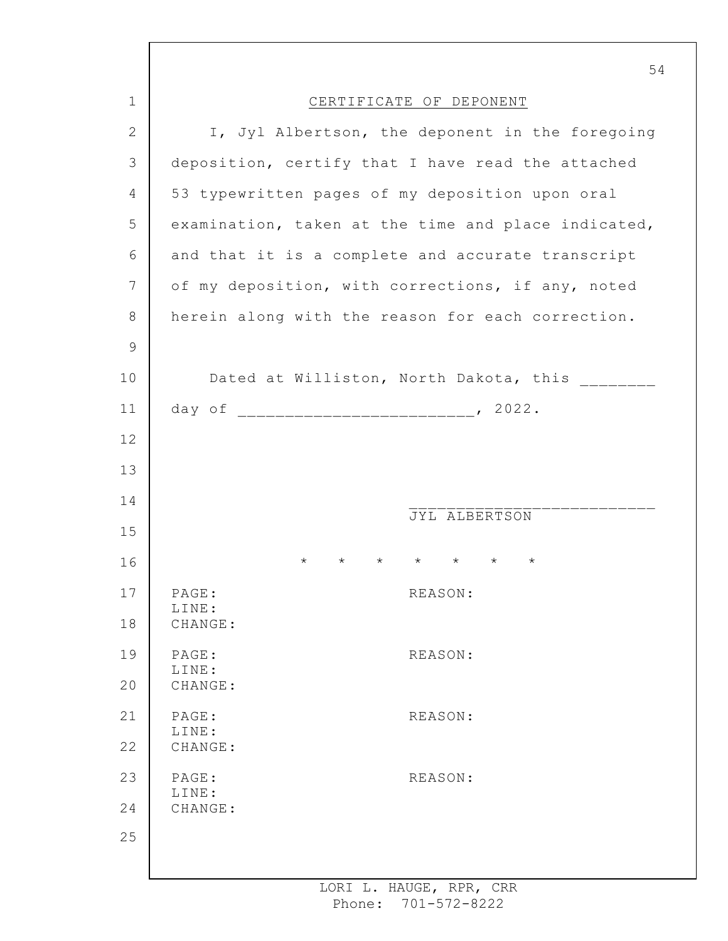|               | 54                                                                   |
|---------------|----------------------------------------------------------------------|
| $\mathbf 1$   | CERTIFICATE OF DEPONENT                                              |
| $\mathbf{2}$  | I, Jyl Albertson, the deponent in the foregoing                      |
| 3             | deposition, certify that I have read the attached                    |
| 4             | 53 typewritten pages of my deposition upon oral                      |
| 5             | examination, taken at the time and place indicated,                  |
| 6             | and that it is a complete and accurate transcript                    |
| 7             | of my deposition, with corrections, if any, noted                    |
| $8\,$         | herein along with the reason for each correction.                    |
| $\mathcal{G}$ |                                                                      |
| 10            | Dated at Williston, North Dakota, this                               |
| 11            |                                                                      |
| 12            |                                                                      |
| 13            |                                                                      |
| 14            | JYL ALBERTSON                                                        |
| 15            |                                                                      |
| 16            | $\star$ $\star$ $\star$<br>$\star$<br>$^\star$<br>$\star$<br>$\star$ |
| 17            | PAGE:<br>REASON:<br>LINE:                                            |
| 18            | CHANGE:                                                              |
| 19            | PAGE:<br>REASON:<br>LINE:                                            |
| 20            | CHANGE:                                                              |
| 21            | PAGE:<br>REASON:<br>LINE:                                            |
| 22            | CHANGE:                                                              |
| 23            | PAGE:<br>REASON:<br>LINE:                                            |
| 24            | CHANGE:                                                              |
| 25            |                                                                      |
|               |                                                                      |

I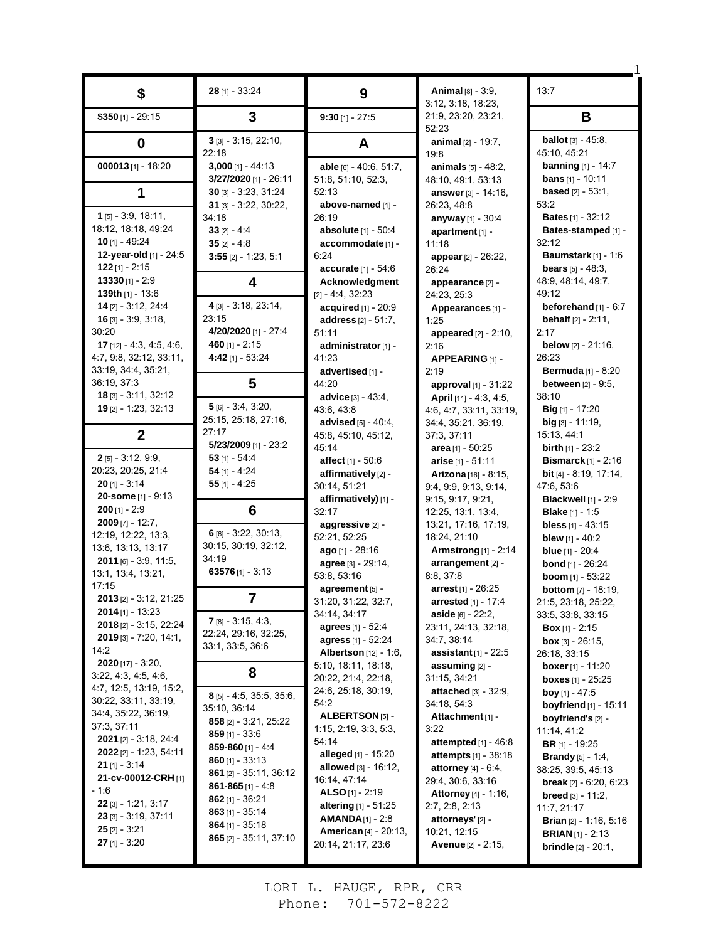| \$                                              | 28 [1] - 33:24                                | 9                                   | <b>Animal</b> [8] - 3:9,<br>3:12, 3:18, 18:23,   | 13:7                                                    |
|-------------------------------------------------|-----------------------------------------------|-------------------------------------|--------------------------------------------------|---------------------------------------------------------|
| $$350$ [1] - 29:15                              | 3                                             | $9:30$ [1] - 27:5                   | 21:9, 23:20, 23:21,<br>52:23                     | B                                                       |
| 0                                               | $3$ [3] - 3:15, 22:10,<br>22:18               | A                                   | animal $[2] - 19:7$ ,                            | <b>ballot</b> $[3] - 45:8$ ,<br>45:10, 45:21            |
| 000013 $[1]$ - 18:20                            | $3,000$ [1] - 44:13                           | able [6] - 40:6, 51:7,              | 19:8<br><b>animals</b> $[5] - 48.2$ ,            | <b>banning</b> $[1] - 14.7$                             |
|                                                 | 3/27/2020 [1] - 26:11                         | 51:8, 51:10, 52:3,                  | 48:10, 49:1, 53:13                               | <b>bans</b> $[1] - 10:11$                               |
| 1                                               | $30$ [3] - 3:23, 31:24                        | 52:13                               | answer [3] - 14:16,                              | <b>based</b> $[2] - 53:1$ ,                             |
|                                                 | $31$ [3] - 3.22, 30:22,                       | above-named [1] -                   | 26:23.48:8                                       | 53.2                                                    |
| $1$ [5] - 3:9, 18:11,<br>18.12, 18.18, 49.24    | 34:18<br>$33$ [2] - 4:4                       | 26:19<br>absolute [1] - 50:4        | anyway [1] - 30:4                                | <b>Bates [1] - 32:12</b><br>Bates-stamped [1] -         |
| <b>10</b> [1] - 49:24                           | $35$ [2] - 4:8                                | accommodate [1] -                   | apartment [1] -<br>11:18                         | 32:12                                                   |
| 12-year-old [1] - 24:5                          | $3:55$ [2] - 1:23, 5:1                        | 6:24                                | appear $[2] - 26:22$                             | Baumstark $[1]$ - 1:6                                   |
| $122$ [1] - 2:15                                |                                               | accurate [1] - 54:6                 | 26:24                                            | <b>bears</b> $[5] - 48:3$ ,                             |
| $13330$ [1] - 2:9                               | 4                                             | Acknowledgment                      | appearance [2] -                                 | 48:9, 48:14, 49:7,                                      |
| 139th [1] - 13:6                                |                                               | $[2] - 4:4, 32:23$                  | 24:23, 25:3                                      | 49:12                                                   |
| $14$ [2] - 3:12, 24:4<br>$16$ [3] - 3:9, 3:18,  | 4 [3] - 3:18, 23:14,<br>23:15                 | acquired [1] - 20:9                 | Appearances [1] -                                | beforehand $[1] - 6:7$                                  |
| 30:20                                           | 4/20/2020 [1] - 27:4                          | address [2] - 51:7,<br>51:11        | 1:25<br>appeared [2] - 2:10,                     | <b>behalf</b> $[2] - 2:11$ ,<br>2:17                    |
| <b>17</b> $[12] - 4.3, 4.5, 4.6,$               | 460 $[1] - 2:15$                              | administrator [1] -                 | 2:16                                             | <b>below</b> $[2] - 21:16$ ,                            |
| 4:7, 9:8, 32:12, 33:11,                         | 4:42 [1] - 53:24                              | 41.23                               | APPEARING[1]-                                    | 26:23                                                   |
| 33:19, 34:4, 35:21,                             |                                               | advertised [1] -                    | 2:19                                             | <b>Bermuda</b> [1] - 8:20                               |
| 36:19, 37:3                                     | 5                                             | 44:20                               | approval $[1]$ - 31:22                           | <b>between</b> [2] - 9:5,                               |
| $18$ [3] - 3:11, 32:12                          | $5[6] - 3.4, 3.20,$                           | advice [3] - 43:4,                  | April $[11] - 4.3, 4.5,$                         | 38:10                                                   |
| 19 [2] - 1:23, 32:13                            | 25:15, 25:18, 27:16,                          | 43.6, 43.8<br>advised [5] - 40:4,   | 4:6, 4:7, 33:11, 33:19,<br>34:4, 35:21, 36:19,   | Big [1] - 17:20<br>$big$ [3] - 11:19,                   |
| $\mathbf{2}$                                    | 27:17                                         | 45:8, 45:10, 45:12,                 | 37:3, 37:11                                      | 15:13, 44:1                                             |
|                                                 | $5/23/2009$ [1] - 23:2                        | 45:14                               | area $[1]$ - 50:25                               | <b>birth</b> $[1] - 23:2$                               |
| $2$ [5] - 3:12, 9:9,                            | $53$ [1] - 54:4                               | affect [1] - 50:6                   | arise $[1] - 51:11$                              | Bismarck $[1]$ - 2:16                                   |
| 20:23, 20:25, 21:4                              | $54$ [1] - 4:24                               | affirmatively [2] -                 | Arizona [16] - 8:15,                             | <b>bit</b> $[4]$ - 8:19, 17:14,                         |
| $20$ [1] - 3:14<br>20-some [1] - 9:13           | $55$ [1] - 4:25                               | 30:14, 51:21                        | 9:4, 9:9, 9:13, 9:14,                            | 47:6, 53:6                                              |
| $200$ [1] - 2:9                                 | 6                                             | affirmatively) [1] -<br>32:17       | 9:15, 9:17, 9:21,                                | <b>Blackwell</b> [1] - 2:9                              |
| $2009$ [7] - 12:7,                              |                                               | aggressive [2] -                    | 12:25, 13:1, 13:4,<br>13:21, 17:16, 17:19,       | <b>Blake</b> [1] - 1:5<br><b>bless</b> $[1] - 43:15$    |
| 12:19, 12:22, 13:3,                             | $6$ [6] - 3:22, 30:13,                        | 52:21, 52:25                        | 18:24, 21:10                                     | <b>blew</b> $[1] - 40:2$                                |
| 13:6, 13:13, 13:17                              | 30:15, 30:19, 32:12,                          | ago [1] - 28:16                     | Armstrong $[1]$ - 2:14                           | <b>blue</b> $[1] - 20:4$                                |
| $2011$ [6] - 3:9, 11:5,                         | 34:19                                         | agree [3] - 29:14,                  | arrangement [2] -                                | <b>bond</b> [1] - 26:24                                 |
| 13:1, 13:4, 13:21,<br>17:15                     | 63576 $[1] - 3:13$                            | 53:8, 53:16                         | 8:8, 37:8                                        | boom $[1] - 53:22$                                      |
| 2013 [2] - 3:12, 21:25                          |                                               | agreement [5] -                     | $arrest$ [1] - 26:25                             | <b>bottom</b> [7] - 18:19,                              |
| <b>2014</b> [1] - 13:23                         |                                               | 31:20, 31:22, 32:7,<br>34:14, 34:17 | arrested [1] - 17:4<br>aside [6] - 22:2.         | 21:5, 23:18, 25:22,                                     |
| 2018 [2] - 3:15, 22:24                          | $7$ [8] - 3:15, 4:3,                          | <b>agrees</b> [1] - 52:4            | 23:11, 24:13, 32:18,                             | 33:5, 33:8, 33:15<br><b>Box</b> $[1] - 2:15$            |
| <b>2019</b> [3] - 7:20, 14:1,                   | 22:24, 29:16, 32:25,                          | agress [1] - 52:24                  | 34:7, 38:14                                      | <b>box</b> [3] - 26:15,                                 |
| 14:2                                            | 33:1, 33:5, 36:6                              | <b>Albertson</b> [12] - 1:6,        | <b>assistant</b> $[1]$ - 22:5                    | 26:18, 33:15                                            |
| <b>2020</b> [17] - 3:20,                        | 8                                             | 5:10, 18:11, 18:18,                 | assuming [2] -                                   | <b>boxer</b> [1] - 11:20                                |
| 3.22, 4.3, 4.5, 4.6,<br>4:7, 12:5, 13:19, 15:2, |                                               | 20:22, 21:4, 22:18,                 | 31:15, 34:21                                     | boxes [1] - 25:25                                       |
| 30:22, 33:11, 33:19,                            | $8$ [5] - 4:5, 35:5, 35:6,                    | 24:6, 25:18, 30:19,<br>54:2         | attached [3] - 32:9,<br>34:18, 54:3              | <b>boy</b> [1] - 47:5<br><b>boyfriend</b> $[1] - 15:11$ |
| 34:4, 35:22, 36:19,                             | 35:10, 36:14                                  | <b>ALBERTSON</b> [5] -              | Attachment <sub>[1]</sub> -                      | boyfriend's [2] -                                       |
| 37:3, 37:11                                     | 858 [2] - 3:21, 25:22                         | 1:15, 2:19, 3:3, 5:3,               | 3:22                                             | 11:14, 41:2                                             |
| <b>2021</b> [2] - 3:18, 24:4                    | <b>859</b> [1] - 33:6<br>859-860 $[1] - 4:4$  | 54:14                               | attempted $[1] - 46.8$                           | <b>BR</b> $[1]$ - 19:25                                 |
| 2022 [2] - 1:23, 54:11                          | 860 $[1] - 33:13$                             | <b>alleged</b> [1] - 15:20          | <b>attempts</b> $[1]$ - 38:18                    | <b>Brandy</b> $[5] - 1:4$ ,                             |
| <b>21</b> [1] - 3:14<br>21-cv-00012-CRH [1]     | 861 [2] - 35:11, 36:12                        | <b>allowed</b> $[3] - 16:12$ ,      | <b>attorney</b> [4] $-6.4$ ,                     | 38:25, 39:5, 45:13                                      |
| - 1:6                                           | 861-865 $[1]$ - 4:8                           | 16:14, 47:14<br>ALSO [1] - $2:19$   | 29:4, 30:6, 33:16<br><b>Attorney</b> [4] - 1:16, | <b>break</b> $[2] - 6.20, 6.23$                         |
| $22$ [3] - 1:21, 3:17                           | <b>862</b> [1] - 36:21                        | <b>altering</b> $[1] - 51:25$       | 2:7, 2:8, 2:13                                   | <b>breed</b> $[3] - 11:2$<br>11:7, 21:17                |
| $23$ [3] - 3.19, 37.11                          | $863$ [1] - 35:14                             | <b>AMANDA</b> $[1]$ - 2:8           | attorneys' [2] -                                 | <b>Brian</b> $[2] - 1:16, 5:16$                         |
| $25$ [2] - 3:21                                 | $864$ [1] - 35:18<br>$865$ [2] - 35:11, 37:10 | <b>American</b> [4] - 20:13,        | 10:21, 12:15                                     | <b>BRIAN</b> $[1]$ - 2:13                               |
| $27$ [1] - 3:20                                 |                                               | 20:14, 21:17, 23:6                  | <b>Avenue</b> $[2] - 2:15$ ,                     | <b>brindle</b> $[2] - 20:1$ ,                           |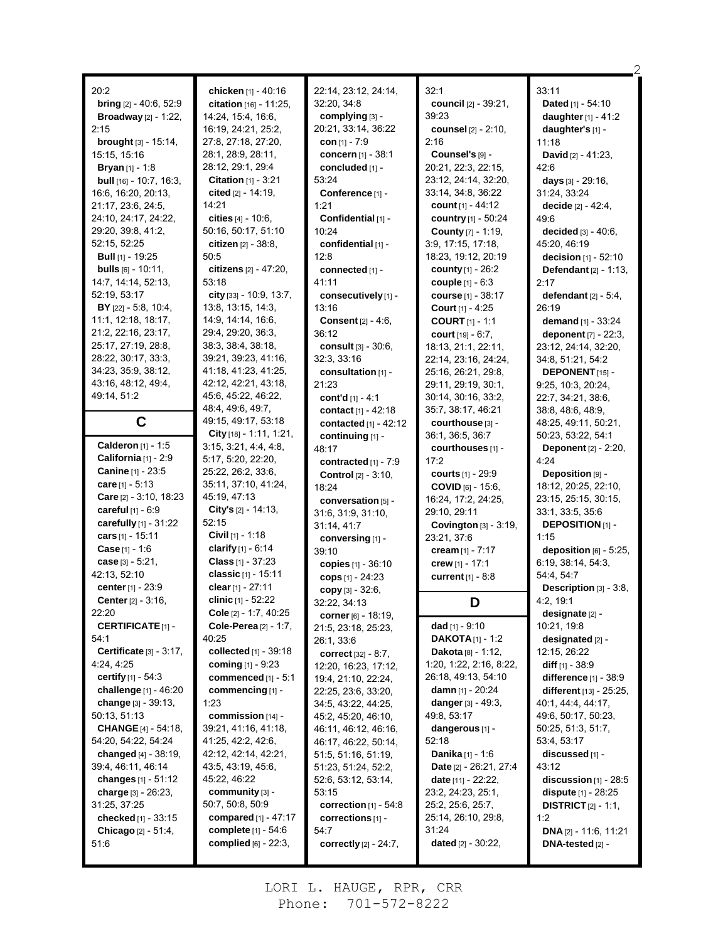| 20:2                                                | chicken [1] - 40:16                             | 22:14, 23:12, 24:14,            | 32:1                                | 33:11                                     |
|-----------------------------------------------------|-------------------------------------------------|---------------------------------|-------------------------------------|-------------------------------------------|
| bring [2] - 40:6, 52:9                              | citation [16] - 11:25,                          | 32:20, 34:8                     | council [2] - 39:21,                | Dated [1] - 54:10                         |
| <b>Broadway</b> $[2] - 1:22$ ,                      | 14:24, 15:4, 16:6,                              | complying [3] -                 | 39:23                               | daughter $[1] - 41:2$                     |
| 2:15                                                | 16:19, 24:21, 25:2,                             | 20:21, 33:14, 36:22             | <b>counsel</b> [2] - 2:10,          | daughter's [1] -                          |
| <b>brought</b> $[3] - 15:14$ ,                      | 27:8, 27:18, 27:20,                             | con $[1] - 7.9$                 | 2:16                                | 11:18                                     |
| 15:15, 15:16                                        | 28:1, 28:9, 28:11,                              | concern [1] - 38:1              | Counsel's [9] -                     | <b>David</b> $[2] - 41:23$ ,              |
| <b>Bryan</b> $[1] - 1.8$                            | 28:12, 29:1, 29:4                               | concluded [1] -                 | 20:21, 22:3, 22:15,                 | 42.6                                      |
| <b>bull</b> $[16] - 10.7$ , 16:3,                   | <b>Citation</b> $[1] - 3:21$                    | 53:24                           | 23:12, 24:14, 32:20,                | <b>days</b> [3] - 29:16,                  |
| 16:6, 16:20, 20:13,                                 | cited [2] - 14:19,                              | Conference [1] -                | 33:14, 34:8, 36:22                  | 31.24, 33.24                              |
| 21:17, 23:6, 24:5,                                  | 14:21                                           | 1:21                            | <b>count</b> $[1] - 44:12$          | <b>decide</b> [2] - 42:4,                 |
| 24:10, 24:17, 24:22,                                | cities $[4] - 10.6$ ,                           | Confidential [1] -              | country [1] - 50:24                 | 49.6                                      |
| 29.20, 39.8, 41.2,                                  | 50:16, 50:17, 51:10                             | 10:24                           | <b>County</b> [7] - 1:19,           | decided [3] - 40:6.                       |
| 52:15, 52:25                                        | citizen $[2] - 38.8$                            | confidential [1] -              | 3.9, 17:15, 17:18,                  | 45:20, 46:19                              |
| <b>Bull</b> $[1]$ - 19:25                           | 50:5                                            | 12:8                            | 18:23, 19:12, 20:19                 | decision $[1] - 52:10$                    |
| <b>bulls</b> $[6] - 10:11$ ,                        | citizens [2] - 47:20,                           | connected [1] -                 | <b>county</b> $[1] - 26:2$          | <b>Defendant</b> $[2] - 1:13$ ,           |
| 14:7, 14:14, 52:13,                                 | 53:18                                           | 41:11                           | couple [1] - 6:3                    | 2:17                                      |
| 52:19, 53:17                                        | city $[33] - 10.9, 13.7,$                       | consecutively [1] -             | <b>course</b> [1] - 38:17           | defendant $[2] - 5:4$ ,                   |
| $BY$ [22] - 5:8, 10:4,                              | 13:8, 13:15, 14:3,                              | 13:16                           | <b>Court</b> $[1] - 4:25$           | 26:19                                     |
| 11:1, 12:18, 18:17,                                 | 14.9, 14.14, 16.6,                              | <b>Consent</b> $[2] - 4:6$ ,    | <b>COURT [1] - 1:1</b>              | demand $[1] - 33:24$                      |
| 21:2, 22:16, 23:17,                                 | 29:4, 29:20, 36:3,                              | 36:12                           | <b>court</b> $[19] - 6:7$ ,         | deponent [7] - 22:3,                      |
| 25:17, 27:19, 28:8,                                 | 38:3, 38:4, 38:18,                              | consult [3] - 30:6,             | 18:13, 21:1, 22:11,                 | 23:12, 24:14, 32:20,                      |
| 28:22, 30:17, 33:3,                                 | 39:21, 39:23, 41:16,                            | 32:3, 33:16                     | 22:14, 23:16, 24:24,                | 34:8, 51:21, 54:2                         |
| 34:23, 35:9, 38:12,                                 | 41:18, 41:23, 41:25,                            | consultation [1] -              | 25:16, 26:21, 29:8,                 | <b>DEPONENT</b> $[15]$ -                  |
| 43:16, 48:12, 49:4,                                 | 42:12, 42:21, 43:18,                            | 21:23                           | 29:11, 29:19, 30:1,                 | 9:25, 10:3, 20:24,                        |
| 49:14, 51:2                                         | 45:6, 45:22, 46:22,                             | cont'd [1] - 4:1                | 30:14, 30:16, 33:2,                 | 22:7, 34:21, 38:6,                        |
|                                                     | 48:4, 49:6, 49:7,                               | contact [1] - 42:18             | 35:7, 38:17, 46:21                  | 38.8, 48.6, 48.9,                         |
| C                                                   | 49:15, 49:17, 53:18                             | contacted $[1] - 42:12$         | courthouse [3] -                    | 48.25, 49:11, 50:21,                      |
|                                                     | City [18] - 1:11, 1:21,                         | continuing [1] -                | 36:1, 36:5, 36:7                    | 50:23, 53:22, 54:1                        |
| Calderon [1] - 1:5<br><b>California</b> $[1]$ - 2:9 | 3:15, 3:21, 4:4, 4:8,<br>5:17, 5:20, 22:20,     | 48:17                           | courthouses [1] -                   | <b>Deponent</b> [2] - 2:20,               |
| <b>Canine</b> [1] - 23:5                            | 25:22, 26:2, 33:6,                              | contracted [1] - 7:9            | 17:2                                | 4:24                                      |
| care $[1] - 5:13$                                   | 35:11, 37:10, 41:24,                            | <b>Control</b> [2] - 3:10,      | <b>courts</b> [1] - 29:9            | Deposition [9] -                          |
| Care [2] - 3:10, 18:23                              | 45:19, 47:13                                    | 18:24                           | $COVID$ [6] - 15:6,                 | 18:12, 20:25, 22:10,                      |
| <b>careful</b> $[1] - 6.9$                          | City's $[2] - 14:13$ ,                          | conversation [5] -              | 16:24, 17:2, 24:25,                 | 23:15, 25:15, 30:15,                      |
| carefully $[1]$ - 31:22                             | 52:15                                           | 31.6, 31.9, 31.10,              | 29:10, 29:11                        | 33:1, 33:5, 35:6                          |
| cars $[1] - 15:11$                                  | Civil [1] - 1:18                                | 31:14, 41.7                     | Covington $[3]$ - 3:19,             | <b>DEPOSITION</b> [1] -<br>1:15           |
| <b>Case</b> [1] - 1:6                               | clarify $[1] - 6.14$                            | conversing [1] -<br>39:10       | 23:21, 37:6                         | deposition $[6]$ - 5:25,                  |
| case $[3] - 5:21$ ,                                 | <b>Class</b> $[1] - 37:23$                      |                                 | cream [1] - 7:17<br>crew [1] - 17:1 | 6:19, 38:14, 54:3,                        |
| 42:13, 52:10                                        | classic [1] - 15:11                             | copies [1] - 36:10              |                                     | 54 4, 54 7                                |
| center [1] - 23:9                                   | clear [1] - 27:11                               | cops $[1]$ - 24:23              | <b>current</b> $[1] - 8.8$          |                                           |
| <b>Center</b> $[2] - 3:16$ ,                        |                                                 |                                 |                                     |                                           |
|                                                     |                                                 | copy $[3] - 32:6$ ,             |                                     | <b>Description</b> $[3] - 3:8$ ,          |
|                                                     | clinic [1] - 52:22                              | 32:22, 34:13                    | D                                   | 4.2, 19.1                                 |
| 22:20                                               | Cole [2] - 1:7, 40:25                           | corner [6] - 18:19,             |                                     | <b>designate</b> [2] -                    |
| <b>CERTIFICATE</b> [1]-                             | Cole-Perea [2] - 1:7,                           | 21:5, 23:18, 25:23,             | dad $[1] - 9:10$                    | 10:21, 19:8                               |
| 54:1                                                | 40:25                                           | 26:1, 33:6                      | <b>DAKOTA</b> $[1]$ - 1:2           | designated [2] -                          |
| <b>Certificate</b> $[3] - 3:17$ ,                   | collected $[1]$ - 39:18                         | correct $[32] - 8:7$ ,          | <b>Dakota</b> $[8] - 1:12$ ,        | 12:15, 26:22                              |
| 4.24, 4.25                                          | coming $[1] - 9:23$                             | 12:20, 16:23, 17:12,            | 1:20, 1:22, 2:16, 8:22,             | diff $[1] - 38.9$                         |
| certify $[1] - 54.3$                                | commenced [1] - 5:1                             | 19.4, 21.10, 22.24,             | 26:18, 49:13, 54:10                 | difference [1] - 38:9                     |
| challenge [1] - 46:20                               | commencing [1] -                                | 22.25, 23.6, 33:20,             | <b>damn</b> [1] - 20:24             | different [13] - 25:25,                   |
| change [3] - 39:13,                                 | 1:23                                            | 34:5, 43:22, 44:25,             | danger [3] - 49:3,                  | 40.1, 44.4, 44.17,                        |
| 50:13, 51:13                                        | commission [14] -                               | 45:2, 45:20, 46:10,             | 49:8, 53:17                         | 49:6, 50:17, 50:23,                       |
| <b>CHANGE</b> [4] - 54:18,                          | 39:21, 41:16, 41:18,                            | 46:11, 46:12, 46:16,            | dangerous [1] -                     | 50:25, 51:3, 51:7,                        |
| 54:20, 54:22, 54:24                                 | 41:25, 42:2, 42:6,                              | 46:17, 46:22, 50:14,            | 52:18                               | 53:4, 53:17                               |
| changed [4] - 38:19,                                | 42:12, 42:14, 42:21,                            | 51:5, 51:16, 51:19,             | <b>Danika</b> [1] - 1:6             | discussed [1] -                           |
| 39:4, 46:11, 46:14                                  | 43:5, 43:19, 45:6,                              | 51:23, 51:24, 52:2,             | Date [2] - 26:21, 27:4              | 43:12                                     |
| changes $[1] - 51:12$                               | 45:22, 46:22                                    | 52:6, 53:12, 53:14,             | <b>date</b> $[11] - 22:22$          | discussion $[1]$ - 28:5                   |
| charge $[3] - 26:23$ ,                              | community [3] -                                 | 53:15                           | 23:2, 24:23, 25:1,                  | <b>dispute</b> $[1] - 28:25$              |
| 31:25, 37:25                                        | 50:7, 50:8, 50:9                                | correction $[1] - 54.8$         | 25:2, 25:6, 25:7,                   | <b>DISTRICT</b> $[2] - 1:1$ ,             |
| checked [1] - 33:15                                 | compared $[1] - 47:17$<br>complete $[1] - 54.6$ | corrections [1] -<br>54:7       | 25:14, 26:10, 29:8,<br>31:24        | 1:2                                       |
| Chicago [2] - 51:4,<br>51:6                         | complied [6] - 22:3,                            | <b>correctly</b> $[2] - 24:7$ , | dated [2] - 30:22,                  | DNA [2] - 11:6, 11:21<br>DNA-tested [2] - |

2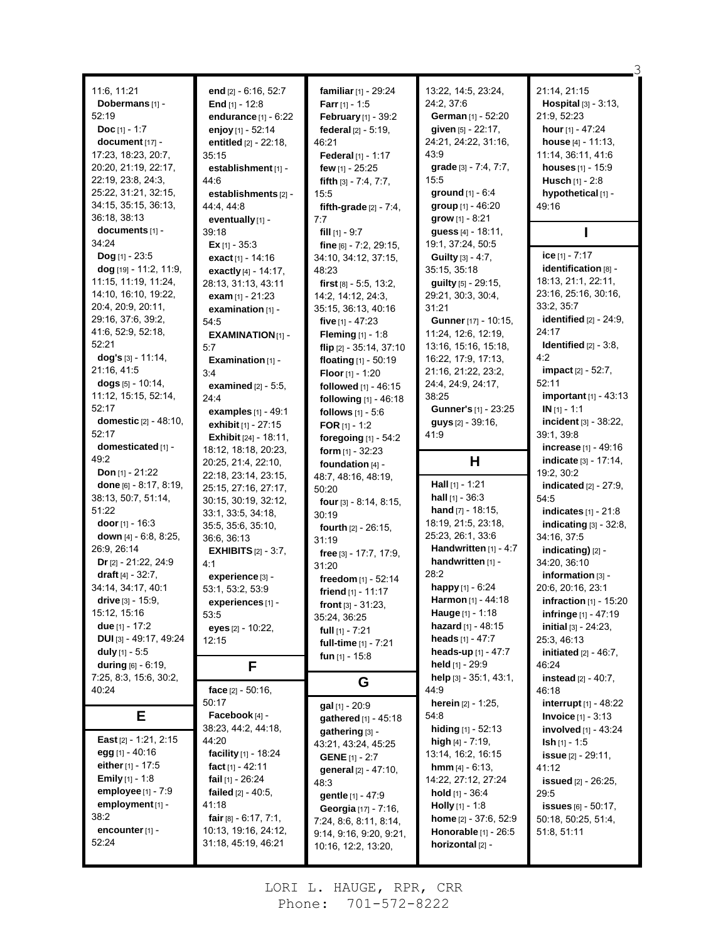| 11:6, 11:21                    |                                                         |                                            | 13:22, 14:5, 23:24,           | 21:14, 21:15                    |
|--------------------------------|---------------------------------------------------------|--------------------------------------------|-------------------------------|---------------------------------|
| Dobermans [1] -                | end [2] - 6:16, 52:7                                    | familiar [1] - 29:24                       | 24:2, 37:6                    | Hospital [3] - 3:13,            |
| 52:19                          | End $[1] - 12.8$                                        | <b>Farr</b> [1] - 1:5                      | German [1] - 52:20            | 21:9, 52:23                     |
| <b>Doc</b> [1] - 1:7           | endurance $[1]$ - $6:22$                                | February [1] - 39:2<br>federal [2] - 5:19, | given [5] - 22:17,            | <b>hour</b> $[1]$ - 47:24       |
| document [17] -                | enjoy [1] - 52:14                                       | 46:21                                      | 24:21, 24:22, 31:16,          | house [4] - 11:13,              |
| 17:23, 18:23, 20:7,            | entitled [2] - 22:18,                                   | Federal $[1] - 1:17$                       | 43.9                          | 11:14, 36:11, 41:6              |
| 20:20, 21:19, 22:17,           | 35:15<br>establishment [1] -                            | few [1] - 25:25                            | grade [3] - 7:4, 7:7,         | houses [1] - 15:9               |
| 22:19, 23:8, 24:3,             | 44:6                                                    | fifth $[3] - 7.4, 7.7$ ,                   | 15:5                          | <b>Husch</b> $[1] - 2:8$        |
| 25:22, 31:21, 32:15,           | establishments [2] -                                    | 15:5                                       | ground [1] - 6:4              | hypothetical [1] -              |
| 34:15, 35:15, 36:13,           |                                                         |                                            | group [1] - 46:20             | 49:16                           |
| 36:18, 38:13                   | 44.4, 44.8<br>eventually [1] -                          | fifth-grade $[2] - 7.4$ ,                  | grow [1] - 8:21               |                                 |
| documents [1] -                | 39:18                                                   | 7:7<br>fill $[1]$ - 9:7                    | guess [4] - 18:11,            |                                 |
| 34:24                          | <b>Ex</b> [1] - 35:3                                    | fine $[6]$ - 7:2, 29:15,                   | 19:1, 37:24, 50:5             |                                 |
| <b>Dog</b> [1] - 23:5          |                                                         |                                            | Guilty [3] - 4:7,             | ice [1] - 7:17                  |
| $dog$ [19] - 11:2, 11:9,       | exact $[1] - 14.16$                                     | 34:10, 34:12, 37:15,<br>48:23              | 35:15, 35:18                  | identification [8] -            |
| 11:15, 11:19, 11:24,           | exactly $[4] - 14:17$ ,<br>28:13, 31:13, 43:11          | first $[8] - 5.5, 13.2,$                   | guilty [5] - 29:15,           | 18:13, 21:1, 22:11,             |
| 14:10, 16:10, 19:22,           | exam $[1] - 21:23$                                      | 14:2, 14:12, 24:3,                         | 29:21, 30:3, 30:4,            | 23:16, 25:16, 30:16,            |
| 20:4, 20:9, 20:11,             |                                                         | 35:15, 36:13, 40:16                        | 31:21                         | 33:2, 35:7                      |
| 29:16, 37:6, 39:2,             | examination [1] -<br>54.5                               | five $[1] - 47:23$                         | Gunner [17] - 10:15,          | identified $[2] - 24.9$ .       |
| 41:6, 52:9, 52:18,             | <b>EXAMINATION [1] -</b>                                | Fleming [1] - 1:8                          | 11:24, 12:6, 12:19,           | 24:17                           |
| 52:21                          | 5:7                                                     |                                            | 13:16, 15:16, 15:18,          | <b>Identified</b> $[2] - 3.8$ , |
| $\log$ 's [3] - 11:14,         | Examination $[1]$ -                                     | flip $[2] - 35:14, 37:10$                  | 16:22, 17:9, 17:13,           | 4:2                             |
| 21:16, 41:5                    | 3:4                                                     | floating [1] - 50:19<br>Floor [1] - 1:20   | 21:16, 21:22, 23:2,           | impact [2] - 52:7,              |
| dogs $[5]$ - 10:14,            | examined $[2] - 5:5$ ,                                  | followed [1] - 46:15                       | 24:4, 24:9, 24:17,            | 52:11                           |
| 11:12, 15:15, 52:14,           | 24:4                                                    |                                            | 38:25                         | important [1] - 43:13           |
| 52:17                          |                                                         | following [1] - 46:18                      | Gunner's [1] - 23:25          | $IN [1] - 1:1$                  |
| <b>domestic</b> [2] - 48:10,   | <b>examples</b> $[1] - 49:1$<br>exhibit [1] - 27:15     | follows $[1] - 5.6$                        | $guys_{[2]} - 39.16$          | incident $[3] - 38:22$ ,        |
| 52:17                          |                                                         | FOR $[1] - 1:2$                            | 41.9                          | 39:1, 39:8                      |
| domesticated [1] -             | <b>Exhibit</b> $[24] - 18:11$ ,<br>18:12, 18:18, 20:23, | foregoing $[1]$ - 54:2                     |                               | increase [1] - 49:16            |
| 49.2                           | 20.25, 21:4, 22:10,                                     | form $[1] - 32:23$                         | н                             | <b>indicate</b> [3] - 17:14,    |
| <b>Don</b> [1] - $21:22$       | 22:18, 23:14, 23:15,                                    | foundation [4] -                           |                               | 19:2, 30:2                      |
| done [6] - 8:17, 8:19,         | 25:15, 27:16, 27:17,                                    | 48:7, 48:16, 48:19,                        | <b>Hall</b> $[1]$ - 1:21      | <b>indicated</b> $[2] - 27:9$ , |
| 38:13, 50:7, 51:14,            | 30:15, 30:19, 32:12,                                    | 50:20                                      | hall $[1] - 36:3$             | 54:5                            |
| 51:22                          | 33:1, 33:5, 34:18,                                      | four $[3] - 8.14$ , $8.15$ ,               | hand $[7] - 18:15$ ,          | indicates $[1] - 21:8$          |
| door $[1] - 16:3$              | 35:5, 35:6, 35:10,                                      | 30:19                                      | 18:19, 21:5, 23:18,           | indicating $[3] - 32:8$ ,       |
| down $[4] - 6.8, 8.25,$        | 36:6, 36:13                                             | fourth [2] - 26:15,<br>31:19               | 25:23, 26:1, 33:6             | 34:16, 37:5                     |
| 26:9, 26:14                    | <b>EXHIBITS</b> $[2] - 3.7$ ,                           | free [3] - 17:7, 17:9,                     | Handwritten $[1] - 4:7$       | indicating) [2] -               |
| Dr $[2]$ - 21:22, 24:9         | 4:1                                                     | 31:20                                      | handwritten [1] -             | 34:20, 36:10                    |
| draft $[4] - 32:7$ ,           | experience [3] -                                        | freedom [1] - 52:14                        | 28:2                          | information [3] -               |
| 34:14, 34:17, 40:1             | 53:1, 53:2, 53:9                                        |                                            | happy [1] - 6:24              | 20:6, 20:16, 23:1               |
| <b>drive</b> $[3] - 15.9$ ,    | experiences [1] -                                       | friend $[1]$ - 11:17                       | <b>Harmon</b> [1] - 44:18     | <b>infraction</b> $[1]$ - 15:20 |
| 15:12, 15:16                   | 53:5                                                    | front $[3] - 31.23$ ,<br>35:24, 36:25      | <b>Hauge</b> $[1] - 1:18$     | <b>infringe</b> $[1] - 47:19$   |
| due $[1] - 17:2$               | eyes [2] - 10:22,                                       | full $[1] - 7:21$                          | <b>hazard</b> $[1] - 48:15$   | initial $[3] - 24:23$ ,         |
| <b>DUI</b> [3] - 49:17, 49:24  | 12:15                                                   | full-time [1] - 7:21                       | heads $[1] - 47:7$            | 25:3, 46:13                     |
| duly $[1] - 5.5$               |                                                         | fun [1] - 15:8                             | heads-up $[1] - 47:7$         | initiated $[2] - 46:7$ ,        |
| during $[6] - 6.19$ ,          | F                                                       |                                            | <b>held</b> $[1]$ - 29:9      | 46:24                           |
| 7:25, 8:3, 15:6, 30:2,         |                                                         |                                            | help [3] - 35:1, 43:1,        | <b>instead</b> $[2] - 40:7$ ,   |
| 40:24                          | face $[2] - 50.16$ ,                                    | G                                          | 44.9                          | 46:18                           |
|                                | 50:17                                                   | gal [1] - 20:9                             | <b>herein</b> $[2] - 1:25$ ,  | interrupt [1] - 48:22           |
| Е                              | Facebook [4] -                                          | gathered [1] - 45:18                       | 54:8                          | <b>Invoice</b> $[1] - 3.13$     |
|                                | 38:23, 44:2, 44:18,                                     | qathering [3] -                            | hiding $[1]$ - 52:13          | involved [1] - 43:24            |
| <b>East</b> $[2] - 1:21, 2:15$ | 44:20                                                   | 43:21, 43:24, 45:25                        | high $[4] - 7:19$ ,           | $\mathsf{lsh}\,[1]$ - 1:5       |
| egg [1] - 40:16                | facility [1] - 18:24                                    | <b>GENE</b> $[1] - 2:7$                    | 13:14, 16:2, 16:15            | <b>issue</b> [2] - 29:11,       |
| either [1] - 17:5              | fact $[1] - 42:11$                                      | general [2] - 47:10,                       | <b>hmm</b> $[4] - 6.13$ ,     | 41:12                           |
| <b>Emily</b> $[1] - 1.8$       | fail $[1]$ - 26:24                                      | 48:3                                       | 14:22, 27:12, 27:24           | <b>issued</b> [2] - 26:25,      |
| employee [1] - 7:9             | failed $[2] - 40.5$ ,                                   | gentle [1] - 47:9                          | <b>hold</b> $[1]$ - 36:4      | 29:5                            |
| employment [1] -               | 41:18                                                   | Georgia [17] - 7:16,                       | <b>Holly</b> $[1]$ - 1:8      | issues $[6] - 50:17$ ,          |
| 38:2                           | fair $[8] - 6:17, 7:1,$                                 | 7:24, 8:6, 8:11, 8:14,                     | home [2] - 37:6, 52:9         | 50:18, 50:25, 51:4,             |
|                                |                                                         |                                            |                               |                                 |
| encounter [1] -                | 10:13, 19:16, 24:12,                                    | 9:14, 9:16, 9:20, 9:21,                    | <b>Honorable</b> $[1]$ - 26:5 | 51:8, 51:11                     |
| 52:24                          | 31:18, 45:19, 46:21                                     | 10:16, 12:2, 13:20,                        | horizontal [2] -              |                                 |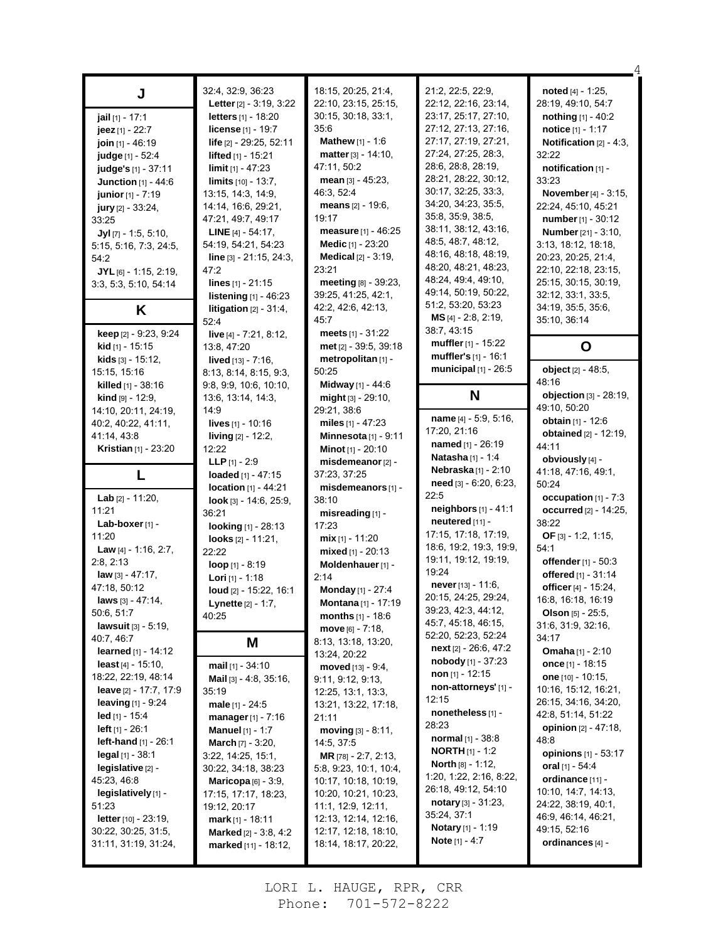|                                             | 32:4, 32:9, 36:23                             | 18:15, 20:25, 21:4,                          | 21:2, 22:5, 22:9,                                   | noted $[4] - 1:25$ ,                        |
|---------------------------------------------|-----------------------------------------------|----------------------------------------------|-----------------------------------------------------|---------------------------------------------|
| J                                           | Letter [2] - 3:19, 3:22                       | 22:10, 23:15, 25:15,                         | 22:12, 22:16, 23:14,                                | 28:19, 49:10, 54:7                          |
| jail [1] - 17:1                             | letters [1] - 18:20                           | 30:15, 30:18, 33:1,                          | 23:17, 25:17, 27:10,                                | nothing [1] - 40:2                          |
|                                             | <b>license</b> $[1] - 19:7$                   | 35:6                                         | 27:12, 27:13, 27:16,                                | notice $[1] - 1:17$                         |
| jeez $[1] - 22.7$                           |                                               | <b>Mathew</b> $[1] - 1:6$                    | 27:17, 27:19, 27:21,                                | Notification $[2] - 4:3$ ,                  |
| join [1] - 46:19                            | life [2] - 29:25, 52:11                       | matter $[3] - 14:10$ ,                       | 27:24, 27:25, 28:3,                                 | 32:22                                       |
| judge [1] - 52:4                            | lifted [1] - 15:21                            | 47:11, 50:2                                  | 28:6, 28:8, 28:19,                                  |                                             |
| judge's [1] - 37:11                         | <b>limit</b> $[1] - 47:23$                    | mean $[3] - 45:23$ ,                         | 28:21, 28:22, 30:12,                                | notification [1] -<br>33:23                 |
| Junction [1] - 44:6                         | <b>limits</b> $[10] - 13:7$ ,                 | 46.3, 52.4                                   | 30:17, 32:25, 33:3,                                 | November [4] - 3:15,                        |
| junior [1] - 7:19                           | 13:15, 14:3, 14:9,<br>14:14, 16:6, 29:21,     | means $[2] - 19.6$                           | 34:20, 34:23, 35:5,                                 | 22:24, 45:10, 45:21                         |
| <b>jury</b> $[2] - 33:24$ ,                 | 47:21, 49:7, 49:17                            | 19:17                                        | 35:8, 35:9, 38:5,                                   | number [1] - 30:12                          |
| 33:25                                       |                                               | measure [1] - 46:25                          | 38:11, 38:12, 43:16,                                |                                             |
| $Jyl$ [7] - 1:5, 5:10,                      | <b>LINE</b> $[4] - 54:17$ ,                   | Medic [1] - 23:20                            | 48:5, 48:7, 48:12,                                  | <b>Number</b> [21] - 3:10,                  |
| 5:15, 5:16, 7:3, 24:5,                      | 54:19, 54:21, 54:23                           | <b>Medical</b> $[2] - 3:19$ ,                | 48:16, 48:18, 48:19,                                | 3:13, 18:12, 18:18,                         |
| 54:2                                        | $line [3] - 21:15, 24:3,$                     | 23:21                                        | 48:20, 48:21, 48:23,                                | 20:23, 20:25, 21:4,<br>22:10, 22:18, 23:15, |
| $JYL$ [6] - 1:15, 2:19,                     | 47:2                                          |                                              | 48.24, 49.4, 49.10,                                 |                                             |
| 3.3, 5.3, 5.10, 54.14                       | lines $[1] - 21:15$                           | meeting [8] - 39:23,<br>39:25, 41:25, 42:1,  | 49:14, 50:19, 50:22,                                | 25:15, 30:15, 30:19,                        |
|                                             | listening [1] - 46:23                         | 42:2, 42:6, 42:13,                           | 51:2, 53:20, 53:23                                  | 32:12, 33:1, 33:5,<br>34:19, 35:5, 35:6,    |
| Κ                                           | litigation $[2] - 31.4$ ,                     | 45:7                                         | $MS$ <sub>[4]</sub> - 2:8, 2:19,                    |                                             |
|                                             | 52:4                                          |                                              | 38:7, 43:15                                         | 35:10, 36:14                                |
| keep [2] - 9:23, 9:24                       | live [4] - 7:21, 8:12,                        | meets $[1] - 31:22$                          | muffler [1] - 15:22                                 |                                             |
| <b>kid</b> [1] - 15:15                      | 13:8, 47:20                                   | met [2] - 39:5, 39:18                        | muffler's [1] - 16:1                                | O                                           |
| kids [3] - 15:12,                           | <b>lived</b> $[13] - 7:16$ ,                  | metropolitan [1] -                           | municipal [1] - 26:5                                | object [2] - 48:5,                          |
| 15:15, 15:16                                | 8:13, 8:14, 8:15, 9:3,                        | 50:25                                        |                                                     | 48:16                                       |
| killed [1] - 38:16                          | 9:8, 9:9, 10:6, 10:10,                        | Midway [1] - 44:6                            | N                                                   | objection [3] - 28:19,                      |
| <b>kind</b> $[9] - 12:9$ ,                  | 13:6, 13:14, 14:3,                            | $mid_{[3]}$ - 29:10,                         |                                                     | 49:10, 50:20                                |
| 14:10, 20:11, 24:19,                        | 14:9                                          | 29:21, 38.6                                  | name [4] - 5:9, 5:16,                               | obtain [1] - 12:6                           |
| 40:2, 40:22, 41:11,                         | <b>lives</b> $[1] - 10:16$                    | miles $[1] - 47:23$                          | 17:20, 21:16                                        | <b>obtained</b> [2] - 12:19,                |
| 41:14, 43:8                                 | living [2] - 12:2,                            | Minnesota $[1]$ - 9:11                       | named [1] - 26:19                                   | 44:11                                       |
| <b>Kristian</b> [1] - 23:20                 | 12:22                                         | <b>Minot</b> $[1]$ - 20:10                   | Natasha <sup>[1]</sup> - 1:4                        | obviously [4] -                             |
|                                             |                                               |                                              |                                                     |                                             |
|                                             | <b>LLP</b> [1] - 2:9                          | misdemeanor [2] -                            |                                                     |                                             |
| L                                           | loaded [1] - 47:15                            | 37:23, 37:25                                 | Nebraska[1] - 2:10                                  | 41:18, 47:16, 49:1,                         |
|                                             | <b>location</b> $[1] - 44:21$                 | misdemeanors [1] -                           | need [3] - 6:20, 6:23,                              | 50:24                                       |
| Lab [2] - 11:20,                            | $look$ [3] - 14:6, 25:9,                      | 38:10                                        | 22:5                                                | occupation [1] - 7:3                        |
| 11:21                                       | 36:21                                         | misreading [1] -                             | <b>neighbors</b> $[1] - 41:1$                       | occurred [2] - 14:25,                       |
| Lab-boxer [1] -                             | looking [1] - 28:13                           | 17:23                                        | neutered [11] -                                     | 38:22                                       |
| 11:20                                       | looks $[2] - 11:21$ ,                         | $mix$ <sub>[1]</sub> - 11:20                 | 17:15, 17:18, 17:19,                                | OF $[3] - 1:2, 1:15$ ,                      |
| Law [4] - 1:16, 2:7,                        | 22:22                                         | mixed $[1]$ - 20:13                          | 18.6, 19.2, 19.3, 19.9,                             | 54:1                                        |
| 2:8, 2:13                                   | loop [1] - 8:19                               | Moldenhauer [1] -                            | 19:11, 19:12, 19:19,                                | offender [1] - 50:3                         |
| law [3] - 47:17,                            | <b>Lori</b> $[1]$ - 1:18                      | 2:14                                         | 19:24                                               | offered [1] - 31:14                         |
| 47:18, 50:12                                | loud [2] - 15:22, 16:1                        | Monday [1] - 27:4                            | never [13] - 11:6,                                  | officer [4] - 15:24,                        |
| laws [3] - 47:14,                           | <b>Lynette</b> [2] - 1:7,                     | <b>Montana</b> $[1]$ - 17:19                 | 20:15, 24:25, 29:24,                                | 16:8, 16:18, 16:19                          |
| 50.6, 51:7                                  | 40:25                                         | months [1] - 18:6                            | 39:23, 42:3, 44:12,                                 | Olson [5] - 25:5,                           |
| <b>lawsuit</b> $[3] - 5.19$ ,               |                                               | <b>move</b> $[6] - 7:18$ ,                   | 45:7, 45:18, 46:15,                                 | 31:6, 31:9, 32:16,                          |
| 40.7, 46.7                                  | Μ                                             | 8:13, 13:18, 13:20,                          | 52:20, 52:23, 52:24                                 | 34:17                                       |
| learned [1] - 14:12                         |                                               | 13:24, 20:22                                 | next $[2] - 26:6, 47:2$                             | <b>Omaha</b> $[1] - 2:10$                   |
| least $[4] - 15:10$ ,                       | mail [1] - 34:10                              | moved [13] - 9:4,                            | <b>nobody</b> $[1] - 37:23$                         | once $[1]$ - 18:15                          |
| 18:22, 22:19, 48:14                         | <b>Mail</b> $[3] - 4.8$ , $35.16$ ,           | 9:11, 9:12, 9:13,                            | non $[1] - 12:15$<br>non-attorneys' [1] -           | one [10] - 10:15,                           |
| leave [2] - 17:7, 17:9                      | 35:19                                         | 12:25, 13:1, 13:3,                           |                                                     | 10:16, 15:12, 16:21,                        |
| <b>leaving</b> $[1] - 9.24$                 | <b>male</b> $[1] - 24.5$                      | 13:21, 13:22, 17:18,                         | 12:15                                               | 26:15, 34:16, 34:20,                        |
| $\text{led}$ [1] - 15:4                     | manager $[1] - 7:16$                          | 21:11                                        | nonetheless [1] -<br>28:23                          | 42:8, 51:14, 51:22                          |
| <b>left</b> $[1] - 26:1$                    | <b>Manuel</b> $[1] - 1:7$                     | $moving [3] - 8:11,$                         |                                                     | <b>opinion</b> $[2] - 47:18$                |
| left-hand [1] - 26:1                        | <b>March</b> $[7] - 3:20$ ,                   | 14:5, 37:5                                   | <b>normal</b> $[1]$ - 38:8                          | 48:8                                        |
| $\text{legal } [1] - 38.1$                  | 3:22, 14:25, 15:1,                            | <b>MR</b> $[78] - 2.7, 2.13,$                | <b>NORTH</b> $[1]$ - 1:2                            | opinions [1] - 53:17                        |
| $legislative[2] -$                          | 30:22, 34:18, 38:23                           | 5:8, 9:23, 10:1, 10:4,                       | <b>North</b> $[8] - 1:12$ ,                         | oral $[1]$ - 54:4                           |
| 45:23, 46:8                                 | Maricopa $[6]$ - 3:9,                         | 10:17, 10:18, 10:19,                         | 1:20, 1:22, 2:16, 8:22,                             | ordinance [11] -                            |
| legislatively [1] -                         | 17:15, 17:17, 18:23,                          | 10:20, 10:21, 10:23,                         | 26:18, 49:12, 54:10                                 | 10:10, 14:7, 14:13,                         |
| 51:23                                       | 19:12, 20:17                                  | 11:1, 12:9, 12:11,                           | notary $[3] - 31.23$ ,<br>35:24, 37:1               | 24:22, 38:19, 40:1,                         |
| <b>letter</b> $[10] - 23.19$ ,              | $mark_{[1]} - 18:11$                          | 12:13, 12:14, 12:16,                         |                                                     | 46.9, 46.14, 46.21,                         |
| 30.22, 30:25, 31:5,<br>31:11, 31:19, 31:24, | Marked [2] - 3:8, 4:2<br>marked [11] - 18:12, | 12:17, 12:18, 18:10,<br>18:14, 18:17, 20:22, | <b>Notary</b> [1] - 1:19<br><b>Note</b> $[1] - 4:7$ | 49:15, 52:16<br>ordinances [4] -            |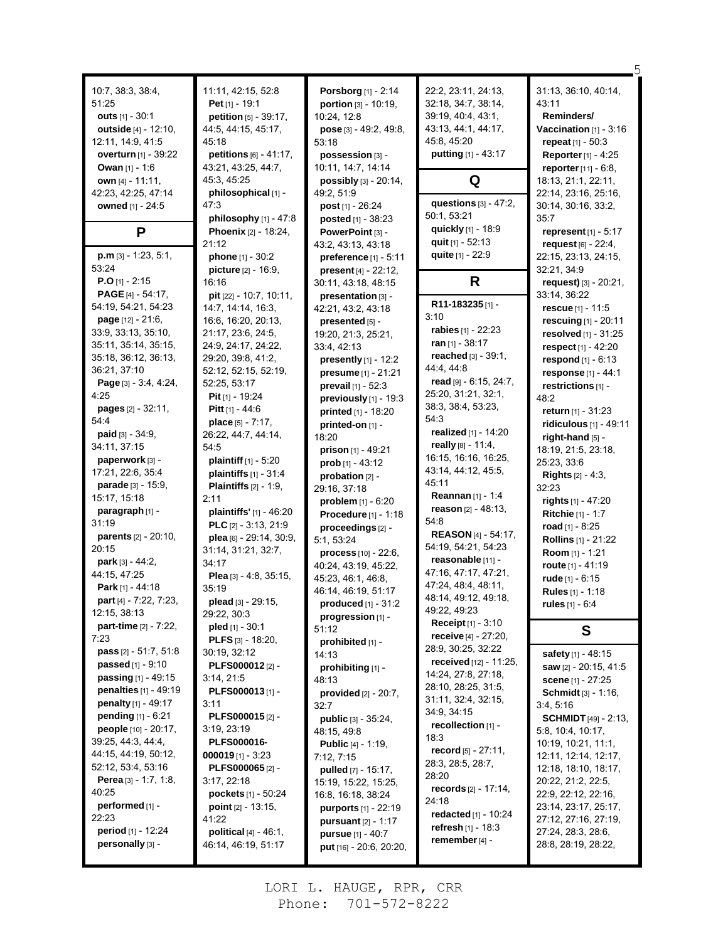| 10.7, 38.3, 38.4,<br>51:25<br>outs $[1] - 30:1$<br><b>outside</b> [4] - 12:10,<br>12:11, 14:9, 41:5<br><b>overturn</b> [1] - 39:22<br>Owan $[1] - 1.6$<br>own [4] - 11:11,<br>42.23, 42.25, 47.14<br>owned [1] - 24:5 | 11:11, 42:15, 52:8<br>Pet $[1] - 19:1$<br>petition [5] - 39:17,<br>44:5, 44:15, 45:17,<br>45:18<br>petitions $[6] - 41:17$ ,<br>43:21, 43:25, 44:7,<br>45:3, 45:25<br>philosophical [1] -<br>47.3 | Porsborg [1] - 2:14<br>portion $[3] - 10:19$ ,<br>10:24, 12:8<br>pose [3] - 49:2, 49:8,<br>53:18<br>possession [3] -<br>10:11, 14:7, 14:14<br>possibly [3] - 20:14,<br>49:2, 51:9<br><b>post</b> $[1]$ - 26:24 | 22:2, 23:11, 24:13,<br>32:18, 34:7, 38:14,<br>39:19, 40:4, 43:1,<br>43:13, 44:1, 44:17,<br>45:8, 45:20<br>putting [1] - 43:17<br>Q<br>questions $[3] - 47:2$ ,<br>50:1, 53:21 | 31:13, 36:10, 40:14,<br>43:11<br>Reminders/<br>Vaccination $[1]$ - 3:16<br><b>repeat</b> $[1] - 50.3$<br><b>Reporter</b> [1] - 4:25<br><b>reporter</b> $[11] - 6.8$ ,<br>18:13, 21:1, 22:11,<br>22:14, 23:16, 25:16,<br>30:14, 30:16, 33:2,<br>35:7 |
|-----------------------------------------------------------------------------------------------------------------------------------------------------------------------------------------------------------------------|---------------------------------------------------------------------------------------------------------------------------------------------------------------------------------------------------|----------------------------------------------------------------------------------------------------------------------------------------------------------------------------------------------------------------|-------------------------------------------------------------------------------------------------------------------------------------------------------------------------------|-----------------------------------------------------------------------------------------------------------------------------------------------------------------------------------------------------------------------------------------------------|
| P                                                                                                                                                                                                                     | philosophy [1] - 47:8<br><b>Phoenix</b> [2] - 18:24,<br>21:12                                                                                                                                     | posted [1] - 38:23<br>PowerPoint [3] -<br>43.2, 43.13, 43.18                                                                                                                                                   | quickly [1] - 18:9<br>quit [1] - 52:13                                                                                                                                        | represent [1] - 5:17<br>request [6] - 22:4,                                                                                                                                                                                                         |
| $p.m$ [3] - 1:23, 5:1,                                                                                                                                                                                                | phone $[1] - 30:2$                                                                                                                                                                                | preference [1] - 5:11                                                                                                                                                                                          | quite [1] - 22:9                                                                                                                                                              | 22:15, 23:13, 24:15,                                                                                                                                                                                                                                |
| 53:24                                                                                                                                                                                                                 | picture [2] - 16:9,                                                                                                                                                                               | present [4] - 22:12,                                                                                                                                                                                           |                                                                                                                                                                               | 32:21, 34:9                                                                                                                                                                                                                                         |
| $P.O$ [1] - 2:15                                                                                                                                                                                                      | 16:16                                                                                                                                                                                             | 30:11, 43:18, 48:15                                                                                                                                                                                            | R                                                                                                                                                                             | request) [3] - 20:21,                                                                                                                                                                                                                               |
| <b>PAGE</b> $[4] - 54.17$ ,                                                                                                                                                                                           | <b>pit</b> $[22] - 10:7, 10:11,$                                                                                                                                                                  | presentation [3] -                                                                                                                                                                                             | R11-183235[1]-                                                                                                                                                                | 33:14, 36:22                                                                                                                                                                                                                                        |
| 54:19, 54:21, 54:23<br><b>page</b> $[12] - 21:6$ ,                                                                                                                                                                    | 14:7, 14:14, 16:3,                                                                                                                                                                                | 42:21, 43:2, 43:18                                                                                                                                                                                             | 3:10                                                                                                                                                                          | rescue $[1] - 11.5$                                                                                                                                                                                                                                 |
| 33.9, 33.13, 35:10,                                                                                                                                                                                                   | 16:6, 16:20, 20:13,<br>21:17, 23:6, 24:5,                                                                                                                                                         | presented [5] -<br>19:20, 21:3, 25:21,                                                                                                                                                                         | <b>rabies</b> $[1] - 22:23$                                                                                                                                                   | rescuing $[1] - 20:11$                                                                                                                                                                                                                              |
| 35:11, 35:14, 35:15,                                                                                                                                                                                                  | 24:9, 24:17, 24:22,                                                                                                                                                                               | 33:4, 42:13                                                                                                                                                                                                    | ran $[1]$ - 38:17                                                                                                                                                             | resolved $[1]$ - 31:25<br>respect [1] - 42:20                                                                                                                                                                                                       |
| 35:18, 36:12, 36:13,                                                                                                                                                                                                  | 29:20, 39:8, 41:2,                                                                                                                                                                                | presently $[1]$ - 12:2                                                                                                                                                                                         | reached [3] - 39:1,                                                                                                                                                           | respond [1] - 6:13                                                                                                                                                                                                                                  |
| 36.21, 37:10                                                                                                                                                                                                          | 52:12, 52:15, 52:19,                                                                                                                                                                              | presume [1] - 21:21                                                                                                                                                                                            | 44.4, 44.8                                                                                                                                                                    | response [1] - 44:1                                                                                                                                                                                                                                 |
| Page [3] - 3:4, 4:24,                                                                                                                                                                                                 | 52:25, 53:17                                                                                                                                                                                      | prevail $[1] - 52:3$                                                                                                                                                                                           | read [9] - 6:15, 24:7,                                                                                                                                                        | restrictions [1] -                                                                                                                                                                                                                                  |
| 4.25                                                                                                                                                                                                                  | Pit [1] - 19:24                                                                                                                                                                                   | previously [1] - 19:3                                                                                                                                                                                          | 25:20, 31:21, 32:1,                                                                                                                                                           | 48:2                                                                                                                                                                                                                                                |
| <b>pages</b> $[2] - 32:11$ ,                                                                                                                                                                                          | Pitt [1] - 44:6                                                                                                                                                                                   | printed [1] - 18:20                                                                                                                                                                                            | 38:3, 38:4, 53:23,                                                                                                                                                            | return [1] - 31:23                                                                                                                                                                                                                                  |
| 54:4                                                                                                                                                                                                                  | place $[5] - 7:17$ ,                                                                                                                                                                              | printed-on [1] -                                                                                                                                                                                               | 54:3                                                                                                                                                                          | ridiculous [1] - 49:11                                                                                                                                                                                                                              |
| <b>paid</b> $[3] - 34.9$ ,                                                                                                                                                                                            | 26.22, 44:7, 44:14,                                                                                                                                                                               | 18:20                                                                                                                                                                                                          | realized [1] - 14:20                                                                                                                                                          | right-hand [5] -                                                                                                                                                                                                                                    |
| 34:11, 37:15                                                                                                                                                                                                          | 54:5                                                                                                                                                                                              | <b>prison</b> $[1] - 49:21$                                                                                                                                                                                    | really $[8] - 11.4$ ,                                                                                                                                                         | 18:19, 21:5, 23:18,                                                                                                                                                                                                                                 |
| paperwork [3] -                                                                                                                                                                                                       | <b>plaintiff</b> $[1] - 5:20$                                                                                                                                                                     | prob $[1] - 43:12$                                                                                                                                                                                             | 16:15, 16:16, 16:25,                                                                                                                                                          | 25:23, 33:6                                                                                                                                                                                                                                         |
| 17:21, 22:6, 35:4                                                                                                                                                                                                     | plaintiffs [1] - 31:4                                                                                                                                                                             | probation [2] -                                                                                                                                                                                                | 43:14, 44:12, 45:5,<br>45:11                                                                                                                                                  | <b>Rights</b> $[2] - 4:3$ ,                                                                                                                                                                                                                         |
| <b>parade</b> $[3] - 15.9$ ,                                                                                                                                                                                          | <b>Plaintiffs</b> $[2] - 1.9$ ,                                                                                                                                                                   | 29:16, 37:18                                                                                                                                                                                                   | <b>Reannan</b> $[1] - 1:4$                                                                                                                                                    | 32:23                                                                                                                                                                                                                                               |
| 15:17, 15:18                                                                                                                                                                                                          | 2:11                                                                                                                                                                                              | problem [1] - 6:20                                                                                                                                                                                             | reason [2] - 48:13,                                                                                                                                                           | rights [1] - 47:20                                                                                                                                                                                                                                  |
| paragraph [1] -<br>31:19                                                                                                                                                                                              | plaintiffs' [1] - 46:20                                                                                                                                                                           | <b>Procedure</b> $[1] - 1:18$                                                                                                                                                                                  | 54:8                                                                                                                                                                          | Ritchie [1] - 1:7                                                                                                                                                                                                                                   |
| <b>parents</b> $[2] - 20:10$ ,                                                                                                                                                                                        | PLC [2] - 3:13, 21:9<br>plea [6] - 29:14, 30:9,                                                                                                                                                   | proceedings [2] -                                                                                                                                                                                              | <b>REASON</b> [4] - 54:17,                                                                                                                                                    | road $[1] - 8:25$                                                                                                                                                                                                                                   |
| 20:15                                                                                                                                                                                                                 | 31:14, 31:21, 32:7,                                                                                                                                                                               | 5:1, 53:24                                                                                                                                                                                                     | 54:19, 54:21, 54:23                                                                                                                                                           | <b>Rollins</b> [1] - 21:22                                                                                                                                                                                                                          |
| park [3] - 44:2,                                                                                                                                                                                                      | 34:17                                                                                                                                                                                             | <b>process</b> $[10] - 22:6$ ,                                                                                                                                                                                 | reasonable [11] -                                                                                                                                                             | Room [1] - 1:21                                                                                                                                                                                                                                     |
| 44:15, 47:25                                                                                                                                                                                                          | Plea [3] - 4.8, 35.15,                                                                                                                                                                            | 40:24, 43:19, 45:22,<br>45:23, 46:1, 46:8,                                                                                                                                                                     | 47:16, 47:17, 47:21,                                                                                                                                                          | route $[1] - 41:19$<br>rude $[1] - 6:15$                                                                                                                                                                                                            |
| Park [1] - 44:18                                                                                                                                                                                                      | 35:19                                                                                                                                                                                             | 46:14, 46:19, 51:17                                                                                                                                                                                            | 47:24, 48:4, 48:11,                                                                                                                                                           | Rules [1] - 1:18                                                                                                                                                                                                                                    |
| part [4] - 7:22, 7:23,                                                                                                                                                                                                | plead [3] - 29:15,                                                                                                                                                                                | <b>produced</b> $[1] - 31:2$                                                                                                                                                                                   | 48:14, 49:12, 49:18,                                                                                                                                                          | rules [1] - 6:4                                                                                                                                                                                                                                     |
| 12:15, 38:13                                                                                                                                                                                                          | 29:22, 30:3                                                                                                                                                                                       | progression [1] -                                                                                                                                                                                              | 49:22, 49:23                                                                                                                                                                  |                                                                                                                                                                                                                                                     |
| <b>part-time</b> $[2] - 7:22$ ,                                                                                                                                                                                       | pled $[1] - 30.1$                                                                                                                                                                                 | 51:12                                                                                                                                                                                                          | <b>Receipt</b> $[1] - 3:10$                                                                                                                                                   | S                                                                                                                                                                                                                                                   |
| 7:23                                                                                                                                                                                                                  | PLFS [3] - 18:20,                                                                                                                                                                                 | prohibited [1] -                                                                                                                                                                                               | receive [4] - 27:20,                                                                                                                                                          |                                                                                                                                                                                                                                                     |
| pass [2] - 51:7, 51:8                                                                                                                                                                                                 | 30:19, 32:12                                                                                                                                                                                      | 14:13                                                                                                                                                                                                          | 28.9, 30.25, 32.22                                                                                                                                                            | safety [1] - 48:15                                                                                                                                                                                                                                  |
| passed [1] - 9:10                                                                                                                                                                                                     | PLFS000012[2]-                                                                                                                                                                                    | prohibiting [1] -                                                                                                                                                                                              | received [12] - 11:25,<br>14:24, 27:8, 27:18,                                                                                                                                 | saw [2] - 20:15, 41:5                                                                                                                                                                                                                               |
| <b>passing</b> $[1] - 49:15$                                                                                                                                                                                          | 3:14, 21:5                                                                                                                                                                                        | 48:13                                                                                                                                                                                                          | 28:10, 28:25, 31:5,                                                                                                                                                           | <b>scene</b> [1] - 27:25                                                                                                                                                                                                                            |
| penalties [1] - 49:19                                                                                                                                                                                                 | PLFS000013[1]-                                                                                                                                                                                    | provided $[2] - 20:7$ ,                                                                                                                                                                                        | 31:11, 32:4, 32:15,                                                                                                                                                           | Schmidt [3] - 1:16,                                                                                                                                                                                                                                 |
| penalty [1] - 49:17                                                                                                                                                                                                   | 3:11                                                                                                                                                                                              | 32:7                                                                                                                                                                                                           | 34:9, 34:15                                                                                                                                                                   | 3:4, 5:16                                                                                                                                                                                                                                           |
| <b>pending</b> $[1] - 6:21$<br>people [10] - 20:17,                                                                                                                                                                   | PLFS000015[2]-                                                                                                                                                                                    | public [3] - 35:24,                                                                                                                                                                                            | recollection $[1]$ -                                                                                                                                                          | <b>SCHMIDT</b> $[49] - 2.13$                                                                                                                                                                                                                        |
| 39:25, 44:3, 44:4,                                                                                                                                                                                                    | 3:19, 23:19<br>PLFS000016-                                                                                                                                                                        | 48:15, 49:8                                                                                                                                                                                                    | 18:3                                                                                                                                                                          | 5:8, 10:4, 10:17,                                                                                                                                                                                                                                   |
| 44:15, 44:19, 50:12,                                                                                                                                                                                                  | <b>000019</b> [1] - 3:23                                                                                                                                                                          | <b>Public</b> [4] - 1:19,                                                                                                                                                                                      | record $[5] - 27:11$ ,                                                                                                                                                        | 10:19, 10:21, 11:1,<br>12:11, 12:14, 12:17,                                                                                                                                                                                                         |
| 52:12, 53:4, 53:16                                                                                                                                                                                                    | PLFS000065[2]-                                                                                                                                                                                    | 7:12, 7:15<br>pulled [7] - 15:17,                                                                                                                                                                              | 28:3, 28:5, 28:7,                                                                                                                                                             | 12:18, 18:10, 18:17,                                                                                                                                                                                                                                |
| <b>Perea</b> $[3] - 1.7, 1.8,$                                                                                                                                                                                        | 3:17,22:18                                                                                                                                                                                        | 15:19, 15:22, 15:25,                                                                                                                                                                                           | 28:20                                                                                                                                                                         | 20:22, 21:2, 22:5,                                                                                                                                                                                                                                  |
| 40:25                                                                                                                                                                                                                 | pockets [1] - 50:24                                                                                                                                                                               | 16:8, 16:18, 38:24                                                                                                                                                                                             | records [2] - 17:14,                                                                                                                                                          | 22:9, 22:12, 22:16,                                                                                                                                                                                                                                 |
| performed [1] -                                                                                                                                                                                                       | <b>point</b> $[2] - 13:15$ ,                                                                                                                                                                      | purports [1] - 22:19                                                                                                                                                                                           | 24:18                                                                                                                                                                         | 23:14, 23:17, 25:17,                                                                                                                                                                                                                                |
| 22:23                                                                                                                                                                                                                 | 41:22                                                                                                                                                                                             | pursuant [2] - 1:17                                                                                                                                                                                            | redacted [1] - 10:24                                                                                                                                                          | 27:12, 27:16, 27:19,                                                                                                                                                                                                                                |
| period [1] - 12:24                                                                                                                                                                                                    | political [4] - 46:1,                                                                                                                                                                             | <b>pursue</b> $[1] - 40:7$                                                                                                                                                                                     | refresh $[1] - 18:3$                                                                                                                                                          | 27:24, 28:3, 28:6,                                                                                                                                                                                                                                  |
| personally [3] -                                                                                                                                                                                                      | 46:14, 46:19, 51:17                                                                                                                                                                               | put [16] - 20:6, 20:20,                                                                                                                                                                                        | remember [4] -                                                                                                                                                                | 28:8, 28:19, 28:22,                                                                                                                                                                                                                                 |

5